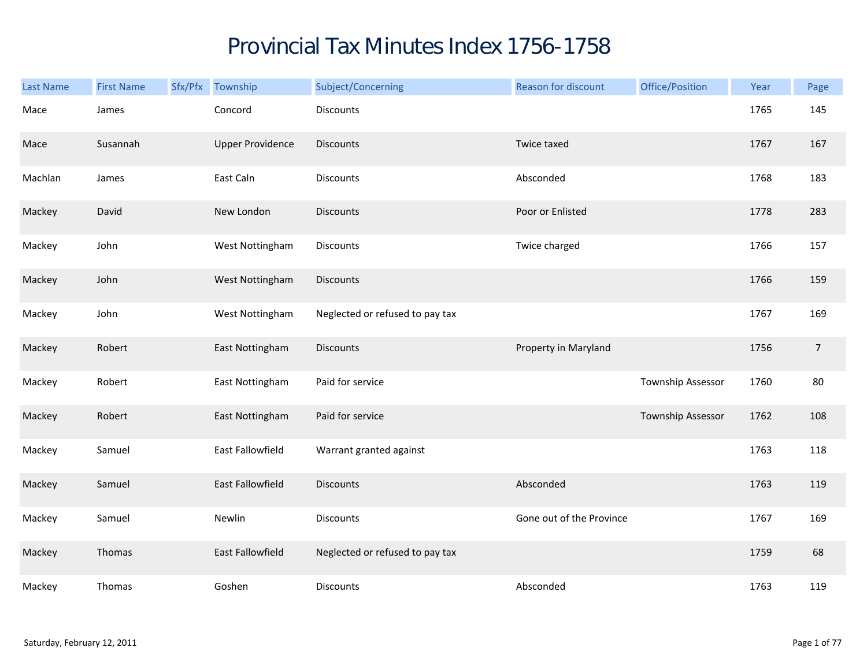## Provincial Tax Minutes Index 1756-1758

| <b>Last Name</b> | <b>First Name</b> | Sfx/Pfx Township        | Subject/Concerning              | <b>Reason for discount</b> | Office/Position   | Year | Page       |
|------------------|-------------------|-------------------------|---------------------------------|----------------------------|-------------------|------|------------|
| Mace             | James             | Concord                 | Discounts                       |                            |                   | 1765 | 145        |
| Mace             | Susannah          | <b>Upper Providence</b> | <b>Discounts</b>                | Twice taxed                |                   | 1767 | 167        |
| Machlan          | James             | East Caln               | Discounts                       | Absconded                  |                   | 1768 | 183        |
| Mackey           | David             | New London              | <b>Discounts</b>                | Poor or Enlisted           |                   | 1778 | 283        |
| Mackey           | John              | West Nottingham         | <b>Discounts</b>                | Twice charged              |                   | 1766 | 157        |
| Mackey           | John              | West Nottingham         | <b>Discounts</b>                |                            |                   | 1766 | 159        |
| Mackey           | John              | West Nottingham         | Neglected or refused to pay tax |                            |                   | 1767 | 169        |
| Mackey           | Robert            | East Nottingham         | <b>Discounts</b>                | Property in Maryland       |                   | 1756 | $\sqrt{ }$ |
| Mackey           | Robert            | East Nottingham         | Paid for service                |                            | Township Assessor | 1760 | 80         |
| Mackey           | Robert            | East Nottingham         | Paid for service                |                            | Township Assessor | 1762 | 108        |
| Mackey           | Samuel            | East Fallowfield        | Warrant granted against         |                            |                   | 1763 | 118        |
| Mackey           | Samuel            | East Fallowfield        | <b>Discounts</b>                | Absconded                  |                   | 1763 | 119        |
| Mackey           | Samuel            | Newlin                  | <b>Discounts</b>                | Gone out of the Province   |                   | 1767 | 169        |
| Mackey           | Thomas            | East Fallowfield        | Neglected or refused to pay tax |                            |                   | 1759 | 68         |
| Mackey           | Thomas            | Goshen                  | Discounts                       | Absconded                  |                   | 1763 | 119        |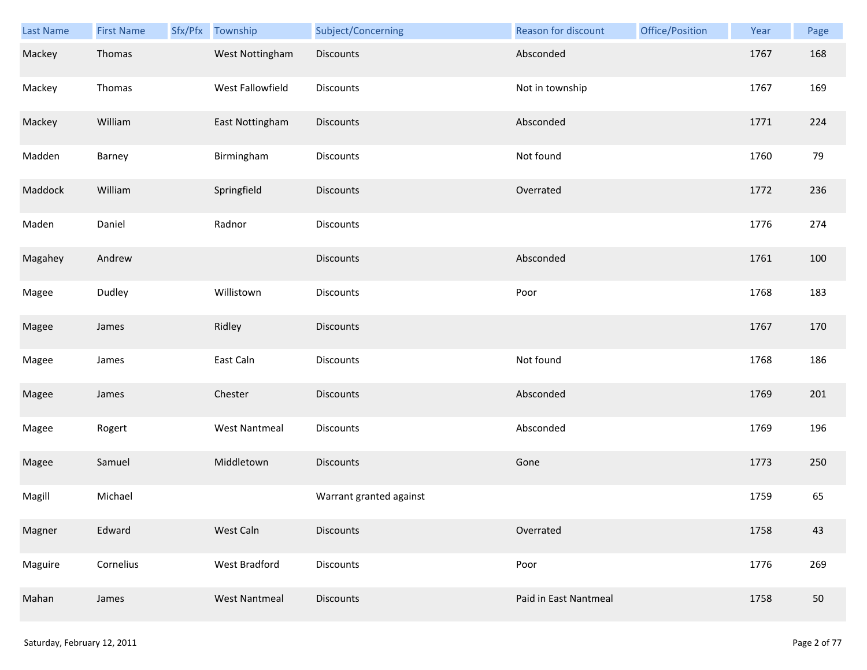| Last Name | <b>First Name</b> | Sfx/Pfx Township     | Subject/Concerning      | Reason for discount   | Office/Position | Year | Page |
|-----------|-------------------|----------------------|-------------------------|-----------------------|-----------------|------|------|
| Mackey    | Thomas            | West Nottingham      | <b>Discounts</b>        | Absconded             |                 | 1767 | 168  |
| Mackey    | Thomas            | West Fallowfield     | Discounts               | Not in township       |                 | 1767 | 169  |
| Mackey    | William           | East Nottingham      | Discounts               | Absconded             |                 | 1771 | 224  |
| Madden    | Barney            | Birmingham           | Discounts               | Not found             |                 | 1760 | 79   |
| Maddock   | William           | Springfield          | <b>Discounts</b>        | Overrated             |                 | 1772 | 236  |
| Maden     | Daniel            | Radnor               | Discounts               |                       |                 | 1776 | 274  |
| Magahey   | Andrew            |                      | Discounts               | Absconded             |                 | 1761 | 100  |
| Magee     | Dudley            | Willistown           | Discounts               | Poor                  |                 | 1768 | 183  |
| Magee     | James             | Ridley               | <b>Discounts</b>        |                       |                 | 1767 | 170  |
| Magee     | James             | East Caln            | Discounts               | Not found             |                 | 1768 | 186  |
| Magee     | James             | Chester              | Discounts               | Absconded             |                 | 1769 | 201  |
| Magee     | Rogert            | <b>West Nantmeal</b> | Discounts               | Absconded             |                 | 1769 | 196  |
| Magee     | Samuel            | Middletown           | <b>Discounts</b>        | Gone                  |                 | 1773 | 250  |
| Magill    | Michael           |                      | Warrant granted against |                       |                 | 1759 | 65   |
| Magner    | Edward            | West Caln            | <b>Discounts</b>        | Overrated             |                 | 1758 | 43   |
| Maguire   | Cornelius         | <b>West Bradford</b> | Discounts               | Poor                  |                 | 1776 | 269  |
| Mahan     | James             | <b>West Nantmeal</b> | Discounts               | Paid in East Nantmeal |                 | 1758 | 50   |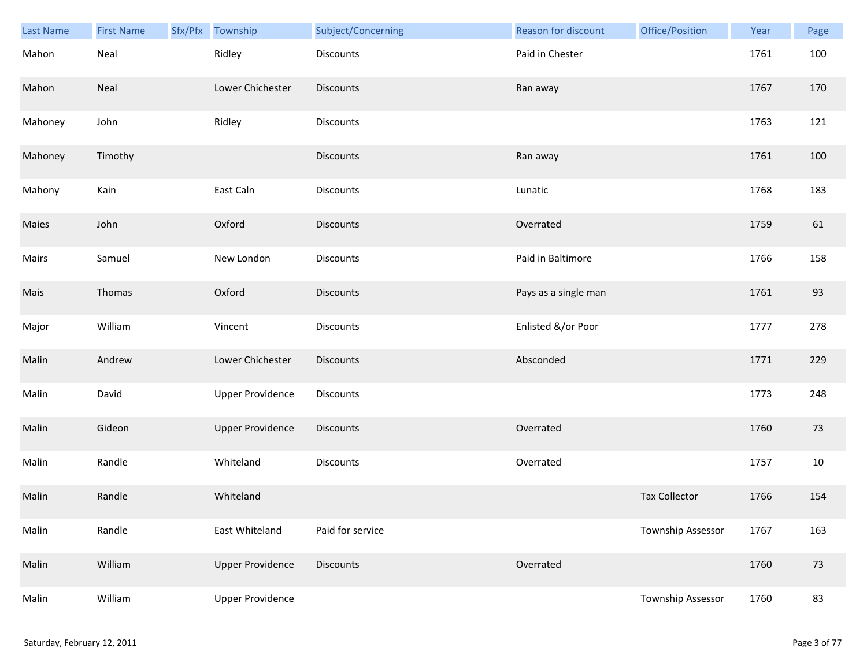| Last Name | <b>First Name</b> | Sfx/Pfx Township        | Subject/Concerning | Reason for discount  | Office/Position      | Year | Page |
|-----------|-------------------|-------------------------|--------------------|----------------------|----------------------|------|------|
| Mahon     | Neal              | Ridley                  | Discounts          | Paid in Chester      |                      | 1761 | 100  |
| Mahon     | Neal              | Lower Chichester        | <b>Discounts</b>   | Ran away             |                      | 1767 | 170  |
| Mahoney   | John              | Ridley                  | Discounts          |                      |                      | 1763 | 121  |
| Mahoney   | Timothy           |                         | <b>Discounts</b>   | Ran away             |                      | 1761 | 100  |
| Mahony    | Kain              | East Caln               | Discounts          | Lunatic              |                      | 1768 | 183  |
| Maies     | John              | Oxford                  | <b>Discounts</b>   | Overrated            |                      | 1759 | 61   |
| Mairs     | Samuel            | New London              | Discounts          | Paid in Baltimore    |                      | 1766 | 158  |
| Mais      | Thomas            | Oxford                  | Discounts          | Pays as a single man |                      | 1761 | 93   |
| Major     | William           | Vincent                 | Discounts          | Enlisted &/or Poor   |                      | 1777 | 278  |
| Malin     | Andrew            | Lower Chichester        | <b>Discounts</b>   | Absconded            |                      | 1771 | 229  |
| Malin     | David             | <b>Upper Providence</b> | Discounts          |                      |                      | 1773 | 248  |
| Malin     | Gideon            | <b>Upper Providence</b> | Discounts          | Overrated            |                      | 1760 | 73   |
| Malin     | Randle            | Whiteland               | Discounts          | Overrated            |                      | 1757 | 10   |
| Malin     | Randle            | Whiteland               |                    |                      | <b>Tax Collector</b> | 1766 | 154  |
| Malin     | Randle            | East Whiteland          | Paid for service   |                      | Township Assessor    | 1767 | 163  |
| Malin     | William           | <b>Upper Providence</b> | Discounts          | Overrated            |                      | 1760 | 73   |
| Malin     | William           | <b>Upper Providence</b> |                    |                      | Township Assessor    | 1760 | 83   |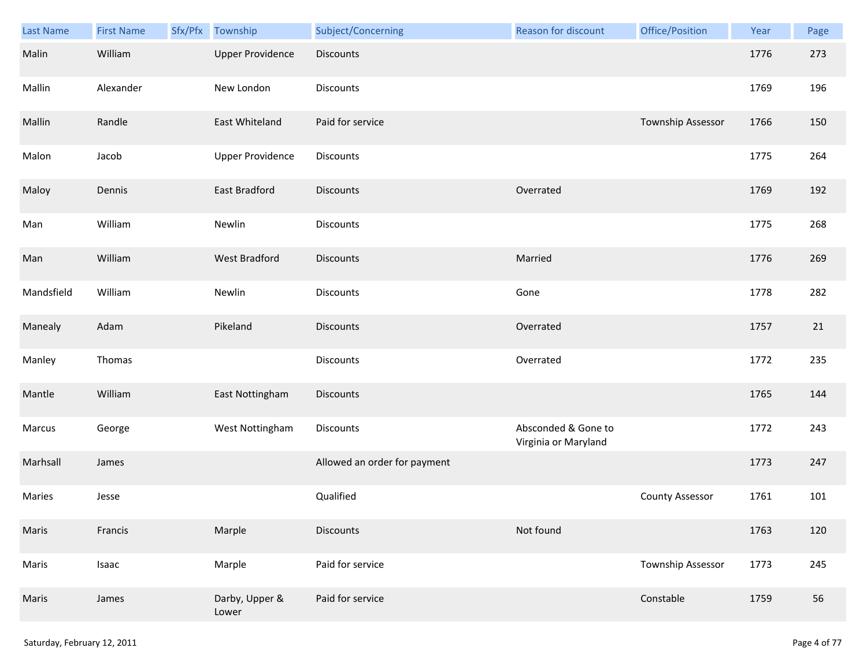| Last Name  | <b>First Name</b> | Sfx/Pfx | Township                | Subject/Concerning           | Reason for discount                         | Office/Position          | Year | Page |
|------------|-------------------|---------|-------------------------|------------------------------|---------------------------------------------|--------------------------|------|------|
| Malin      | William           |         | <b>Upper Providence</b> | <b>Discounts</b>             |                                             |                          | 1776 | 273  |
| Mallin     | Alexander         |         | New London              | <b>Discounts</b>             |                                             |                          | 1769 | 196  |
| Mallin     | Randle            |         | East Whiteland          | Paid for service             |                                             | Township Assessor        | 1766 | 150  |
| Malon      | Jacob             |         | <b>Upper Providence</b> | <b>Discounts</b>             |                                             |                          | 1775 | 264  |
| Maloy      | Dennis            |         | East Bradford           | <b>Discounts</b>             | Overrated                                   |                          | 1769 | 192  |
| Man        | William           |         | Newlin                  | Discounts                    |                                             |                          | 1775 | 268  |
| Man        | William           |         | West Bradford           | Discounts                    | Married                                     |                          | 1776 | 269  |
| Mandsfield | William           |         | Newlin                  | Discounts                    | Gone                                        |                          | 1778 | 282  |
| Manealy    | Adam              |         | Pikeland                | <b>Discounts</b>             | Overrated                                   |                          | 1757 | 21   |
| Manley     | Thomas            |         |                         | Discounts                    | Overrated                                   |                          | 1772 | 235  |
| Mantle     | William           |         | East Nottingham         | Discounts                    |                                             |                          | 1765 | 144  |
| Marcus     | George            |         | West Nottingham         | Discounts                    | Absconded & Gone to<br>Virginia or Maryland |                          | 1772 | 243  |
| Marhsall   | James             |         |                         | Allowed an order for payment |                                             |                          | 1773 | 247  |
| Maries     | Jesse             |         |                         | Qualified                    |                                             | <b>County Assessor</b>   | 1761 | 101  |
| Maris      | Francis           |         | Marple                  | <b>Discounts</b>             | Not found                                   |                          | 1763 | 120  |
| Maris      | Isaac             |         | Marple                  | Paid for service             |                                             | <b>Township Assessor</b> | 1773 | 245  |
| Maris      | James             |         | Darby, Upper &<br>Lower | Paid for service             |                                             | Constable                | 1759 | 56   |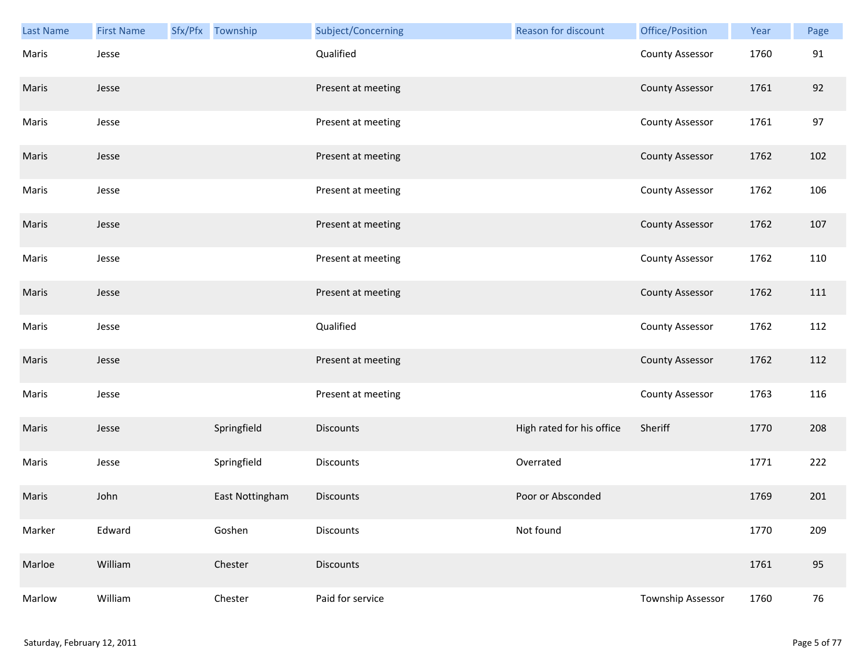| Last Name | <b>First Name</b> | Sfx/Pfx Township | Subject/Concerning | Reason for discount       | Office/Position        | Year | Page   |
|-----------|-------------------|------------------|--------------------|---------------------------|------------------------|------|--------|
| Maris     | Jesse             |                  | Qualified          |                           | <b>County Assessor</b> | 1760 | 91     |
| Maris     | Jesse             |                  | Present at meeting |                           | <b>County Assessor</b> | 1761 | 92     |
| Maris     | Jesse             |                  | Present at meeting |                           | <b>County Assessor</b> | 1761 | 97     |
| Maris     | Jesse             |                  | Present at meeting |                           | <b>County Assessor</b> | 1762 | 102    |
| Maris     | Jesse             |                  | Present at meeting |                           | <b>County Assessor</b> | 1762 | 106    |
| Maris     | Jesse             |                  | Present at meeting |                           | <b>County Assessor</b> | 1762 | 107    |
| Maris     | Jesse             |                  | Present at meeting |                           | <b>County Assessor</b> | 1762 | 110    |
| Maris     | Jesse             |                  | Present at meeting |                           | <b>County Assessor</b> | 1762 | 111    |
| Maris     | Jesse             |                  | Qualified          |                           | <b>County Assessor</b> | 1762 | 112    |
| Maris     | Jesse             |                  | Present at meeting |                           | <b>County Assessor</b> | 1762 | 112    |
| Maris     | Jesse             |                  | Present at meeting |                           | <b>County Assessor</b> | 1763 | 116    |
| Maris     | Jesse             | Springfield      | <b>Discounts</b>   | High rated for his office | Sheriff                | 1770 | 208    |
| Maris     | Jesse             | Springfield      | Discounts          | Overrated                 |                        | 1771 | 222    |
| Maris     | John              | East Nottingham  | <b>Discounts</b>   | Poor or Absconded         |                        | 1769 | 201    |
| Marker    | Edward            | Goshen           | Discounts          | Not found                 |                        | 1770 | 209    |
| Marloe    | William           | Chester          | <b>Discounts</b>   |                           |                        | 1761 | 95     |
| Marlow    | William           | Chester          | Paid for service   |                           | Township Assessor      | 1760 | $76\,$ |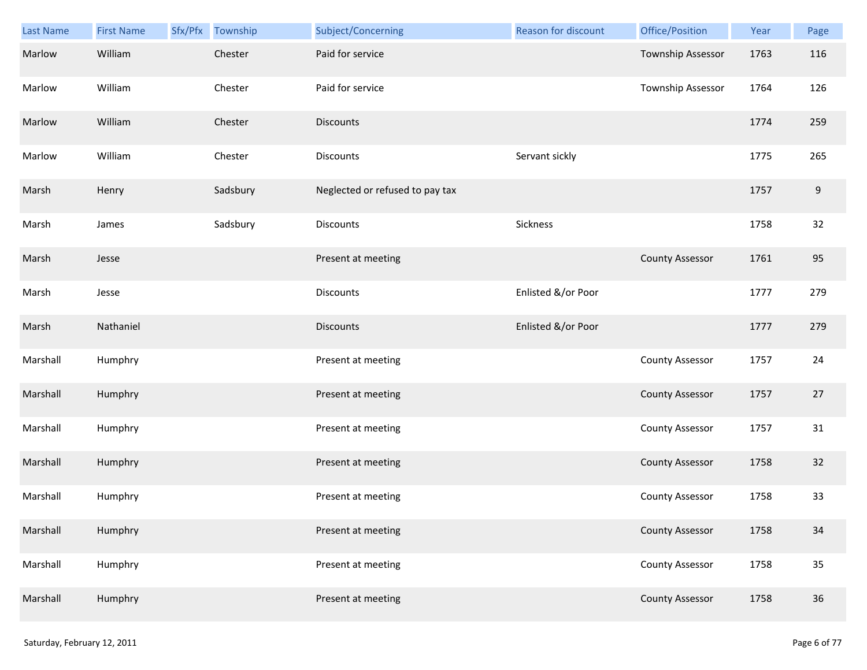| Last Name | <b>First Name</b> | Sfx/Pfx Township | Subject/Concerning              | Reason for discount | Office/Position        | Year | Page             |
|-----------|-------------------|------------------|---------------------------------|---------------------|------------------------|------|------------------|
| Marlow    | William           | Chester          | Paid for service                |                     | Township Assessor      | 1763 | 116              |
| Marlow    | William           | Chester          | Paid for service                |                     | Township Assessor      | 1764 | 126              |
| Marlow    | William           | Chester          | <b>Discounts</b>                |                     |                        | 1774 | 259              |
| Marlow    | William           | Chester          | <b>Discounts</b>                | Servant sickly      |                        | 1775 | 265              |
| Marsh     | Henry             | Sadsbury         | Neglected or refused to pay tax |                     |                        | 1757 | $\boldsymbol{9}$ |
| Marsh     | James             | Sadsbury         | <b>Discounts</b>                | Sickness            |                        | 1758 | 32               |
| Marsh     | Jesse             |                  | Present at meeting              |                     | <b>County Assessor</b> | 1761 | 95               |
| Marsh     | Jesse             |                  | <b>Discounts</b>                | Enlisted &/or Poor  |                        | 1777 | 279              |
| Marsh     | Nathaniel         |                  | <b>Discounts</b>                | Enlisted &/or Poor  |                        | 1777 | 279              |
| Marshall  | Humphry           |                  | Present at meeting              |                     | <b>County Assessor</b> | 1757 | 24               |
| Marshall  | Humphry           |                  | Present at meeting              |                     | <b>County Assessor</b> | 1757 | 27               |
| Marshall  | Humphry           |                  | Present at meeting              |                     | <b>County Assessor</b> | 1757 | 31               |
| Marshall  | Humphry           |                  | Present at meeting              |                     | <b>County Assessor</b> | 1758 | 32               |
| Marshall  | Humphry           |                  | Present at meeting              |                     | <b>County Assessor</b> | 1758 | 33               |
| Marshall  | Humphry           |                  | Present at meeting              |                     | <b>County Assessor</b> | 1758 | 34               |
| Marshall  | Humphry           |                  | Present at meeting              |                     | <b>County Assessor</b> | 1758 | 35               |
| Marshall  | Humphry           |                  | Present at meeting              |                     | <b>County Assessor</b> | 1758 | 36               |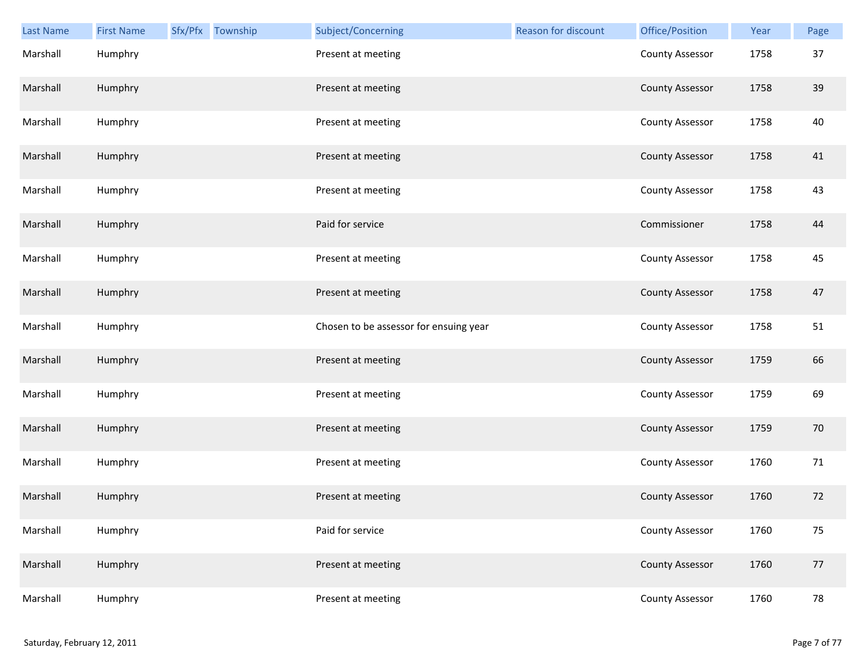| Last Name | <b>First Name</b> | Sfx/Pfx Township | Subject/Concerning                     | <b>Reason for discount</b> | Office/Position        | Year | Page |
|-----------|-------------------|------------------|----------------------------------------|----------------------------|------------------------|------|------|
| Marshall  | Humphry           |                  | Present at meeting                     |                            | <b>County Assessor</b> | 1758 | 37   |
| Marshall  | Humphry           |                  | Present at meeting                     |                            | <b>County Assessor</b> | 1758 | 39   |
| Marshall  | Humphry           |                  | Present at meeting                     |                            | <b>County Assessor</b> | 1758 | 40   |
| Marshall  | Humphry           |                  | Present at meeting                     |                            | <b>County Assessor</b> | 1758 | 41   |
| Marshall  | Humphry           |                  | Present at meeting                     |                            | <b>County Assessor</b> | 1758 | 43   |
| Marshall  | Humphry           |                  | Paid for service                       |                            | Commissioner           | 1758 | 44   |
| Marshall  | Humphry           |                  | Present at meeting                     |                            | <b>County Assessor</b> | 1758 | 45   |
| Marshall  | Humphry           |                  | Present at meeting                     |                            | <b>County Assessor</b> | 1758 | 47   |
| Marshall  | Humphry           |                  | Chosen to be assessor for ensuing year |                            | <b>County Assessor</b> | 1758 | 51   |
| Marshall  | Humphry           |                  | Present at meeting                     |                            | <b>County Assessor</b> | 1759 | 66   |
| Marshall  | Humphry           |                  | Present at meeting                     |                            | <b>County Assessor</b> | 1759 | 69   |
| Marshall  | Humphry           |                  | Present at meeting                     |                            | <b>County Assessor</b> | 1759 | 70   |
| Marshall  | Humphry           |                  | Present at meeting                     |                            | <b>County Assessor</b> | 1760 | 71   |
| Marshall  | Humphry           |                  | Present at meeting                     |                            | <b>County Assessor</b> | 1760 | 72   |
| Marshall  | Humphry           |                  | Paid for service                       |                            | <b>County Assessor</b> | 1760 | 75   |
| Marshall  | Humphry           |                  | Present at meeting                     |                            | <b>County Assessor</b> | 1760 | 77   |
| Marshall  | Humphry           |                  | Present at meeting                     |                            | <b>County Assessor</b> | 1760 | 78   |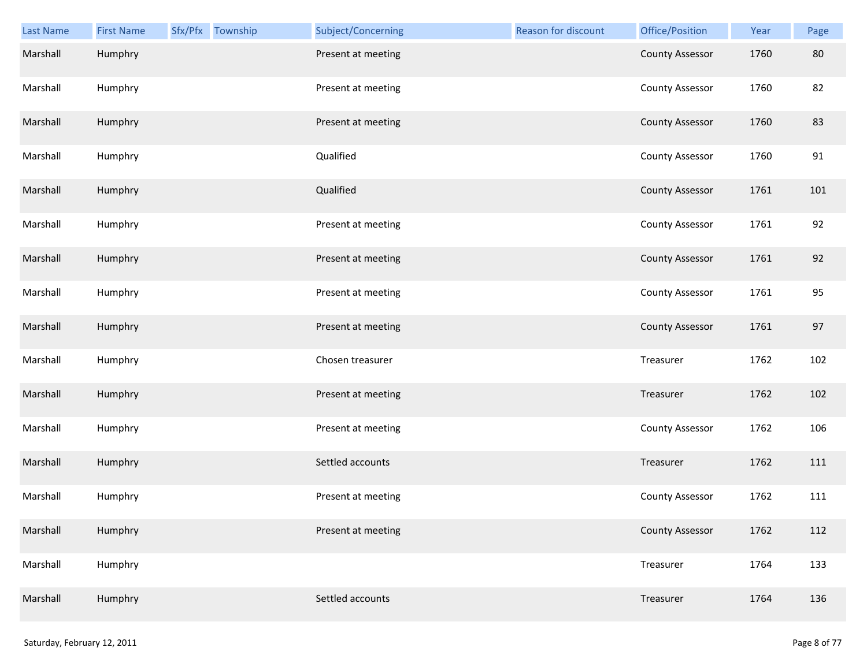| Last Name | <b>First Name</b> | Sfx/Pfx Township | Subject/Concerning | Reason for discount | Office/Position        | Year | Page |
|-----------|-------------------|------------------|--------------------|---------------------|------------------------|------|------|
| Marshall  | Humphry           |                  | Present at meeting |                     | <b>County Assessor</b> | 1760 | 80   |
| Marshall  | Humphry           |                  | Present at meeting |                     | <b>County Assessor</b> | 1760 | 82   |
| Marshall  | Humphry           |                  | Present at meeting |                     | <b>County Assessor</b> | 1760 | 83   |
| Marshall  | Humphry           |                  | Qualified          |                     | <b>County Assessor</b> | 1760 | 91   |
| Marshall  | Humphry           |                  | Qualified          |                     | <b>County Assessor</b> | 1761 | 101  |
| Marshall  | Humphry           |                  | Present at meeting |                     | <b>County Assessor</b> | 1761 | 92   |
| Marshall  | Humphry           |                  | Present at meeting |                     | <b>County Assessor</b> | 1761 | 92   |
| Marshall  | Humphry           |                  | Present at meeting |                     | <b>County Assessor</b> | 1761 | 95   |
| Marshall  | Humphry           |                  | Present at meeting |                     | <b>County Assessor</b> | 1761 | 97   |
| Marshall  | Humphry           |                  | Chosen treasurer   |                     | Treasurer              | 1762 | 102  |
| Marshall  | Humphry           |                  | Present at meeting |                     | Treasurer              | 1762 | 102  |
| Marshall  | Humphry           |                  | Present at meeting |                     | <b>County Assessor</b> | 1762 | 106  |
| Marshall  | Humphry           |                  | Settled accounts   |                     | Treasurer              | 1762 | 111  |
| Marshall  | Humphry           |                  | Present at meeting |                     | <b>County Assessor</b> | 1762 | 111  |
| Marshall  | Humphry           |                  | Present at meeting |                     | <b>County Assessor</b> | 1762 | 112  |
| Marshall  | Humphry           |                  |                    |                     | Treasurer              | 1764 | 133  |
| Marshall  | Humphry           |                  | Settled accounts   |                     | Treasurer              | 1764 | 136  |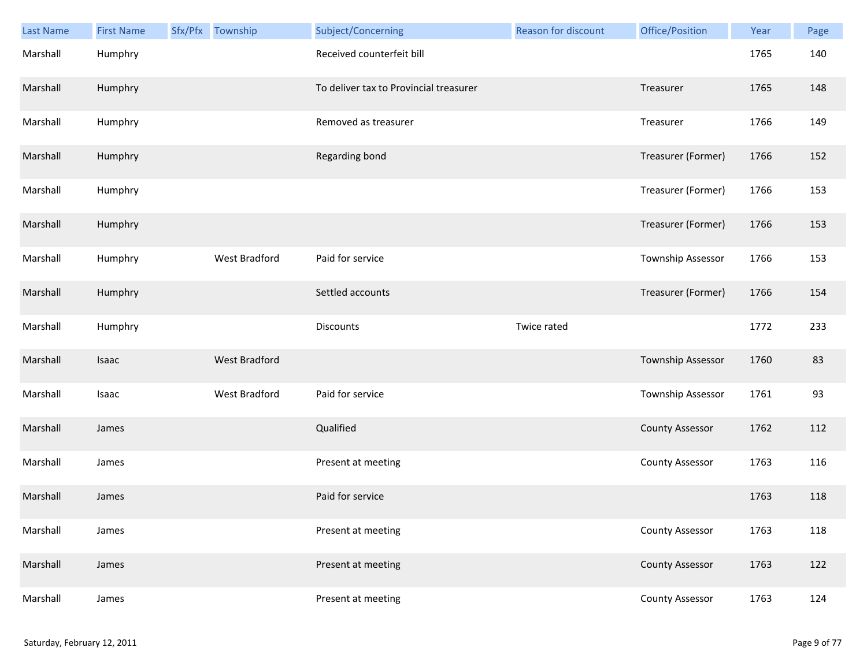| <b>Last Name</b> | <b>First Name</b> | Sfx/Pfx Township     | Subject/Concerning                     | <b>Reason for discount</b> | Office/Position        | Year | Page |
|------------------|-------------------|----------------------|----------------------------------------|----------------------------|------------------------|------|------|
| Marshall         | Humphry           |                      | Received counterfeit bill              |                            |                        | 1765 | 140  |
| Marshall         | Humphry           |                      | To deliver tax to Provincial treasurer |                            | Treasurer              | 1765 | 148  |
| Marshall         | Humphry           |                      | Removed as treasurer                   |                            | Treasurer              | 1766 | 149  |
| Marshall         | Humphry           |                      | Regarding bond                         |                            | Treasurer (Former)     | 1766 | 152  |
| Marshall         | Humphry           |                      |                                        |                            | Treasurer (Former)     | 1766 | 153  |
| Marshall         | Humphry           |                      |                                        |                            | Treasurer (Former)     | 1766 | 153  |
| Marshall         | Humphry           | West Bradford        | Paid for service                       |                            | Township Assessor      | 1766 | 153  |
| Marshall         | Humphry           |                      | Settled accounts                       |                            | Treasurer (Former)     | 1766 | 154  |
| Marshall         | Humphry           |                      | Discounts                              | Twice rated                |                        | 1772 | 233  |
| Marshall         | Isaac             | <b>West Bradford</b> |                                        |                            | Township Assessor      | 1760 | 83   |
| Marshall         | Isaac             | West Bradford        | Paid for service                       |                            | Township Assessor      | 1761 | 93   |
| Marshall         | James             |                      | Qualified                              |                            | <b>County Assessor</b> | 1762 | 112  |
| Marshall         | James             |                      | Present at meeting                     |                            | <b>County Assessor</b> | 1763 | 116  |
| Marshall         | James             |                      | Paid for service                       |                            |                        | 1763 | 118  |
| Marshall         | James             |                      | Present at meeting                     |                            | County Assessor        | 1763 | 118  |
| Marshall         | James             |                      | Present at meeting                     |                            | <b>County Assessor</b> | 1763 | 122  |
| Marshall         | James             |                      | Present at meeting                     |                            | <b>County Assessor</b> | 1763 | 124  |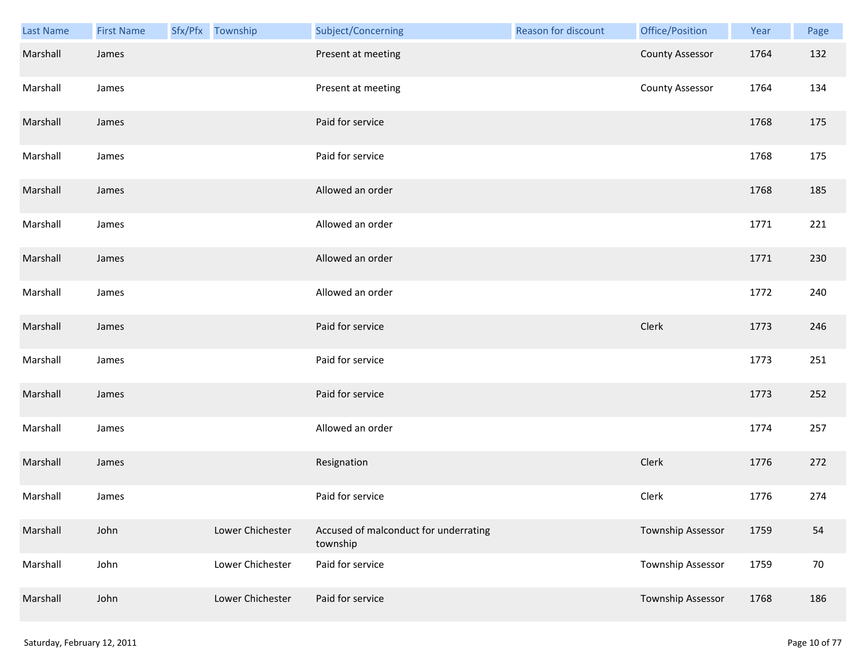| Last Name | <b>First Name</b> | Sfx/Pfx Township | Subject/Concerning                                | <b>Reason for discount</b> | Office/Position        | Year | Page |
|-----------|-------------------|------------------|---------------------------------------------------|----------------------------|------------------------|------|------|
| Marshall  | James             |                  | Present at meeting                                |                            | <b>County Assessor</b> | 1764 | 132  |
| Marshall  | James             |                  | Present at meeting                                |                            | <b>County Assessor</b> | 1764 | 134  |
| Marshall  | James             |                  | Paid for service                                  |                            |                        | 1768 | 175  |
| Marshall  | James             |                  | Paid for service                                  |                            |                        | 1768 | 175  |
| Marshall  | James             |                  | Allowed an order                                  |                            |                        | 1768 | 185  |
| Marshall  | James             |                  | Allowed an order                                  |                            |                        | 1771 | 221  |
| Marshall  | James             |                  | Allowed an order                                  |                            |                        | 1771 | 230  |
| Marshall  | James             |                  | Allowed an order                                  |                            |                        | 1772 | 240  |
| Marshall  | James             |                  | Paid for service                                  |                            | Clerk                  | 1773 | 246  |
| Marshall  | James             |                  | Paid for service                                  |                            |                        | 1773 | 251  |
| Marshall  | James             |                  | Paid for service                                  |                            |                        | 1773 | 252  |
| Marshall  | James             |                  | Allowed an order                                  |                            |                        | 1774 | 257  |
| Marshall  | James             |                  | Resignation                                       |                            | Clerk                  | 1776 | 272  |
| Marshall  | James             |                  | Paid for service                                  |                            | Clerk                  | 1776 | 274  |
| Marshall  | John              | Lower Chichester | Accused of malconduct for underrating<br>township |                            | Township Assessor      | 1759 | 54   |
| Marshall  | John              | Lower Chichester | Paid for service                                  |                            | Township Assessor      | 1759 | 70   |
| Marshall  | John              | Lower Chichester | Paid for service                                  |                            | Township Assessor      | 1768 | 186  |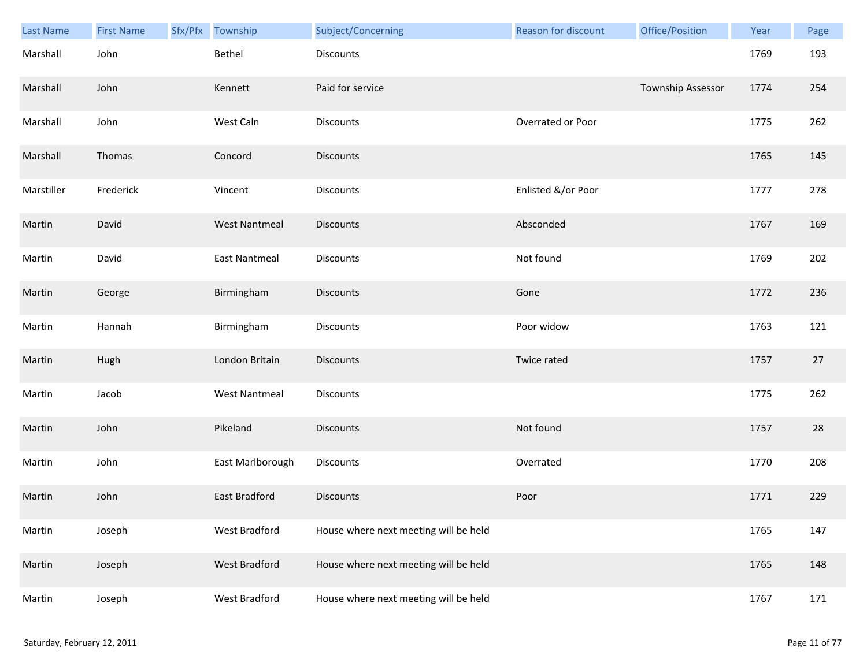| Last Name  | <b>First Name</b> | Sfx/Pfx | Township             | Subject/Concerning                    | <b>Reason for discount</b> | Office/Position   | Year | Page |
|------------|-------------------|---------|----------------------|---------------------------------------|----------------------------|-------------------|------|------|
| Marshall   | John              |         | Bethel               | <b>Discounts</b>                      |                            |                   | 1769 | 193  |
| Marshall   | John              |         | Kennett              | Paid for service                      |                            | Township Assessor | 1774 | 254  |
| Marshall   | John              |         | West Caln            | Discounts                             | Overrated or Poor          |                   | 1775 | 262  |
| Marshall   | Thomas            |         | Concord              | <b>Discounts</b>                      |                            |                   | 1765 | 145  |
| Marstiller | Frederick         |         | Vincent              | Discounts                             | Enlisted &/or Poor         |                   | 1777 | 278  |
| Martin     | David             |         | <b>West Nantmeal</b> | <b>Discounts</b>                      | Absconded                  |                   | 1767 | 169  |
| Martin     | David             |         | <b>East Nantmeal</b> | Discounts                             | Not found                  |                   | 1769 | 202  |
| Martin     | George            |         | Birmingham           | <b>Discounts</b>                      | Gone                       |                   | 1772 | 236  |
| Martin     | Hannah            |         | Birmingham           | <b>Discounts</b>                      | Poor widow                 |                   | 1763 | 121  |
| Martin     | Hugh              |         | London Britain       | <b>Discounts</b>                      | Twice rated                |                   | 1757 | 27   |
| Martin     | Jacob             |         | <b>West Nantmeal</b> | Discounts                             |                            |                   | 1775 | 262  |
| Martin     | John              |         | Pikeland             | <b>Discounts</b>                      | Not found                  |                   | 1757 | 28   |
| Martin     | John              |         | East Marlborough     | Discounts                             | Overrated                  |                   | 1770 | 208  |
| Martin     | John              |         | East Bradford        | Discounts                             | Poor                       |                   | 1771 | 229  |
| Martin     | Joseph            |         | West Bradford        | House where next meeting will be held |                            |                   | 1765 | 147  |
| Martin     | Joseph            |         | West Bradford        | House where next meeting will be held |                            |                   | 1765 | 148  |
| Martin     | Joseph            |         | West Bradford        | House where next meeting will be held |                            |                   | 1767 | 171  |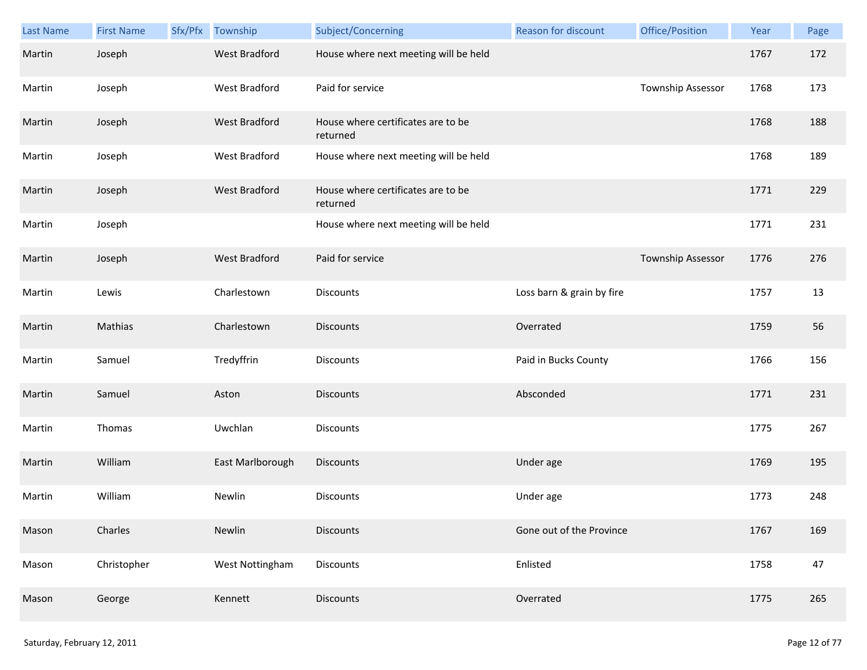| Last Name | <b>First Name</b> | Sfx/Pfx Township     | Subject/Concerning                             | Reason for discount       | Office/Position   | Year | Page |
|-----------|-------------------|----------------------|------------------------------------------------|---------------------------|-------------------|------|------|
| Martin    | Joseph            | <b>West Bradford</b> | House where next meeting will be held          |                           |                   | 1767 | 172  |
| Martin    | Joseph            | West Bradford        | Paid for service                               |                           | Township Assessor | 1768 | 173  |
| Martin    | Joseph            | <b>West Bradford</b> | House where certificates are to be<br>returned |                           |                   | 1768 | 188  |
| Martin    | Joseph            | West Bradford        | House where next meeting will be held          |                           |                   | 1768 | 189  |
| Martin    | Joseph            | <b>West Bradford</b> | House where certificates are to be<br>returned |                           |                   | 1771 | 229  |
| Martin    | Joseph            |                      | House where next meeting will be held          |                           |                   | 1771 | 231  |
| Martin    | Joseph            | <b>West Bradford</b> | Paid for service                               |                           | Township Assessor | 1776 | 276  |
| Martin    | Lewis             | Charlestown          | <b>Discounts</b>                               | Loss barn & grain by fire |                   | 1757 | 13   |
| Martin    | Mathias           | Charlestown          | <b>Discounts</b>                               | Overrated                 |                   | 1759 | 56   |
| Martin    | Samuel            | Tredyffrin           | Discounts                                      | Paid in Bucks County      |                   | 1766 | 156  |
| Martin    | Samuel            | Aston                | <b>Discounts</b>                               | Absconded                 |                   | 1771 | 231  |
| Martin    | Thomas            | Uwchlan              | Discounts                                      |                           |                   | 1775 | 267  |
| Martin    | William           | East Marlborough     | <b>Discounts</b>                               | Under age                 |                   | 1769 | 195  |
| Martin    | William           | Newlin               | <b>Discounts</b>                               | Under age                 |                   | 1773 | 248  |
| Mason     | Charles           | Newlin               | <b>Discounts</b>                               | Gone out of the Province  |                   | 1767 | 169  |
| Mason     | Christopher       | West Nottingham      | Discounts                                      | Enlisted                  |                   | 1758 | 47   |
| Mason     | George            | Kennett              | <b>Discounts</b>                               | Overrated                 |                   | 1775 | 265  |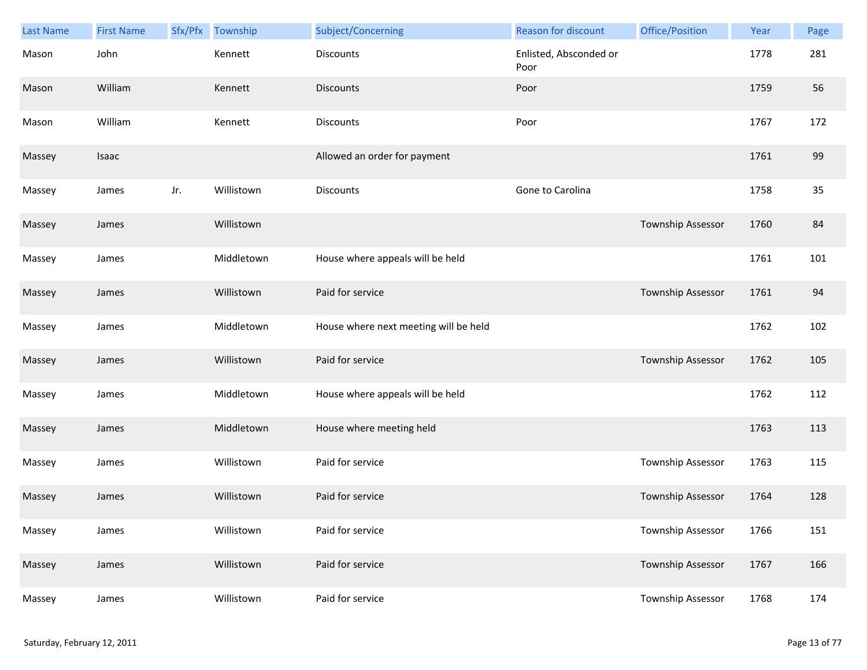| Last Name | <b>First Name</b> | Sfx/Pfx | Township   | Subject/Concerning                    | Reason for discount            | Office/Position   | Year | Page |
|-----------|-------------------|---------|------------|---------------------------------------|--------------------------------|-------------------|------|------|
| Mason     | John              |         | Kennett    | <b>Discounts</b>                      | Enlisted, Absconded or<br>Poor |                   | 1778 | 281  |
| Mason     | William           |         | Kennett    | <b>Discounts</b>                      | Poor                           |                   | 1759 | 56   |
| Mason     | William           |         | Kennett    | <b>Discounts</b>                      | Poor                           |                   | 1767 | 172  |
| Massey    | Isaac             |         |            | Allowed an order for payment          |                                |                   | 1761 | 99   |
| Massey    | James             | Jr.     | Willistown | <b>Discounts</b>                      | Gone to Carolina               |                   | 1758 | 35   |
| Massey    | James             |         | Willistown |                                       |                                | Township Assessor | 1760 | 84   |
| Massey    | James             |         | Middletown | House where appeals will be held      |                                |                   | 1761 | 101  |
| Massey    | James             |         | Willistown | Paid for service                      |                                | Township Assessor | 1761 | 94   |
| Massey    | James             |         | Middletown | House where next meeting will be held |                                |                   | 1762 | 102  |
| Massey    | James             |         | Willistown | Paid for service                      |                                | Township Assessor | 1762 | 105  |
| Massey    | James             |         | Middletown | House where appeals will be held      |                                |                   | 1762 | 112  |
| Massey    | James             |         | Middletown | House where meeting held              |                                |                   | 1763 | 113  |
| Massey    | James             |         | Willistown | Paid for service                      |                                | Township Assessor | 1763 | 115  |
| Massey    | James             |         | Willistown | Paid for service                      |                                | Township Assessor | 1764 | 128  |
| Massey    | James             |         | Willistown | Paid for service                      |                                | Township Assessor | 1766 | 151  |
| Massey    | James             |         | Willistown | Paid for service                      |                                | Township Assessor | 1767 | 166  |
| Massey    | James             |         | Willistown | Paid for service                      |                                | Township Assessor | 1768 | 174  |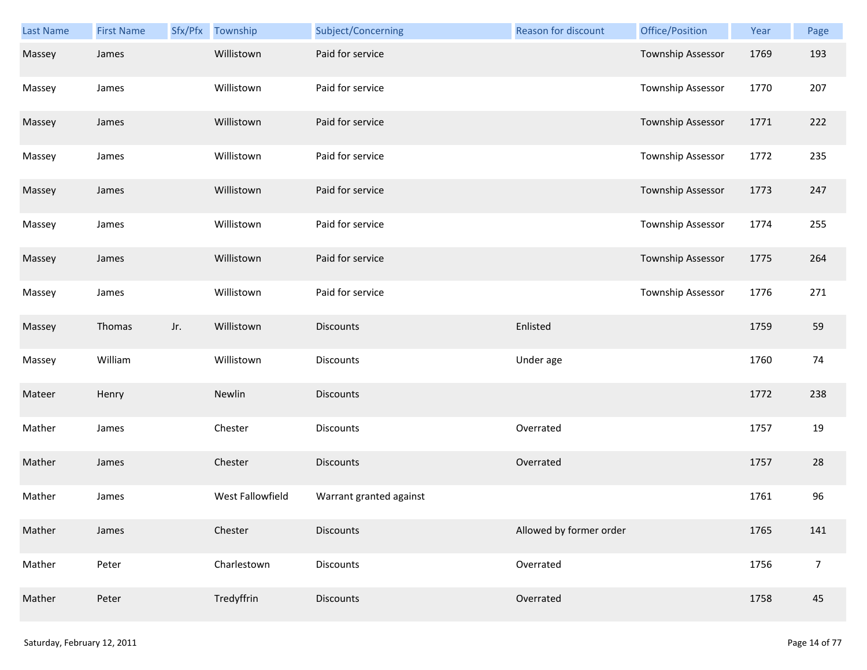| Last Name | <b>First Name</b> |     | Sfx/Pfx Township | Subject/Concerning      | Reason for discount     | Office/Position   | Year | Page           |
|-----------|-------------------|-----|------------------|-------------------------|-------------------------|-------------------|------|----------------|
| Massey    | James             |     | Willistown       | Paid for service        |                         | Township Assessor | 1769 | 193            |
| Massey    | James             |     | Willistown       | Paid for service        |                         | Township Assessor | 1770 | 207            |
| Massey    | James             |     | Willistown       | Paid for service        |                         | Township Assessor | 1771 | 222            |
| Massey    | James             |     | Willistown       | Paid for service        |                         | Township Assessor | 1772 | 235            |
| Massey    | James             |     | Willistown       | Paid for service        |                         | Township Assessor | 1773 | 247            |
| Massey    | James             |     | Willistown       | Paid for service        |                         | Township Assessor | 1774 | 255            |
| Massey    | James             |     | Willistown       | Paid for service        |                         | Township Assessor | 1775 | 264            |
| Massey    | James             |     | Willistown       | Paid for service        |                         | Township Assessor | 1776 | 271            |
| Massey    | Thomas            | Jr. | Willistown       | <b>Discounts</b>        | Enlisted                |                   | 1759 | 59             |
| Massey    | William           |     | Willistown       | <b>Discounts</b>        | Under age               |                   | 1760 | 74             |
| Mateer    | Henry             |     | Newlin           | <b>Discounts</b>        |                         |                   | 1772 | 238            |
| Mather    | James             |     | Chester          | <b>Discounts</b>        | Overrated               |                   | 1757 | 19             |
| Mather    | James             |     | Chester          | Discounts               | Overrated               |                   | 1757 | 28             |
| Mather    | James             |     | West Fallowfield | Warrant granted against |                         |                   | 1761 | 96             |
| Mather    | James             |     | Chester          | <b>Discounts</b>        | Allowed by former order |                   | 1765 | 141            |
| Mather    | Peter             |     | Charlestown      | Discounts               | Overrated               |                   | 1756 | $\overline{7}$ |
| Mather    | Peter             |     | Tredyffrin       | Discounts               | Overrated               |                   | 1758 | 45             |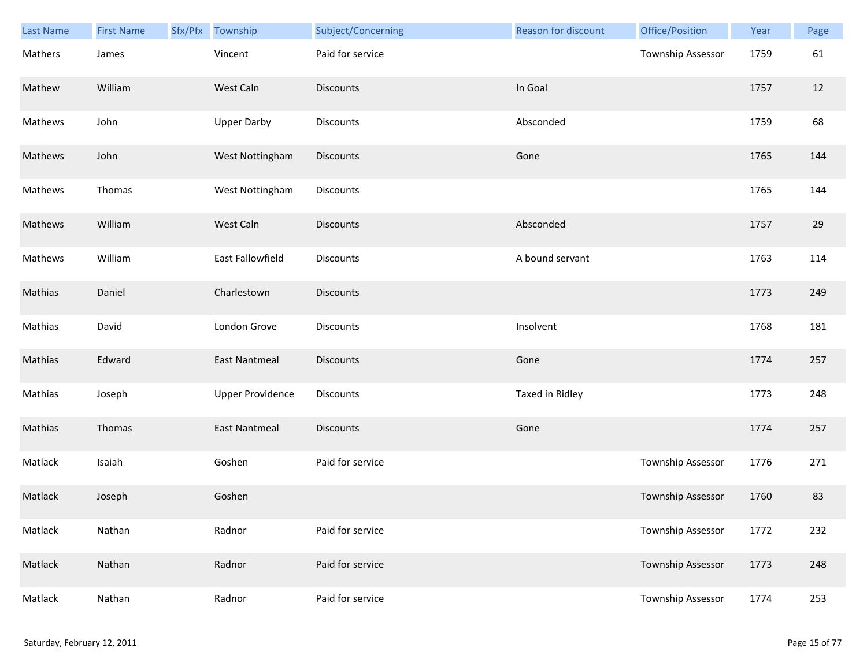| Last Name | <b>First Name</b> | Sfx/Pfx | Township                | Subject/Concerning | <b>Reason for discount</b> | Office/Position          | Year | Page |
|-----------|-------------------|---------|-------------------------|--------------------|----------------------------|--------------------------|------|------|
| Mathers   | James             |         | Vincent                 | Paid for service   |                            | <b>Township Assessor</b> | 1759 | 61   |
| Mathew    | William           |         | West Caln               | <b>Discounts</b>   | In Goal                    |                          | 1757 | 12   |
| Mathews   | John              |         | <b>Upper Darby</b>      | Discounts          | Absconded                  |                          | 1759 | 68   |
| Mathews   | John              |         | West Nottingham         | <b>Discounts</b>   | Gone                       |                          | 1765 | 144  |
| Mathews   | Thomas            |         | West Nottingham         | Discounts          |                            |                          | 1765 | 144  |
| Mathews   | William           |         | West Caln               | <b>Discounts</b>   | Absconded                  |                          | 1757 | 29   |
| Mathews   | William           |         | East Fallowfield        | <b>Discounts</b>   | A bound servant            |                          | 1763 | 114  |
| Mathias   | Daniel            |         | Charlestown             | <b>Discounts</b>   |                            |                          | 1773 | 249  |
| Mathias   | David             |         | London Grove            | <b>Discounts</b>   | Insolvent                  |                          | 1768 | 181  |
| Mathias   | Edward            |         | <b>East Nantmeal</b>    | <b>Discounts</b>   | Gone                       |                          | 1774 | 257  |
| Mathias   | Joseph            |         | <b>Upper Providence</b> | Discounts          | Taxed in Ridley            |                          | 1773 | 248  |
| Mathias   | Thomas            |         | <b>East Nantmeal</b>    | Discounts          | Gone                       |                          | 1774 | 257  |
| Matlack   | Isaiah            |         | Goshen                  | Paid for service   |                            | Township Assessor        | 1776 | 271  |
| Matlack   | Joseph            |         | Goshen                  |                    |                            | Township Assessor        | 1760 | 83   |
| Matlack   | Nathan            |         | Radnor                  | Paid for service   |                            | Township Assessor        | 1772 | 232  |
| Matlack   | Nathan            |         | Radnor                  | Paid for service   |                            | Township Assessor        | 1773 | 248  |
| Matlack   | Nathan            |         | Radnor                  | Paid for service   |                            | Township Assessor        | 1774 | 253  |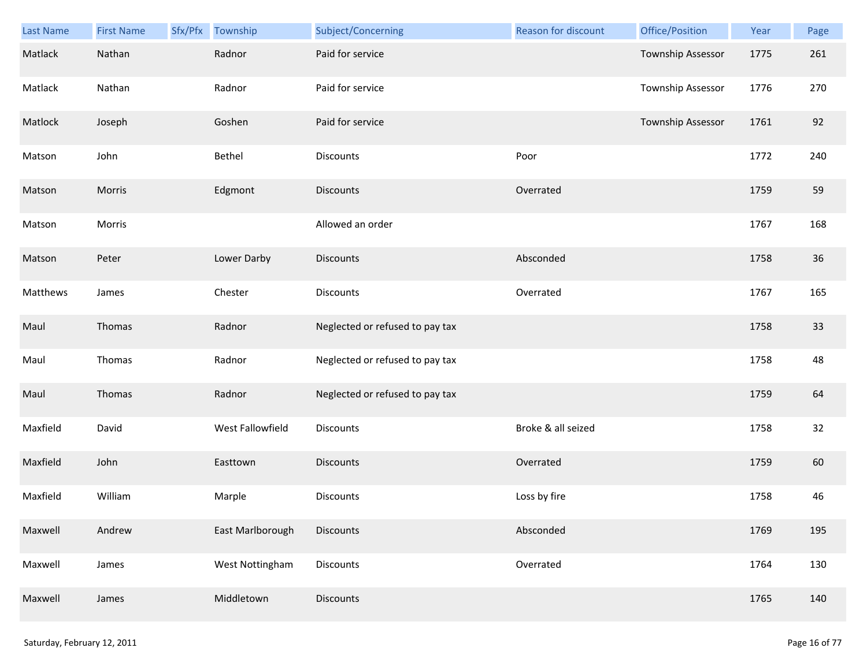| Last Name | <b>First Name</b> | Sfx/Pfx | Township         | Subject/Concerning              | Reason for discount | Office/Position   | Year | Page |
|-----------|-------------------|---------|------------------|---------------------------------|---------------------|-------------------|------|------|
| Matlack   | Nathan            |         | Radnor           | Paid for service                |                     | Township Assessor | 1775 | 261  |
| Matlack   | Nathan            |         | Radnor           | Paid for service                |                     | Township Assessor | 1776 | 270  |
| Matlock   | Joseph            |         | Goshen           | Paid for service                |                     | Township Assessor | 1761 | 92   |
| Matson    | John              |         | Bethel           | <b>Discounts</b>                | Poor                |                   | 1772 | 240  |
| Matson    | Morris            |         | Edgmont          | <b>Discounts</b>                | Overrated           |                   | 1759 | 59   |
| Matson    | Morris            |         |                  | Allowed an order                |                     |                   | 1767 | 168  |
| Matson    | Peter             |         | Lower Darby      | <b>Discounts</b>                | Absconded           |                   | 1758 | 36   |
| Matthews  | James             |         | Chester          | Discounts                       | Overrated           |                   | 1767 | 165  |
| Maul      | Thomas            |         | Radnor           | Neglected or refused to pay tax |                     |                   | 1758 | 33   |
| Maul      | Thomas            |         | Radnor           | Neglected or refused to pay tax |                     |                   | 1758 | 48   |
| Maul      | Thomas            |         | Radnor           | Neglected or refused to pay tax |                     |                   | 1759 | 64   |
| Maxfield  | David             |         | West Fallowfield | Discounts                       | Broke & all seized  |                   | 1758 | 32   |
| Maxfield  | John              |         | Easttown         | Discounts                       | Overrated           |                   | 1759 | 60   |
| Maxfield  | William           |         | Marple           | Discounts                       | Loss by fire        |                   | 1758 | 46   |
| Maxwell   | Andrew            |         | East Marlborough | <b>Discounts</b>                | Absconded           |                   | 1769 | 195  |
| Maxwell   | James             |         | West Nottingham  | <b>Discounts</b>                | Overrated           |                   | 1764 | 130  |
| Maxwell   | James             |         | Middletown       | <b>Discounts</b>                |                     |                   | 1765 | 140  |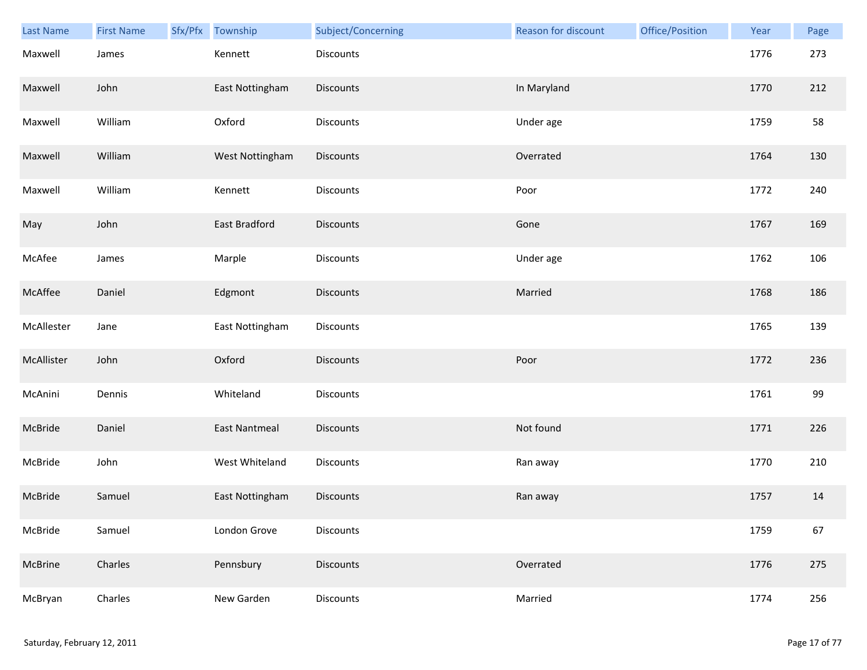| Last Name  | <b>First Name</b> | Sfx/Pfx Township     | Subject/Concerning | Reason for discount | Office/Position | Year | Page |
|------------|-------------------|----------------------|--------------------|---------------------|-----------------|------|------|
| Maxwell    | James             | Kennett              | Discounts          |                     |                 | 1776 | 273  |
| Maxwell    | John              | East Nottingham      | <b>Discounts</b>   | In Maryland         |                 | 1770 | 212  |
| Maxwell    | William           | Oxford               | Discounts          | Under age           |                 | 1759 | 58   |
| Maxwell    | William           | West Nottingham      | Discounts          | Overrated           |                 | 1764 | 130  |
| Maxwell    | William           | Kennett              | <b>Discounts</b>   | Poor                |                 | 1772 | 240  |
| May        | John              | East Bradford        | Discounts          | Gone                |                 | 1767 | 169  |
| McAfee     | James             | Marple               | Discounts          | Under age           |                 | 1762 | 106  |
| McAffee    | Daniel            | Edgmont              | Discounts          | Married             |                 | 1768 | 186  |
| McAllester | Jane              | East Nottingham      | <b>Discounts</b>   |                     |                 | 1765 | 139  |
| McAllister | John              | Oxford               | <b>Discounts</b>   | Poor                |                 | 1772 | 236  |
| McAnini    | Dennis            | Whiteland            | Discounts          |                     |                 | 1761 | 99   |
| McBride    | Daniel            | <b>East Nantmeal</b> | Discounts          | Not found           |                 | 1771 | 226  |
| McBride    | John              | West Whiteland       | Discounts          | Ran away            |                 | 1770 | 210  |
| McBride    | Samuel            | East Nottingham      | <b>Discounts</b>   | Ran away            |                 | 1757 | 14   |
| McBride    | Samuel            | London Grove         | Discounts          |                     |                 | 1759 | 67   |
| McBrine    | Charles           | Pennsbury            | <b>Discounts</b>   | Overrated           |                 | 1776 | 275  |
| McBryan    | Charles           | New Garden           | Discounts          | Married             |                 | 1774 | 256  |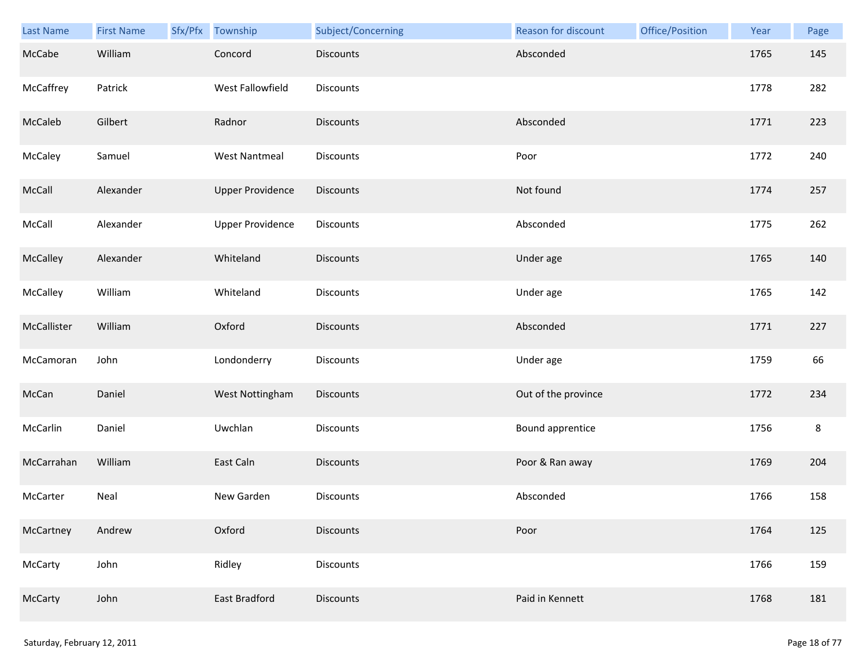| Last Name   | <b>First Name</b> | Sfx/Pfx Township        | Subject/Concerning | Reason for discount | Office/Position | Year | Page    |
|-------------|-------------------|-------------------------|--------------------|---------------------|-----------------|------|---------|
| McCabe      | William           | Concord                 | <b>Discounts</b>   | Absconded           |                 | 1765 | 145     |
| McCaffrey   | Patrick           | West Fallowfield        | Discounts          |                     |                 | 1778 | 282     |
| McCaleb     | Gilbert           | Radnor                  | <b>Discounts</b>   | Absconded           |                 | 1771 | 223     |
| McCaley     | Samuel            | <b>West Nantmeal</b>    | Discounts          | Poor                |                 | 1772 | 240     |
| McCall      | Alexander         | <b>Upper Providence</b> | Discounts          | Not found           |                 | 1774 | 257     |
| McCall      | Alexander         | <b>Upper Providence</b> | <b>Discounts</b>   | Absconded           |                 | 1775 | 262     |
| McCalley    | Alexander         | Whiteland               | <b>Discounts</b>   | Under age           |                 | 1765 | 140     |
| McCalley    | William           | Whiteland               | Discounts          | Under age           |                 | 1765 | 142     |
| McCallister | William           | Oxford                  | <b>Discounts</b>   | Absconded           |                 | 1771 | 227     |
| McCamoran   | John              | Londonderry             | Discounts          | Under age           |                 | 1759 | 66      |
| McCan       | Daniel            | West Nottingham         | Discounts          | Out of the province |                 | 1772 | 234     |
| McCarlin    | Daniel            | Uwchlan                 | Discounts          | Bound apprentice    |                 | 1756 | $\bf 8$ |
| McCarrahan  | William           | East Caln               | <b>Discounts</b>   | Poor & Ran away     |                 | 1769 | 204     |
| McCarter    | Neal              | New Garden              | Discounts          | Absconded           |                 | 1766 | 158     |
| McCartney   | Andrew            | Oxford                  | <b>Discounts</b>   | Poor                |                 | 1764 | 125     |
| McCarty     | John              | Ridley                  | Discounts          |                     |                 | 1766 | 159     |
| McCarty     | John              | East Bradford           | <b>Discounts</b>   | Paid in Kennett     |                 | 1768 | 181     |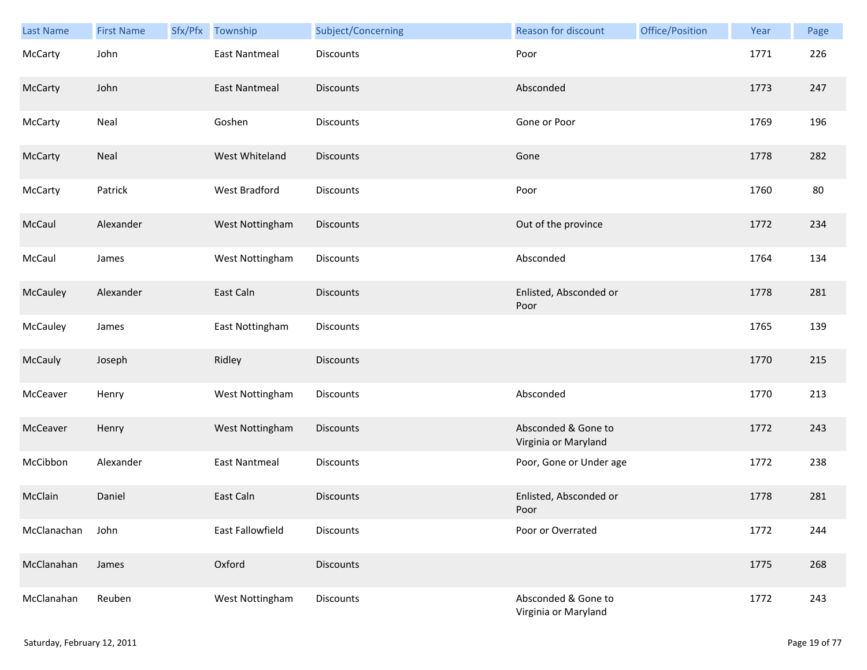| Last Name   | <b>First Name</b> | Sfx/Pfx | Township                | Subject/Concerning | <b>Reason for discount</b>                  | Office/Position | Year | Page |
|-------------|-------------------|---------|-------------------------|--------------------|---------------------------------------------|-----------------|------|------|
| McCarty     | John              |         | <b>East Nantmeal</b>    | Discounts          | Poor                                        |                 | 1771 | 226  |
| McCarty     | John              |         | <b>East Nantmeal</b>    | <b>Discounts</b>   | Absconded                                   |                 | 1773 | 247  |
| McCarty     | Neal              |         | Goshen                  | <b>Discounts</b>   | Gone or Poor                                |                 | 1769 | 196  |
| McCarty     | Neal              |         | West Whiteland          | <b>Discounts</b>   | Gone                                        |                 | 1778 | 282  |
| McCarty     | Patrick           |         | West Bradford           | Discounts          | Poor                                        |                 | 1760 | 80   |
| McCaul      | Alexander         |         | West Nottingham         | <b>Discounts</b>   | Out of the province                         |                 | 1772 | 234  |
| McCaul      | James             |         | West Nottingham         | Discounts          | Absconded                                   |                 | 1764 | 134  |
| McCauley    | Alexander         |         | East Caln               | <b>Discounts</b>   | Enlisted, Absconded or<br>Poor              |                 | 1778 | 281  |
| McCauley    | James             |         | East Nottingham         | Discounts          |                                             |                 | 1765 | 139  |
| McCauly     | Joseph            |         | Ridley                  | <b>Discounts</b>   |                                             |                 | 1770 | 215  |
| McCeaver    | Henry             |         | West Nottingham         | Discounts          | Absconded                                   |                 | 1770 | 213  |
| McCeaver    | Henry             |         | West Nottingham         | <b>Discounts</b>   | Absconded & Gone to<br>Virginia or Maryland |                 | 1772 | 243  |
| McCibbon    | Alexander         |         | <b>East Nantmeal</b>    | Discounts          | Poor, Gone or Under age                     |                 | 1772 | 238  |
| McClain     | Daniel            |         | East Caln               | <b>Discounts</b>   | Enlisted, Absconded or<br>Poor              |                 | 1778 | 281  |
| McClanachan | John              |         | <b>East Fallowfield</b> | Discounts          | Poor or Overrated                           |                 | 1772 | 244  |
| McClanahan  | James             |         | Oxford                  | <b>Discounts</b>   |                                             |                 | 1775 | 268  |
| McClanahan  | Reuben            |         | West Nottingham         | Discounts          | Absconded & Gone to<br>Virginia or Maryland |                 | 1772 | 243  |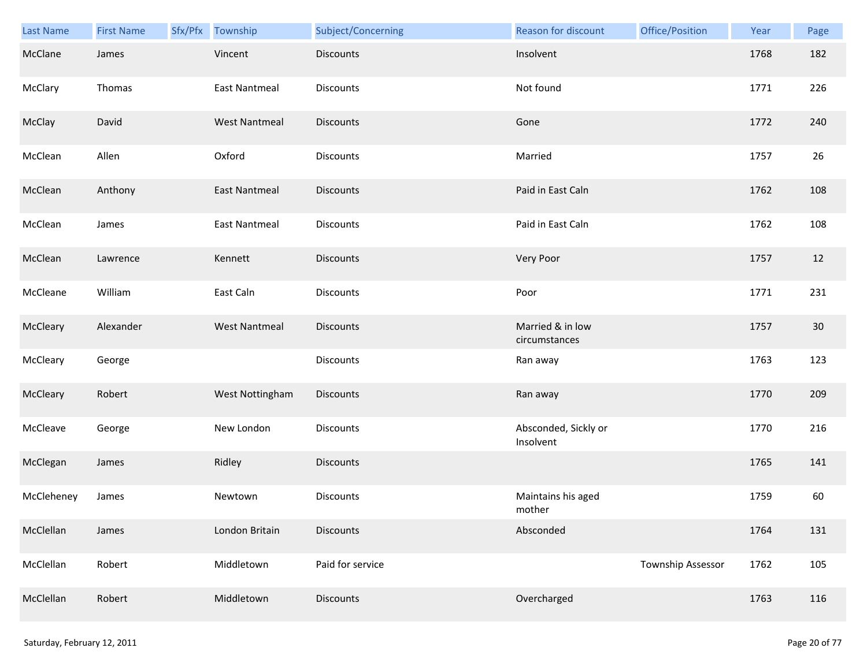| Last Name  | <b>First Name</b> | Sfx/Pfx Township     | Subject/Concerning | Reason for discount               | Office/Position   | Year | Page |
|------------|-------------------|----------------------|--------------------|-----------------------------------|-------------------|------|------|
| McClane    | James             | Vincent              | <b>Discounts</b>   | Insolvent                         |                   | 1768 | 182  |
| McClary    | Thomas            | <b>East Nantmeal</b> | Discounts          | Not found                         |                   | 1771 | 226  |
| McClay     | David             | <b>West Nantmeal</b> | <b>Discounts</b>   | Gone                              |                   | 1772 | 240  |
| McClean    | Allen             | Oxford               | Discounts          | Married                           |                   | 1757 | 26   |
| McClean    | Anthony           | <b>East Nantmeal</b> | <b>Discounts</b>   | Paid in East Caln                 |                   | 1762 | 108  |
| McClean    | James             | <b>East Nantmeal</b> | <b>Discounts</b>   | Paid in East Caln                 |                   | 1762 | 108  |
| McClean    | Lawrence          | Kennett              | Discounts          | Very Poor                         |                   | 1757 | 12   |
| McCleane   | William           | East Caln            | Discounts          | Poor                              |                   | 1771 | 231  |
| McCleary   | Alexander         | <b>West Nantmeal</b> | <b>Discounts</b>   | Married & in low<br>circumstances |                   | 1757 | 30   |
| McCleary   | George            |                      | Discounts          | Ran away                          |                   | 1763 | 123  |
| McCleary   | Robert            | West Nottingham      | Discounts          | Ran away                          |                   | 1770 | 209  |
| McCleave   | George            | New London           | Discounts          | Absconded, Sickly or<br>Insolvent |                   | 1770 | 216  |
| McClegan   | James             | Ridley               | <b>Discounts</b>   |                                   |                   | 1765 | 141  |
| McCleheney | James             | Newtown              | <b>Discounts</b>   | Maintains his aged<br>mother      |                   | 1759 | 60   |
| McClellan  | James             | London Britain       | <b>Discounts</b>   | Absconded                         |                   | 1764 | 131  |
| McClellan  | Robert            | Middletown           | Paid for service   |                                   | Township Assessor | 1762 | 105  |
| McClellan  | Robert            | Middletown           | Discounts          | Overcharged                       |                   | 1763 | 116  |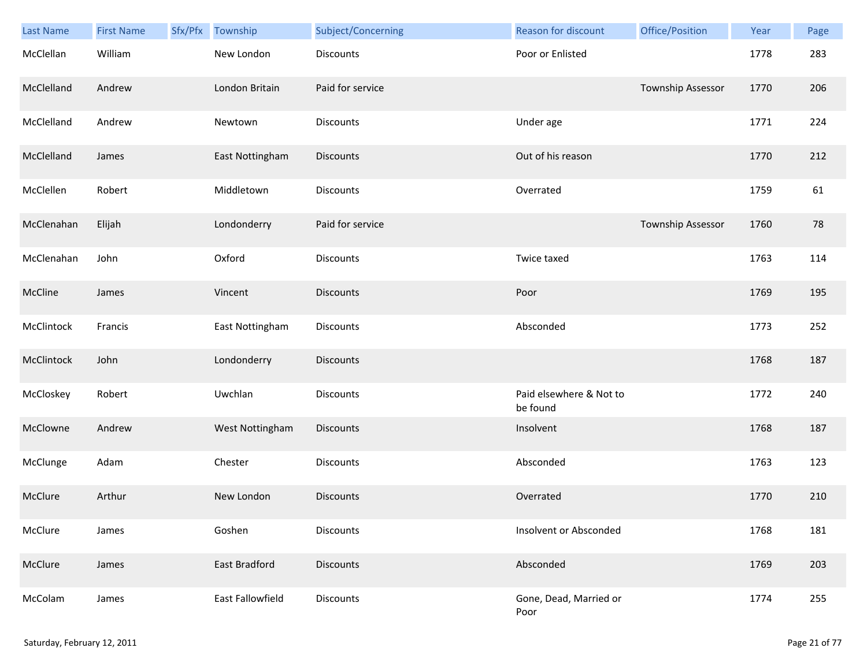| <b>Last Name</b> | <b>First Name</b> | Sfx/Pfx | Township         | Subject/Concerning | Reason for discount                 | Office/Position   | Year | Page |
|------------------|-------------------|---------|------------------|--------------------|-------------------------------------|-------------------|------|------|
| McClellan        | William           |         | New London       | <b>Discounts</b>   | Poor or Enlisted                    |                   | 1778 | 283  |
| McClelland       | Andrew            |         | London Britain   | Paid for service   |                                     | Township Assessor | 1770 | 206  |
| McClelland       | Andrew            |         | Newtown          | Discounts          | Under age                           |                   | 1771 | 224  |
| McClelland       | James             |         | East Nottingham  | <b>Discounts</b>   | Out of his reason                   |                   | 1770 | 212  |
| McClellen        | Robert            |         | Middletown       | Discounts          | Overrated                           |                   | 1759 | 61   |
| McClenahan       | Elijah            |         | Londonderry      | Paid for service   |                                     | Township Assessor | 1760 | 78   |
| McClenahan       | John              |         | Oxford           | Discounts          | Twice taxed                         |                   | 1763 | 114  |
| McCline          | James             |         | Vincent          | Discounts          | Poor                                |                   | 1769 | 195  |
| McClintock       | Francis           |         | East Nottingham  | <b>Discounts</b>   | Absconded                           |                   | 1773 | 252  |
| McClintock       | John              |         | Londonderry      | <b>Discounts</b>   |                                     |                   | 1768 | 187  |
| McCloskey        | Robert            |         | Uwchlan          | Discounts          | Paid elsewhere & Not to<br>be found |                   | 1772 | 240  |
| McClowne         | Andrew            |         | West Nottingham  | <b>Discounts</b>   | Insolvent                           |                   | 1768 | 187  |
| McClunge         | Adam              |         | Chester          | Discounts          | Absconded                           |                   | 1763 | 123  |
| McClure          | Arthur            |         | New London       | <b>Discounts</b>   | Overrated                           |                   | 1770 | 210  |
| McClure          | James             |         | Goshen           | <b>Discounts</b>   | Insolvent or Absconded              |                   | 1768 | 181  |
| McClure          | James             |         | East Bradford    | <b>Discounts</b>   | Absconded                           |                   | 1769 | 203  |
| McColam          | James             |         | East Fallowfield | Discounts          | Gone, Dead, Married or<br>Poor      |                   | 1774 | 255  |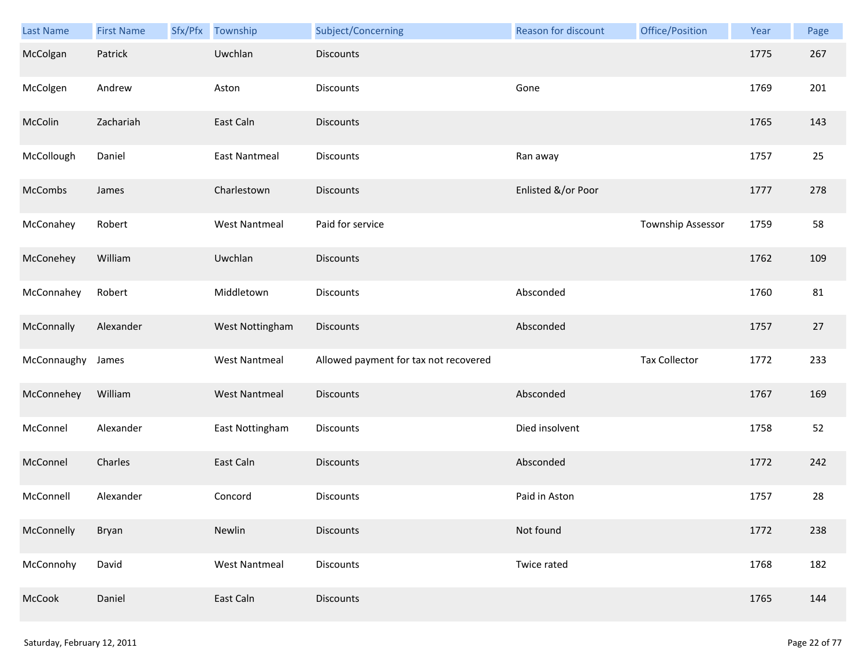| <b>Last Name</b> | <b>First Name</b> | Sfx/Pfx | Township             | Subject/Concerning                    | <b>Reason for discount</b> | Office/Position      | Year | Page |
|------------------|-------------------|---------|----------------------|---------------------------------------|----------------------------|----------------------|------|------|
| McColgan         | Patrick           |         | Uwchlan              | <b>Discounts</b>                      |                            |                      | 1775 | 267  |
| McColgen         | Andrew            |         | Aston                | Discounts                             | Gone                       |                      | 1769 | 201  |
| McColin          | Zachariah         |         | East Caln            | Discounts                             |                            |                      | 1765 | 143  |
| McCollough       | Daniel            |         | <b>East Nantmeal</b> | Discounts                             | Ran away                   |                      | 1757 | 25   |
| McCombs          | James             |         | Charlestown          | Discounts                             | Enlisted &/or Poor         |                      | 1777 | 278  |
| McConahey        | Robert            |         | <b>West Nantmeal</b> | Paid for service                      |                            | Township Assessor    | 1759 | 58   |
| McConehey        | William           |         | Uwchlan              | Discounts                             |                            |                      | 1762 | 109  |
| McConnahey       | Robert            |         | Middletown           | Discounts                             | Absconded                  |                      | 1760 | 81   |
| McConnally       | Alexander         |         | West Nottingham      | Discounts                             | Absconded                  |                      | 1757 | 27   |
| McConnaughy      | James             |         | <b>West Nantmeal</b> | Allowed payment for tax not recovered |                            | <b>Tax Collector</b> | 1772 | 233  |
| McConnehey       | William           |         | <b>West Nantmeal</b> | Discounts                             | Absconded                  |                      | 1767 | 169  |
| McConnel         | Alexander         |         | East Nottingham      | Discounts                             | Died insolvent             |                      | 1758 | 52   |
| McConnel         | Charles           |         | East Caln            | <b>Discounts</b>                      | Absconded                  |                      | 1772 | 242  |
| McConnell        | Alexander         |         | Concord              | Discounts                             | Paid in Aston              |                      | 1757 | 28   |
| McConnelly       | Bryan             |         | Newlin               | Discounts                             | Not found                  |                      | 1772 | 238  |
| McConnohy        | David             |         | <b>West Nantmeal</b> | Discounts                             | Twice rated                |                      | 1768 | 182  |
| McCook           | Daniel            |         | East Caln            | Discounts                             |                            |                      | 1765 | 144  |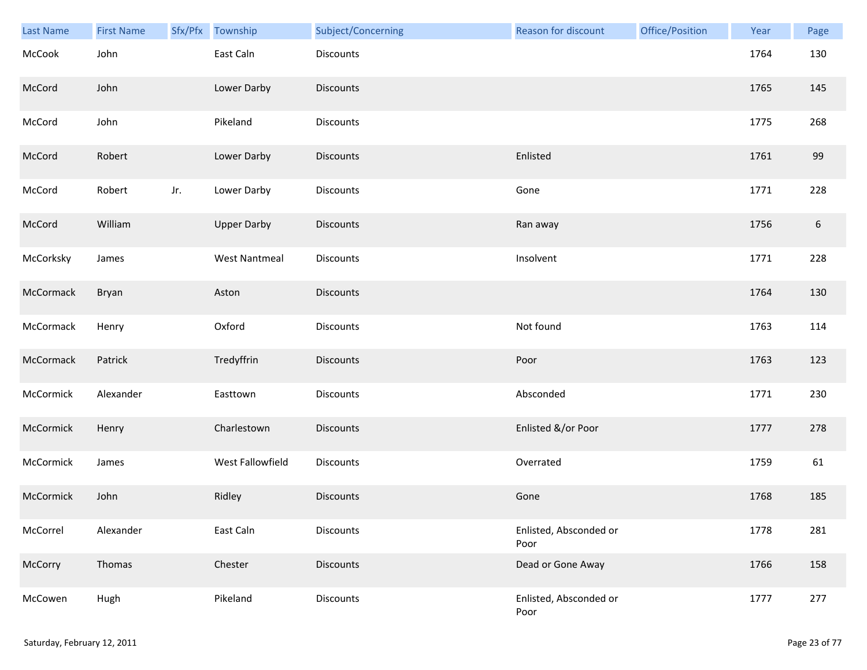| Last Name | <b>First Name</b> |     | Sfx/Pfx Township     | Subject/Concerning | <b>Reason for discount</b>     | Office/Position | Year | Page             |
|-----------|-------------------|-----|----------------------|--------------------|--------------------------------|-----------------|------|------------------|
| McCook    | John              |     | East Caln            | Discounts          |                                |                 | 1764 | 130              |
| McCord    | John              |     | Lower Darby          | <b>Discounts</b>   |                                |                 | 1765 | 145              |
| McCord    | John              |     | Pikeland             | Discounts          |                                |                 | 1775 | 268              |
| McCord    | Robert            |     | Lower Darby          | <b>Discounts</b>   | Enlisted                       |                 | 1761 | 99               |
| McCord    | Robert            | Jr. | Lower Darby          | Discounts          | Gone                           |                 | 1771 | 228              |
| McCord    | William           |     | <b>Upper Darby</b>   | <b>Discounts</b>   | Ran away                       |                 | 1756 | $\boldsymbol{6}$ |
| McCorksky | James             |     | <b>West Nantmeal</b> | Discounts          | Insolvent                      |                 | 1771 | 228              |
| McCormack | Bryan             |     | Aston                | Discounts          |                                |                 | 1764 | 130              |
| McCormack | Henry             |     | Oxford               | <b>Discounts</b>   | Not found                      |                 | 1763 | 114              |
| McCormack | Patrick           |     | Tredyffrin           | <b>Discounts</b>   | Poor                           |                 | 1763 | 123              |
| McCormick | Alexander         |     | Easttown             | <b>Discounts</b>   | Absconded                      |                 | 1771 | 230              |
| McCormick | Henry             |     | Charlestown          | Discounts          | Enlisted &/or Poor             |                 | 1777 | 278              |
| McCormick | James             |     | West Fallowfield     | Discounts          | Overrated                      |                 | 1759 | 61               |
| McCormick | John              |     | Ridley               | <b>Discounts</b>   | Gone                           |                 | 1768 | 185              |
| McCorrel  | Alexander         |     | East Caln            | Discounts          | Enlisted, Absconded or<br>Poor |                 | 1778 | 281              |
| McCorry   | Thomas            |     | Chester              | <b>Discounts</b>   | Dead or Gone Away              |                 | 1766 | 158              |
| McCowen   | Hugh              |     | Pikeland             | Discounts          | Enlisted, Absconded or<br>Poor |                 | 1777 | 277              |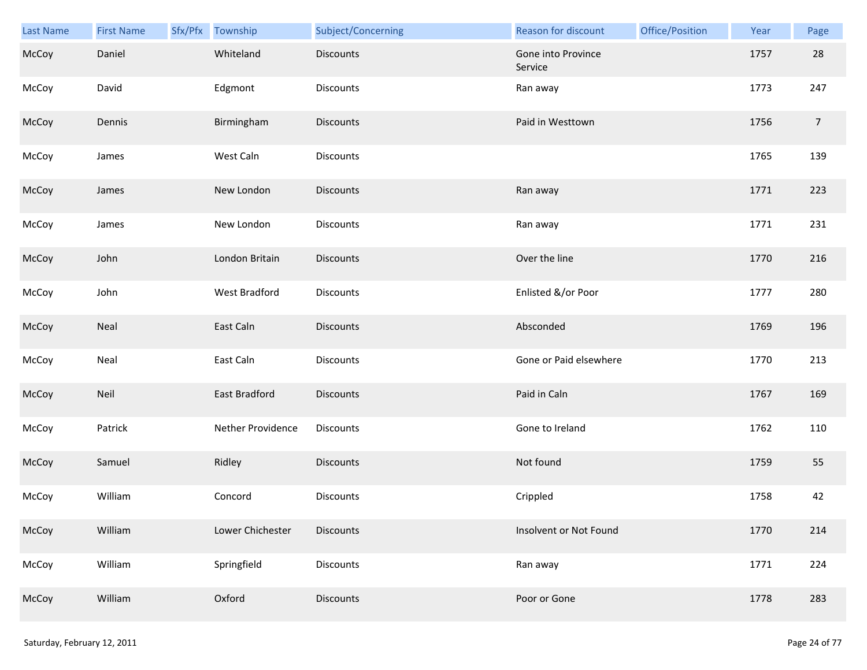| <b>Last Name</b> | <b>First Name</b> | Sfx/Pfx | Township          | Subject/Concerning | Reason for discount           | Office/Position | Year | Page           |
|------------------|-------------------|---------|-------------------|--------------------|-------------------------------|-----------------|------|----------------|
| McCoy            | Daniel            |         | Whiteland         | <b>Discounts</b>   | Gone into Province<br>Service |                 | 1757 | 28             |
| McCoy            | David             |         | Edgmont           | Discounts          | Ran away                      |                 | 1773 | 247            |
| McCoy            | Dennis            |         | Birmingham        | Discounts          | Paid in Westtown              |                 | 1756 | $\overline{7}$ |
| McCoy            | James             |         | West Caln         | Discounts          |                               |                 | 1765 | 139            |
| McCoy            | James             |         | New London        | <b>Discounts</b>   | Ran away                      |                 | 1771 | 223            |
| McCoy            | James             |         | New London        | <b>Discounts</b>   | Ran away                      |                 | 1771 | 231            |
| McCoy            | John              |         | London Britain    | Discounts          | Over the line                 |                 | 1770 | 216            |
| McCoy            | John              |         | West Bradford     | Discounts          | Enlisted &/or Poor            |                 | 1777 | 280            |
| McCoy            | Neal              |         | East Caln         | <b>Discounts</b>   | Absconded                     |                 | 1769 | 196            |
| McCoy            | Neal              |         | East Caln         | Discounts          | Gone or Paid elsewhere        |                 | 1770 | 213            |
| McCoy            | Neil              |         | East Bradford     | <b>Discounts</b>   | Paid in Caln                  |                 | 1767 | 169            |
| McCoy            | Patrick           |         | Nether Providence | Discounts          | Gone to Ireland               |                 | 1762 | 110            |
| McCoy            | Samuel            |         | Ridley            | Discounts          | Not found                     |                 | 1759 | 55             |
| McCoy            | William           |         | Concord           | <b>Discounts</b>   | Crippled                      |                 | 1758 | 42             |
| McCoy            | William           |         | Lower Chichester  | <b>Discounts</b>   | Insolvent or Not Found        |                 | 1770 | 214            |
| McCoy            | William           |         | Springfield       | <b>Discounts</b>   | Ran away                      |                 | 1771 | 224            |
| McCoy            | William           |         | Oxford            | <b>Discounts</b>   | Poor or Gone                  |                 | 1778 | 283            |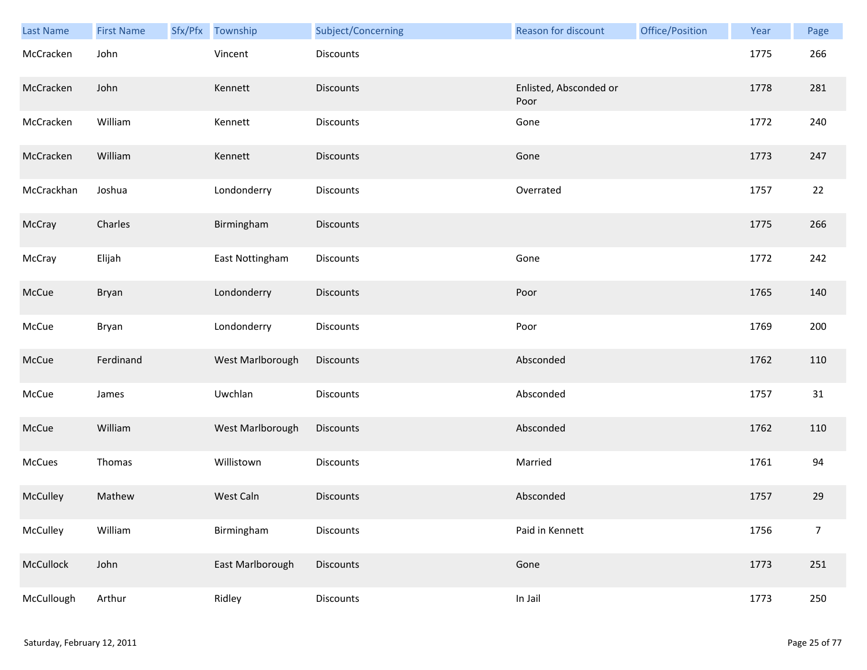| Last Name  | <b>First Name</b> | Sfx/Pfx | Township         | Subject/Concerning | Reason for discount            | Office/Position | Year | Page             |
|------------|-------------------|---------|------------------|--------------------|--------------------------------|-----------------|------|------------------|
| McCracken  | John              |         | Vincent          | Discounts          |                                |                 | 1775 | 266              |
| McCracken  | John              |         | Kennett          | <b>Discounts</b>   | Enlisted, Absconded or<br>Poor |                 | 1778 | 281              |
| McCracken  | William           |         | Kennett          | Discounts          | Gone                           |                 | 1772 | 240              |
| McCracken  | William           |         | Kennett          | <b>Discounts</b>   | Gone                           |                 | 1773 | 247              |
| McCrackhan | Joshua            |         | Londonderry      | Discounts          | Overrated                      |                 | 1757 | 22               |
| McCray     | Charles           |         | Birmingham       | <b>Discounts</b>   |                                |                 | 1775 | 266              |
| McCray     | Elijah            |         | East Nottingham  | Discounts          | Gone                           |                 | 1772 | 242              |
| McCue      | Bryan             |         | Londonderry      | Discounts          | Poor                           |                 | 1765 | 140              |
| McCue      | Bryan             |         | Londonderry      | Discounts          | Poor                           |                 | 1769 | 200              |
| McCue      | Ferdinand         |         | West Marlborough | <b>Discounts</b>   | Absconded                      |                 | 1762 | 110              |
| McCue      | James             |         | Uwchlan          | Discounts          | Absconded                      |                 | 1757 | 31               |
| McCue      | William           |         | West Marlborough | <b>Discounts</b>   | Absconded                      |                 | 1762 | 110              |
| McCues     | Thomas            |         | Willistown       | Discounts          | Married                        |                 | 1761 | 94               |
| McCulley   | Mathew            |         | West Caln        | <b>Discounts</b>   | Absconded                      |                 | 1757 | 29               |
| McCulley   | William           |         | Birmingham       | <b>Discounts</b>   | Paid in Kennett                |                 | 1756 | $\boldsymbol{7}$ |
| McCullock  | John              |         | East Marlborough | Discounts          | Gone                           |                 | 1773 | 251              |
| McCullough | Arthur            |         | Ridley           | Discounts          | In Jail                        |                 | 1773 | 250              |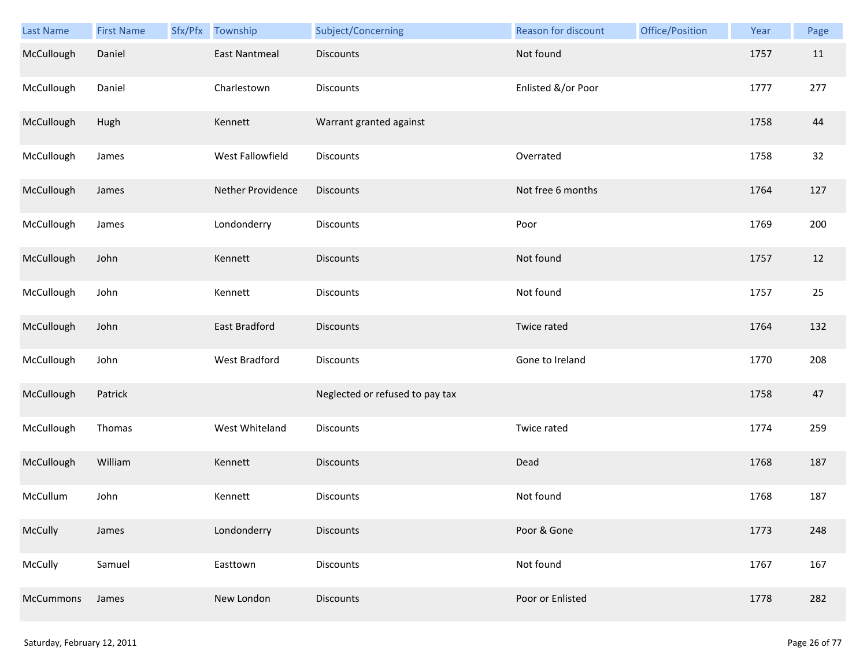| <b>Last Name</b> | <b>First Name</b> | Sfx/Pfx Township     | Subject/Concerning              | Reason for discount | Office/Position | Year | Page |
|------------------|-------------------|----------------------|---------------------------------|---------------------|-----------------|------|------|
| McCullough       | Daniel            | <b>East Nantmeal</b> | Discounts                       | Not found           |                 | 1757 | 11   |
| McCullough       | Daniel            | Charlestown          | Discounts                       | Enlisted &/or Poor  |                 | 1777 | 277  |
| McCullough       | Hugh              | Kennett              | Warrant granted against         |                     |                 | 1758 | 44   |
| McCullough       | James             | West Fallowfield     | Discounts                       | Overrated           |                 | 1758 | 32   |
| McCullough       | James             | Nether Providence    | Discounts                       | Not free 6 months   |                 | 1764 | 127  |
| McCullough       | James             | Londonderry          | Discounts                       | Poor                |                 | 1769 | 200  |
| McCullough       | John              | Kennett              | <b>Discounts</b>                | Not found           |                 | 1757 | 12   |
| McCullough       | John              | Kennett              | Discounts                       | Not found           |                 | 1757 | 25   |
| McCullough       | John              | East Bradford        | Discounts                       | Twice rated         |                 | 1764 | 132  |
| McCullough       | John              | <b>West Bradford</b> | Discounts                       | Gone to Ireland     |                 | 1770 | 208  |
| McCullough       | Patrick           |                      | Neglected or refused to pay tax |                     |                 | 1758 | 47   |
| McCullough       | Thomas            | West Whiteland       | Discounts                       | Twice rated         |                 | 1774 | 259  |
| McCullough       | William           | Kennett              | <b>Discounts</b>                | Dead                |                 | 1768 | 187  |
| McCullum         | John              | Kennett              | Discounts                       | Not found           |                 | 1768 | 187  |
| McCully          | James             | Londonderry          | <b>Discounts</b>                | Poor & Gone         |                 | 1773 | 248  |
| McCully          | Samuel            | Easttown             | <b>Discounts</b>                | Not found           |                 | 1767 | 167  |
| <b>McCummons</b> | James             | New London           | Discounts                       | Poor or Enlisted    |                 | 1778 | 282  |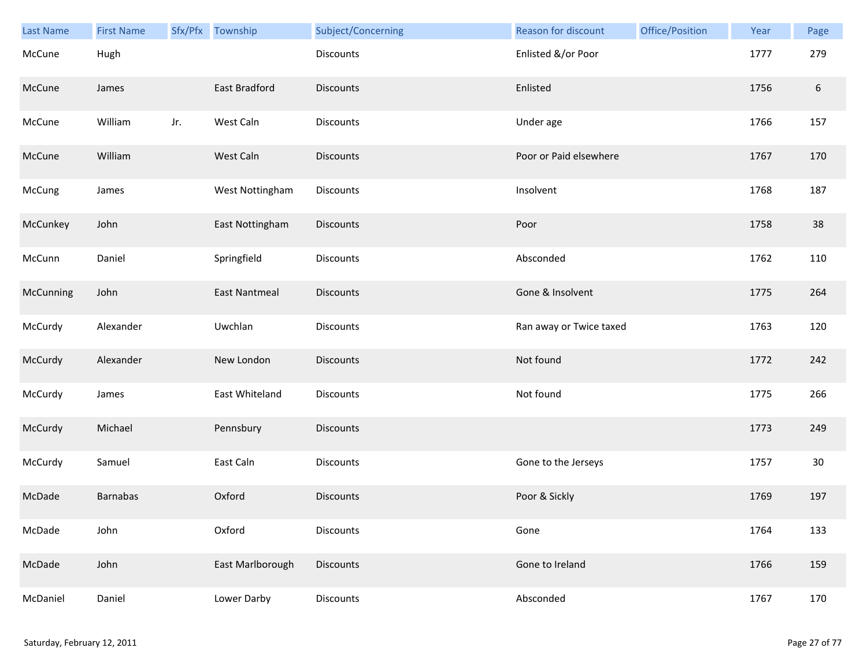| Last Name | <b>First Name</b> |     | Sfx/Pfx Township     | Subject/Concerning | Reason for discount     | Office/Position | Year | Page   |
|-----------|-------------------|-----|----------------------|--------------------|-------------------------|-----------------|------|--------|
| McCune    | Hugh              |     |                      | <b>Discounts</b>   | Enlisted &/or Poor      |                 | 1777 | 279    |
| McCune    | James             |     | East Bradford        | <b>Discounts</b>   | Enlisted                |                 | 1756 | $6\,$  |
| McCune    | William           | Jr. | West Caln            | Discounts          | Under age               |                 | 1766 | 157    |
| McCune    | William           |     | West Caln            | <b>Discounts</b>   | Poor or Paid elsewhere  |                 | 1767 | 170    |
| McCung    | James             |     | West Nottingham      | <b>Discounts</b>   | Insolvent               |                 | 1768 | 187    |
| McCunkey  | John              |     | East Nottingham      | Discounts          | Poor                    |                 | 1758 | 38     |
| McCunn    | Daniel            |     | Springfield          | Discounts          | Absconded               |                 | 1762 | 110    |
| McCunning | John              |     | <b>East Nantmeal</b> | Discounts          | Gone & Insolvent        |                 | 1775 | 264    |
| McCurdy   | Alexander         |     | Uwchlan              | Discounts          | Ran away or Twice taxed |                 | 1763 | 120    |
| McCurdy   | Alexander         |     | New London           | <b>Discounts</b>   | Not found               |                 | 1772 | 242    |
| McCurdy   | James             |     | East Whiteland       | Discounts          | Not found               |                 | 1775 | 266    |
| McCurdy   | Michael           |     | Pennsbury            | Discounts          |                         |                 | 1773 | 249    |
| McCurdy   | Samuel            |     | East Caln            | Discounts          | Gone to the Jerseys     |                 | 1757 | $30\,$ |
| McDade    | <b>Barnabas</b>   |     | Oxford               | <b>Discounts</b>   | Poor & Sickly           |                 | 1769 | 197    |
| McDade    | John              |     | Oxford               | Discounts          | Gone                    |                 | 1764 | 133    |
| McDade    | John              |     | East Marlborough     | <b>Discounts</b>   | Gone to Ireland         |                 | 1766 | 159    |
| McDaniel  | Daniel            |     | Lower Darby          | Discounts          | Absconded               |                 | 1767 | 170    |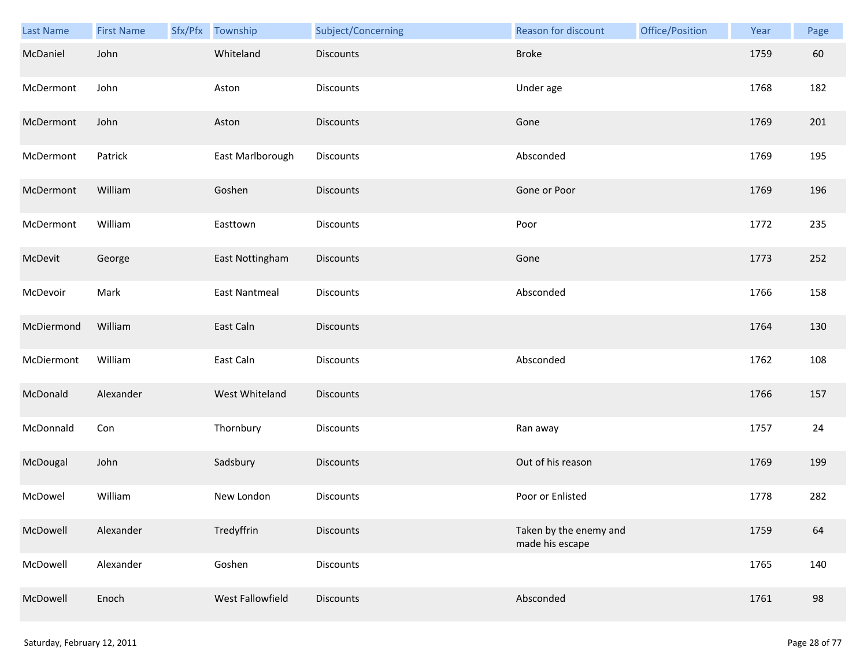| Last Name  | <b>First Name</b> | Sfx/Pfx Township | Subject/Concerning | Reason for discount                       | Office/Position | Year | Page |
|------------|-------------------|------------------|--------------------|-------------------------------------------|-----------------|------|------|
| McDaniel   | John              | Whiteland        | Discounts          | <b>Broke</b>                              |                 | 1759 | 60   |
| McDermont  | John              | Aston            | Discounts          | Under age                                 |                 | 1768 | 182  |
| McDermont  | John              | Aston            | Discounts          | Gone                                      |                 | 1769 | 201  |
| McDermont  | Patrick           | East Marlborough | Discounts          | Absconded                                 |                 | 1769 | 195  |
| McDermont  | William           | Goshen           | Discounts          | Gone or Poor                              |                 | 1769 | 196  |
| McDermont  | William           | Easttown         | Discounts          | Poor                                      |                 | 1772 | 235  |
| McDevit    | George            | East Nottingham  | Discounts          | Gone                                      |                 | 1773 | 252  |
| McDevoir   | Mark              | East Nantmeal    | Discounts          | Absconded                                 |                 | 1766 | 158  |
| McDiermond | William           | East Caln        | <b>Discounts</b>   |                                           |                 | 1764 | 130  |
| McDiermont | William           | East Caln        | Discounts          | Absconded                                 |                 | 1762 | 108  |
| McDonald   | Alexander         | West Whiteland   | Discounts          |                                           |                 | 1766 | 157  |
| McDonnald  | Con               | Thornbury        | Discounts          | Ran away                                  |                 | 1757 | 24   |
| McDougal   | John              | Sadsbury         | <b>Discounts</b>   | Out of his reason                         |                 | 1769 | 199  |
| McDowel    | William           | New London       | Discounts          | Poor or Enlisted                          |                 | 1778 | 282  |
| McDowell   | Alexander         | Tredyffrin       | <b>Discounts</b>   | Taken by the enemy and<br>made his escape |                 | 1759 | 64   |
| McDowell   | Alexander         | Goshen           | Discounts          |                                           |                 | 1765 | 140  |
| McDowell   | Enoch             | West Fallowfield | <b>Discounts</b>   | Absconded                                 |                 | 1761 | 98   |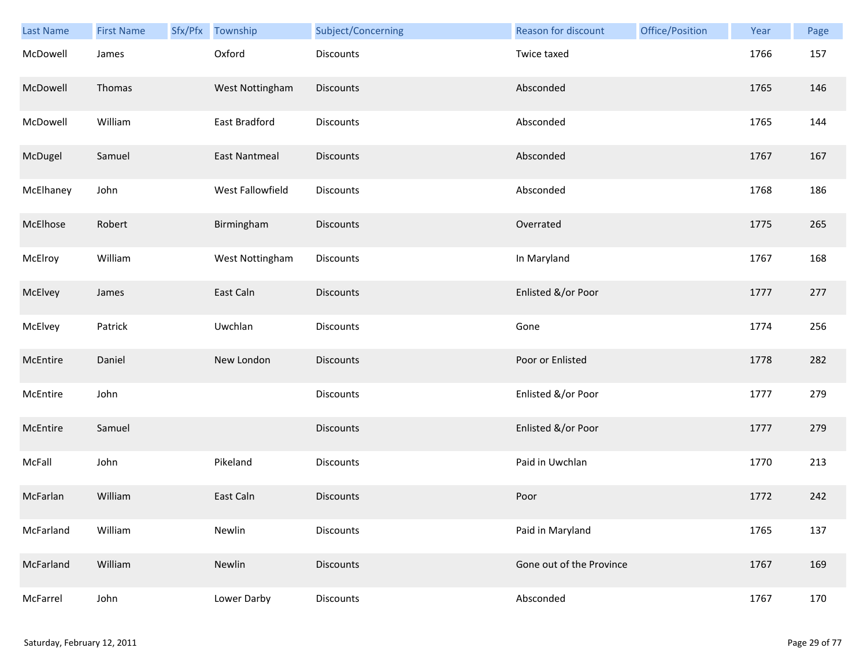| Last Name | <b>First Name</b> | Sfx/Pfx Township     | Subject/Concerning | Reason for discount      | Office/Position | Year | Page |
|-----------|-------------------|----------------------|--------------------|--------------------------|-----------------|------|------|
| McDowell  | James             | Oxford               | <b>Discounts</b>   | Twice taxed              |                 | 1766 | 157  |
| McDowell  | Thomas            | West Nottingham      | <b>Discounts</b>   | Absconded                |                 | 1765 | 146  |
| McDowell  | William           | East Bradford        | Discounts          | Absconded                |                 | 1765 | 144  |
| McDugel   | Samuel            | <b>East Nantmeal</b> | <b>Discounts</b>   | Absconded                |                 | 1767 | 167  |
| McElhaney | John              | West Fallowfield     | Discounts          | Absconded                |                 | 1768 | 186  |
| McElhose  | Robert            | Birmingham           | <b>Discounts</b>   | Overrated                |                 | 1775 | 265  |
| McElroy   | William           | West Nottingham      | Discounts          | In Maryland              |                 | 1767 | 168  |
| McElvey   | James             | East Caln            | Discounts          | Enlisted &/or Poor       |                 | 1777 | 277  |
| McElvey   | Patrick           | Uwchlan              | <b>Discounts</b>   | Gone                     |                 | 1774 | 256  |
| McEntire  | Daniel            | New London           | <b>Discounts</b>   | Poor or Enlisted         |                 | 1778 | 282  |
| McEntire  | John              |                      | <b>Discounts</b>   | Enlisted &/or Poor       |                 | 1777 | 279  |
| McEntire  | Samuel            |                      | Discounts          | Enlisted &/or Poor       |                 | 1777 | 279  |
| McFall    | John              | Pikeland             | Discounts          | Paid in Uwchlan          |                 | 1770 | 213  |
| McFarlan  | William           | East Caln            | <b>Discounts</b>   | Poor                     |                 | 1772 | 242  |
| McFarland | William           | Newlin               | Discounts          | Paid in Maryland         |                 | 1765 | 137  |
| McFarland | William           | Newlin               | <b>Discounts</b>   | Gone out of the Province |                 | 1767 | 169  |
| McFarrel  | John              | Lower Darby          | Discounts          | Absconded                |                 | 1767 | 170  |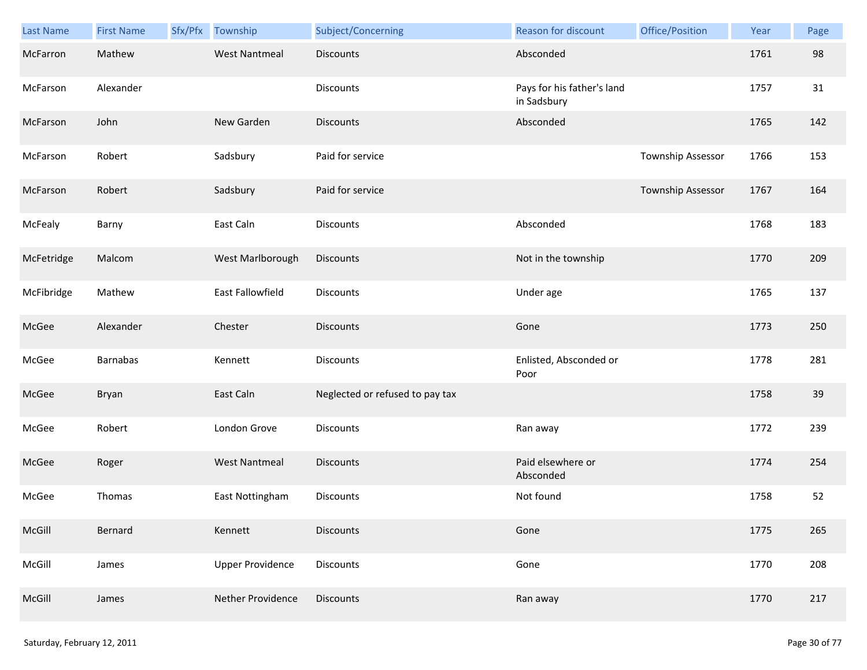| Last Name  | <b>First Name</b> | Sfx/Pfx | Township                | Subject/Concerning              | Reason for discount                       | Office/Position   | Year | Page |
|------------|-------------------|---------|-------------------------|---------------------------------|-------------------------------------------|-------------------|------|------|
| McFarron   | Mathew            |         | <b>West Nantmeal</b>    | <b>Discounts</b>                | Absconded                                 |                   | 1761 | 98   |
| McFarson   | Alexander         |         |                         | Discounts                       | Pays for his father's land<br>in Sadsbury |                   | 1757 | 31   |
| McFarson   | John              |         | New Garden              | <b>Discounts</b>                | Absconded                                 |                   | 1765 | 142  |
| McFarson   | Robert            |         | Sadsbury                | Paid for service                |                                           | Township Assessor | 1766 | 153  |
| McFarson   | Robert            |         | Sadsbury                | Paid for service                |                                           | Township Assessor | 1767 | 164  |
| McFealy    | Barny             |         | East Caln               | Discounts                       | Absconded                                 |                   | 1768 | 183  |
| McFetridge | Malcom            |         | West Marlborough        | Discounts                       | Not in the township                       |                   | 1770 | 209  |
| McFibridge | Mathew            |         | East Fallowfield        | <b>Discounts</b>                | Under age                                 |                   | 1765 | 137  |
| McGee      | Alexander         |         | Chester                 | <b>Discounts</b>                | Gone                                      |                   | 1773 | 250  |
| McGee      | <b>Barnabas</b>   |         | Kennett                 | Discounts                       | Enlisted, Absconded or<br>Poor            |                   | 1778 | 281  |
| McGee      | Bryan             |         | East Caln               | Neglected or refused to pay tax |                                           |                   | 1758 | 39   |
| McGee      | Robert            |         | London Grove            | Discounts                       | Ran away                                  |                   | 1772 | 239  |
| McGee      | Roger             |         | <b>West Nantmeal</b>    | <b>Discounts</b>                | Paid elsewhere or<br>Absconded            |                   | 1774 | 254  |
| McGee      | Thomas            |         | East Nottingham         | Discounts                       | Not found                                 |                   | 1758 | 52   |
| McGill     | Bernard           |         | Kennett                 | <b>Discounts</b>                | Gone                                      |                   | 1775 | 265  |
| McGill     | James             |         | <b>Upper Providence</b> | Discounts                       | Gone                                      |                   | 1770 | 208  |
| McGill     | James             |         | Nether Providence       | <b>Discounts</b>                | Ran away                                  |                   | 1770 | 217  |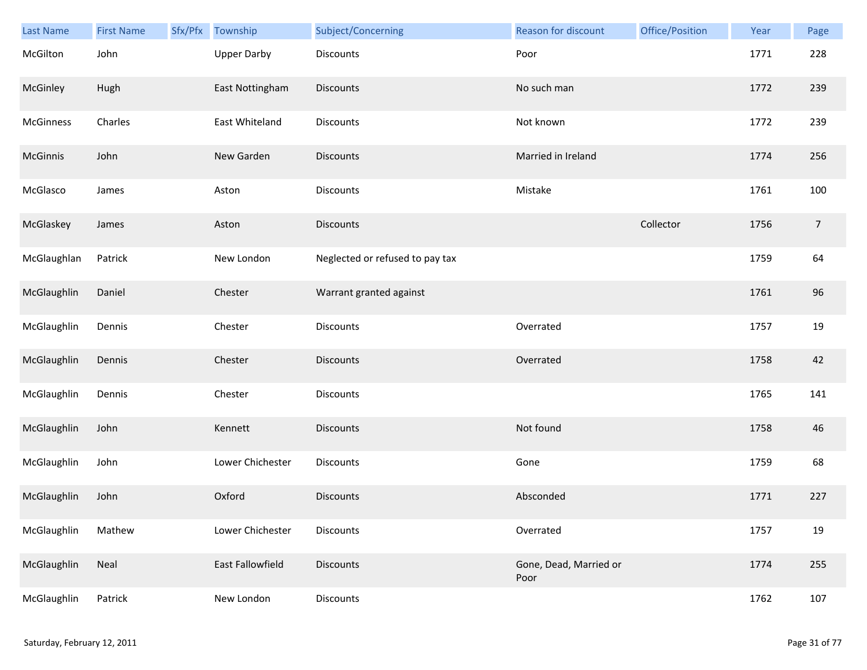| <b>Last Name</b> | <b>First Name</b> | Sfx/Pfx | Township           | Subject/Concerning              | Reason for discount            | Office/Position | Year | Page       |
|------------------|-------------------|---------|--------------------|---------------------------------|--------------------------------|-----------------|------|------------|
| McGilton         | John              |         | <b>Upper Darby</b> | Discounts                       | Poor                           |                 | 1771 | 228        |
| McGinley         | Hugh              |         | East Nottingham    | <b>Discounts</b>                | No such man                    |                 | 1772 | 239        |
| McGinness        | Charles           |         | East Whiteland     | Discounts                       | Not known                      |                 | 1772 | 239        |
| McGinnis         | John              |         | New Garden         | <b>Discounts</b>                | Married in Ireland             |                 | 1774 | 256        |
| McGlasco         | James             |         | Aston              | Discounts                       | Mistake                        |                 | 1761 | 100        |
| McGlaskey        | James             |         | Aston              | Discounts                       |                                | Collector       | 1756 | $\sqrt{ }$ |
| McGlaughlan      | Patrick           |         | New London         | Neglected or refused to pay tax |                                |                 | 1759 | 64         |
| McGlaughlin      | Daniel            |         | Chester            | Warrant granted against         |                                |                 | 1761 | 96         |
| McGlaughlin      | Dennis            |         | Chester            | Discounts                       | Overrated                      |                 | 1757 | 19         |
| McGlaughlin      | Dennis            |         | Chester            | Discounts                       | Overrated                      |                 | 1758 | 42         |
| McGlaughlin      | Dennis            |         | Chester            | Discounts                       |                                |                 | 1765 | 141        |
| McGlaughlin      | John              |         | Kennett            | Discounts                       | Not found                      |                 | 1758 | 46         |
| McGlaughlin      | John              |         | Lower Chichester   | Discounts                       | Gone                           |                 | 1759 | 68         |
| McGlaughlin      | John              |         | Oxford             | Discounts                       | Absconded                      |                 | 1771 | 227        |
| McGlaughlin      | Mathew            |         | Lower Chichester   | Discounts                       | Overrated                      |                 | 1757 | 19         |
| McGlaughlin      | Neal              |         | East Fallowfield   | <b>Discounts</b>                | Gone, Dead, Married or<br>Poor |                 | 1774 | 255        |
| McGlaughlin      | Patrick           |         | New London         | Discounts                       |                                |                 | 1762 | 107        |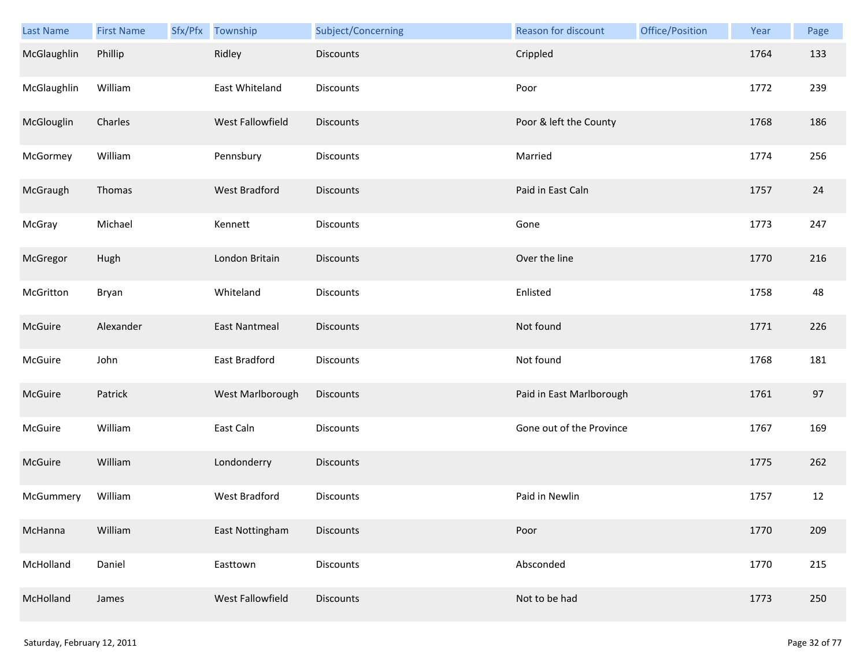| <b>Last Name</b> | <b>First Name</b> | Sfx/Pfx | Township             | Subject/Concerning | Reason for discount      | Office/Position | Year | Page |
|------------------|-------------------|---------|----------------------|--------------------|--------------------------|-----------------|------|------|
| McGlaughlin      | Phillip           |         | Ridley               | Discounts          | Crippled                 |                 | 1764 | 133  |
| McGlaughlin      | William           |         | East Whiteland       | <b>Discounts</b>   | Poor                     |                 | 1772 | 239  |
| McGlouglin       | Charles           |         | West Fallowfield     | Discounts          | Poor & left the County   |                 | 1768 | 186  |
| McGormey         | William           |         | Pennsbury            | Discounts          | Married                  |                 | 1774 | 256  |
| McGraugh         | Thomas            |         | <b>West Bradford</b> | Discounts          | Paid in East Caln        |                 | 1757 | 24   |
| McGray           | Michael           |         | Kennett              | Discounts          | Gone                     |                 | 1773 | 247  |
| McGregor         | Hugh              |         | London Britain       | <b>Discounts</b>   | Over the line            |                 | 1770 | 216  |
| McGritton        | Bryan             |         | Whiteland            | Discounts          | Enlisted                 |                 | 1758 | 48   |
| McGuire          | Alexander         |         | <b>East Nantmeal</b> | Discounts          | Not found                |                 | 1771 | 226  |
| McGuire          | John              |         | East Bradford        | Discounts          | Not found                |                 | 1768 | 181  |
| McGuire          | Patrick           |         | West Marlborough     | Discounts          | Paid in East Marlborough |                 | 1761 | 97   |
| McGuire          | William           |         | East Caln            | Discounts          | Gone out of the Province |                 | 1767 | 169  |
| McGuire          | William           |         | Londonderry          | Discounts          |                          |                 | 1775 | 262  |
| McGummery        | William           |         | West Bradford        | Discounts          | Paid in Newlin           |                 | 1757 | 12   |
| McHanna          | William           |         | East Nottingham      | Discounts          | Poor                     |                 | 1770 | 209  |
| McHolland        | Daniel            |         | Easttown             | Discounts          | Absconded                |                 | 1770 | 215  |
| McHolland        | James             |         | West Fallowfield     | Discounts          | Not to be had            |                 | 1773 | 250  |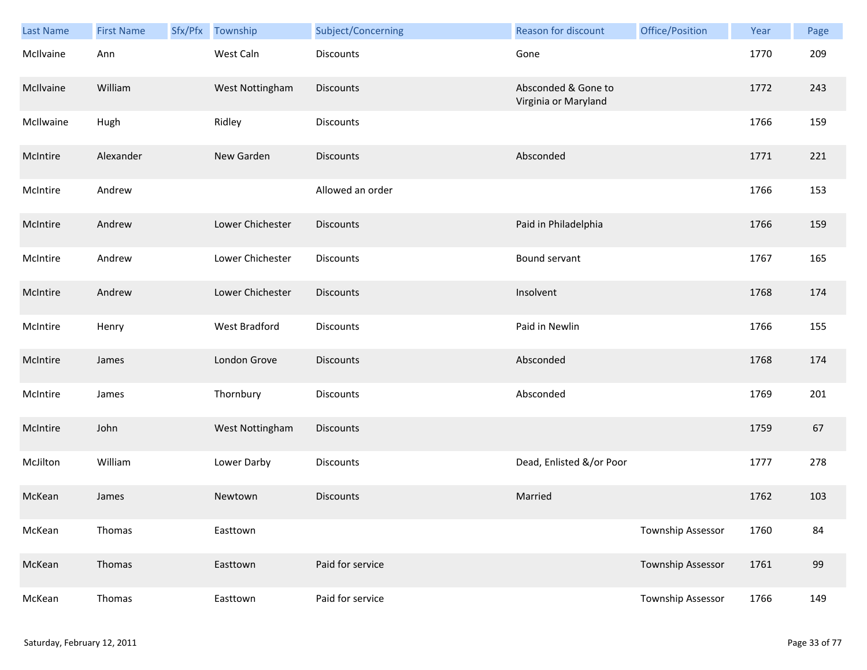| Last Name | <b>First Name</b> | Sfx/Pfx | Township         | Subject/Concerning | Reason for discount                         | Office/Position   | Year | Page |
|-----------|-------------------|---------|------------------|--------------------|---------------------------------------------|-------------------|------|------|
| McIlvaine | Ann               |         | West Caln        | <b>Discounts</b>   | Gone                                        |                   | 1770 | 209  |
| McIlvaine | William           |         | West Nottingham  | <b>Discounts</b>   | Absconded & Gone to<br>Virginia or Maryland |                   | 1772 | 243  |
| McIlwaine | Hugh              |         | Ridley           | Discounts          |                                             |                   | 1766 | 159  |
| McIntire  | Alexander         |         | New Garden       | <b>Discounts</b>   | Absconded                                   |                   | 1771 | 221  |
| McIntire  | Andrew            |         |                  | Allowed an order   |                                             |                   | 1766 | 153  |
| McIntire  | Andrew            |         | Lower Chichester | <b>Discounts</b>   | Paid in Philadelphia                        |                   | 1766 | 159  |
| McIntire  | Andrew            |         | Lower Chichester | Discounts          | Bound servant                               |                   | 1767 | 165  |
| McIntire  | Andrew            |         | Lower Chichester | <b>Discounts</b>   | Insolvent                                   |                   | 1768 | 174  |
| McIntire  | Henry             |         | West Bradford    | <b>Discounts</b>   | Paid in Newlin                              |                   | 1766 | 155  |
| McIntire  | James             |         | London Grove     | <b>Discounts</b>   | Absconded                                   |                   | 1768 | 174  |
| McIntire  | James             |         | Thornbury        | <b>Discounts</b>   | Absconded                                   |                   | 1769 | 201  |
| McIntire  | John              |         | West Nottingham  | <b>Discounts</b>   |                                             |                   | 1759 | 67   |
| McJilton  | William           |         | Lower Darby      | Discounts          | Dead, Enlisted &/or Poor                    |                   | 1777 | 278  |
| McKean    | James             |         | Newtown          | <b>Discounts</b>   | Married                                     |                   | 1762 | 103  |
| McKean    | Thomas            |         | Easttown         |                    |                                             | Township Assessor | 1760 | 84   |
| McKean    | Thomas            |         | Easttown         | Paid for service   |                                             | Township Assessor | 1761 | 99   |
| McKean    | Thomas            |         | Easttown         | Paid for service   |                                             | Township Assessor | 1766 | 149  |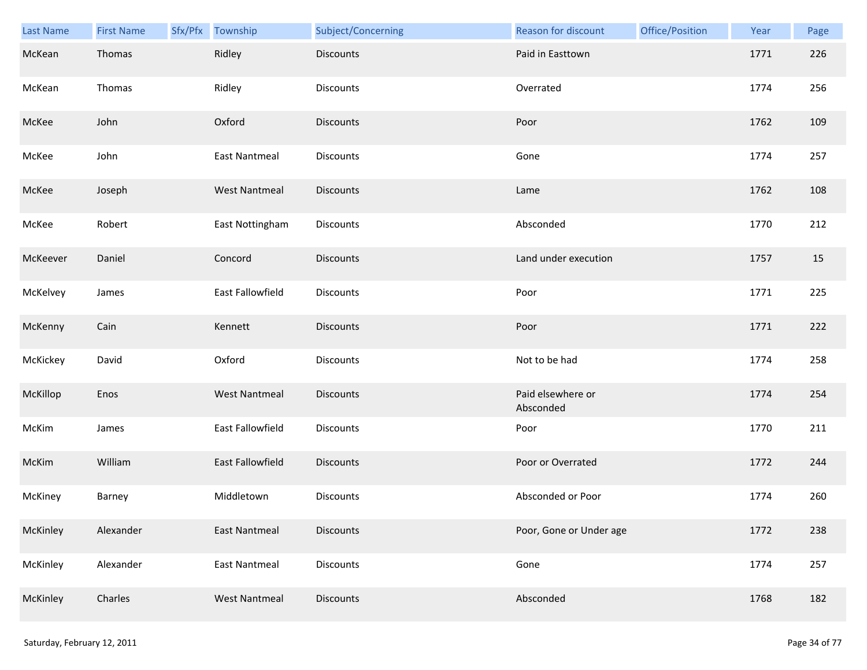| Last Name | <b>First Name</b> | Sfx/Pfx Township     | Subject/Concerning | Reason for discount            | Office/Position | Year | Page |
|-----------|-------------------|----------------------|--------------------|--------------------------------|-----------------|------|------|
| McKean    | Thomas            | Ridley               | <b>Discounts</b>   | Paid in Easttown               |                 | 1771 | 226  |
| McKean    | Thomas            | Ridley               | Discounts          | Overrated                      |                 | 1774 | 256  |
| McKee     | John              | Oxford               | <b>Discounts</b>   | Poor                           |                 | 1762 | 109  |
| McKee     | John              | <b>East Nantmeal</b> | <b>Discounts</b>   | Gone                           |                 | 1774 | 257  |
| McKee     | Joseph            | <b>West Nantmeal</b> | <b>Discounts</b>   | Lame                           |                 | 1762 | 108  |
| McKee     | Robert            | East Nottingham      | Discounts          | Absconded                      |                 | 1770 | 212  |
| McKeever  | Daniel            | Concord              | <b>Discounts</b>   | Land under execution           |                 | 1757 | 15   |
| McKelvey  | James             | East Fallowfield     | Discounts          | Poor                           |                 | 1771 | 225  |
| McKenny   | Cain              | Kennett              | <b>Discounts</b>   | Poor                           |                 | 1771 | 222  |
| McKickey  | David             | Oxford               | Discounts          | Not to be had                  |                 | 1774 | 258  |
| McKillop  | Enos              | <b>West Nantmeal</b> | <b>Discounts</b>   | Paid elsewhere or<br>Absconded |                 | 1774 | 254  |
| McKim     | James             | East Fallowfield     | Discounts          | Poor                           |                 | 1770 | 211  |
| McKim     | William           | East Fallowfield     | Discounts          | Poor or Overrated              |                 | 1772 | 244  |
| McKiney   | Barney            | Middletown           | Discounts          | Absconded or Poor              |                 | 1774 | 260  |
| McKinley  | Alexander         | <b>East Nantmeal</b> | <b>Discounts</b>   | Poor, Gone or Under age        |                 | 1772 | 238  |
| McKinley  | Alexander         | <b>East Nantmeal</b> | Discounts          | Gone                           |                 | 1774 | 257  |
| McKinley  | Charles           | <b>West Nantmeal</b> | Discounts          | Absconded                      |                 | 1768 | 182  |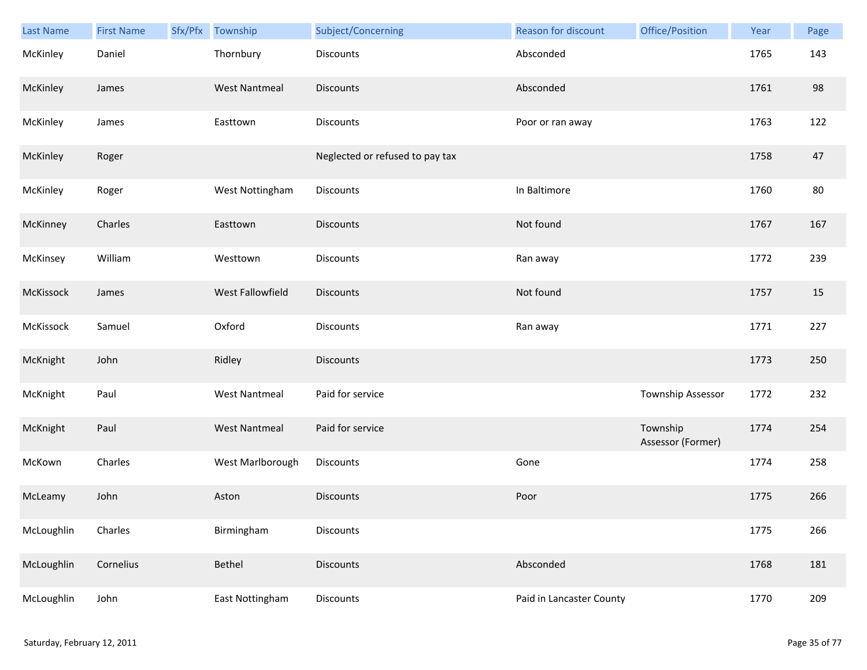| Last Name  | <b>First Name</b> | Sfx/Pfx Township     | Subject/Concerning              | Reason for discount      | Office/Position               | Year | Page |
|------------|-------------------|----------------------|---------------------------------|--------------------------|-------------------------------|------|------|
| McKinley   | Daniel            | Thornbury            | Discounts                       | Absconded                |                               | 1765 | 143  |
| McKinley   | James             | <b>West Nantmeal</b> | <b>Discounts</b>                | Absconded                |                               | 1761 | 98   |
| McKinley   | James             | Easttown             | Discounts                       | Poor or ran away         |                               | 1763 | 122  |
| McKinley   | Roger             |                      | Neglected or refused to pay tax |                          |                               | 1758 | 47   |
| McKinley   | Roger             | West Nottingham      | Discounts                       | In Baltimore             |                               | 1760 | 80   |
| McKinney   | Charles           | Easttown             | <b>Discounts</b>                | Not found                |                               | 1767 | 167  |
| McKinsey   | William           | Westtown             | Discounts                       | Ran away                 |                               | 1772 | 239  |
| McKissock  | James             | West Fallowfield     | <b>Discounts</b>                | Not found                |                               | 1757 | 15   |
| McKissock  | Samuel            | Oxford               | Discounts                       | Ran away                 |                               | 1771 | 227  |
| McKnight   | John              | Ridley               | <b>Discounts</b>                |                          |                               | 1773 | 250  |
| McKnight   | Paul              | <b>West Nantmeal</b> | Paid for service                |                          | Township Assessor             | 1772 | 232  |
| McKnight   | Paul              | <b>West Nantmeal</b> | Paid for service                |                          | Township<br>Assessor (Former) | 1774 | 254  |
| McKown     | Charles           | West Marlborough     | Discounts                       | Gone                     |                               | 1774 | 258  |
| McLeamy    | John              | Aston                | <b>Discounts</b>                | Poor                     |                               | 1775 | 266  |
| McLoughlin | Charles           | Birmingham           | Discounts                       |                          |                               | 1775 | 266  |
| McLoughlin | Cornelius         | Bethel               | <b>Discounts</b>                | Absconded                |                               | 1768 | 181  |
| McLoughlin | John              | East Nottingham      | Discounts                       | Paid in Lancaster County |                               | 1770 | 209  |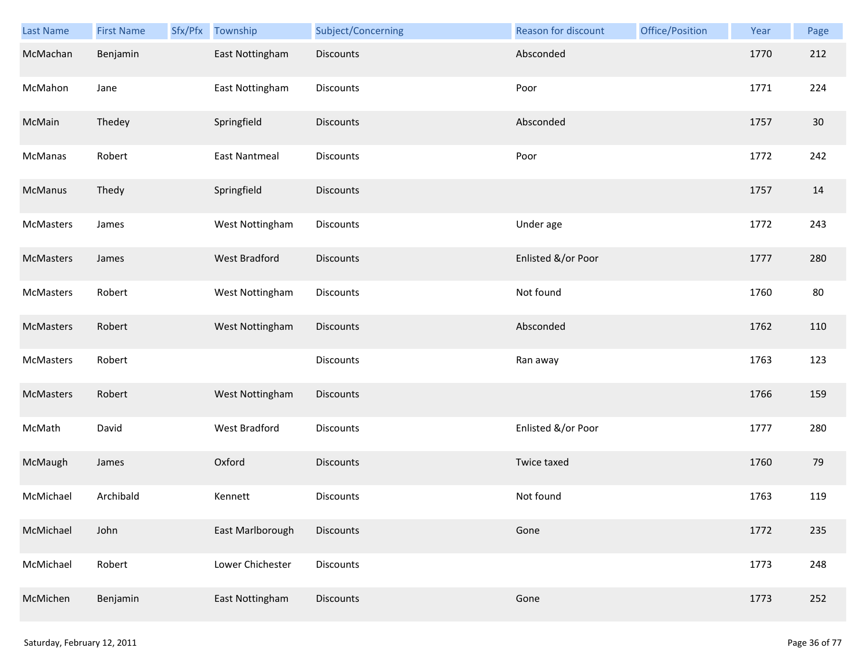| <b>Last Name</b> | <b>First Name</b> | Sfx/Pfx | Township             | Subject/Concerning | Reason for discount | Office/Position | Year | Page |
|------------------|-------------------|---------|----------------------|--------------------|---------------------|-----------------|------|------|
| McMachan         | Benjamin          |         | East Nottingham      | <b>Discounts</b>   | Absconded           |                 | 1770 | 212  |
| McMahon          | Jane              |         | East Nottingham      | Discounts          | Poor                |                 | 1771 | 224  |
| McMain           | Thedey            |         | Springfield          | Discounts          | Absconded           |                 | 1757 | 30   |
| McManas          | Robert            |         | <b>East Nantmeal</b> | Discounts          | Poor                |                 | 1772 | 242  |
| McManus          | Thedy             |         | Springfield          | Discounts          |                     |                 | 1757 | 14   |
| McMasters        | James             |         | West Nottingham      | Discounts          | Under age           |                 | 1772 | 243  |
| McMasters        | James             |         | <b>West Bradford</b> | Discounts          | Enlisted &/or Poor  |                 | 1777 | 280  |
| McMasters        | Robert            |         | West Nottingham      | Discounts          | Not found           |                 | 1760 | 80   |
| McMasters        | Robert            |         | West Nottingham      | <b>Discounts</b>   | Absconded           |                 | 1762 | 110  |
| McMasters        | Robert            |         |                      | Discounts          | Ran away            |                 | 1763 | 123  |
| McMasters        | Robert            |         | West Nottingham      | Discounts          |                     |                 | 1766 | 159  |
| McMath           | David             |         | West Bradford        | Discounts          | Enlisted &/or Poor  |                 | 1777 | 280  |
| McMaugh          | James             |         | Oxford               | Discounts          | Twice taxed         |                 | 1760 | 79   |
| McMichael        | Archibald         |         | Kennett              | Discounts          | Not found           |                 | 1763 | 119  |
| McMichael        | John              |         | East Marlborough     | Discounts          | Gone                |                 | 1772 | 235  |
| McMichael        | Robert            |         | Lower Chichester     | <b>Discounts</b>   |                     |                 | 1773 | 248  |
| McMichen         | Benjamin          |         | East Nottingham      | Discounts          | Gone                |                 | 1773 | 252  |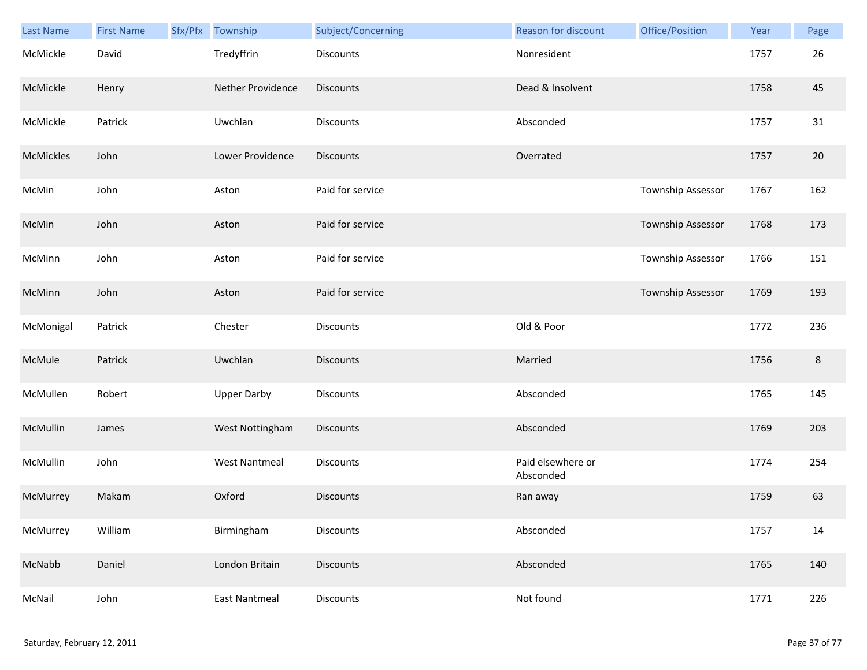| Last Name | <b>First Name</b> | Sfx/Pfx | Township             | Subject/Concerning | Reason for discount            | Office/Position   | Year | Page    |
|-----------|-------------------|---------|----------------------|--------------------|--------------------------------|-------------------|------|---------|
| McMickle  | David             |         | Tredyffrin           | <b>Discounts</b>   | Nonresident                    |                   | 1757 | 26      |
| McMickle  | Henry             |         | Nether Providence    | <b>Discounts</b>   | Dead & Insolvent               |                   | 1758 | 45      |
| McMickle  | Patrick           |         | Uwchlan              | Discounts          | Absconded                      |                   | 1757 | 31      |
| McMickles | John              |         | Lower Providence     | <b>Discounts</b>   | Overrated                      |                   | 1757 | 20      |
| McMin     | John              |         | Aston                | Paid for service   |                                | Township Assessor | 1767 | 162     |
| McMin     | John              |         | Aston                | Paid for service   |                                | Township Assessor | 1768 | 173     |
| McMinn    | John              |         | Aston                | Paid for service   |                                | Township Assessor | 1766 | 151     |
| McMinn    | John              |         | Aston                | Paid for service   |                                | Township Assessor | 1769 | 193     |
| McMonigal | Patrick           |         | Chester              | <b>Discounts</b>   | Old & Poor                     |                   | 1772 | 236     |
| McMule    | Patrick           |         | Uwchlan              | <b>Discounts</b>   | Married                        |                   | 1756 | $\,8\,$ |
| McMullen  | Robert            |         | <b>Upper Darby</b>   | <b>Discounts</b>   | Absconded                      |                   | 1765 | 145     |
| McMullin  | James             |         | West Nottingham      | <b>Discounts</b>   | Absconded                      |                   | 1769 | 203     |
| McMullin  | John              |         | <b>West Nantmeal</b> | Discounts          | Paid elsewhere or<br>Absconded |                   | 1774 | 254     |
| McMurrey  | Makam             |         | Oxford               | <b>Discounts</b>   | Ran away                       |                   | 1759 | 63      |
| McMurrey  | William           |         | Birmingham           | <b>Discounts</b>   | Absconded                      |                   | 1757 | 14      |
| McNabb    | Daniel            |         | London Britain       | <b>Discounts</b>   | Absconded                      |                   | 1765 | 140     |
| McNail    | John              |         | <b>East Nantmeal</b> | Discounts          | Not found                      |                   | 1771 | 226     |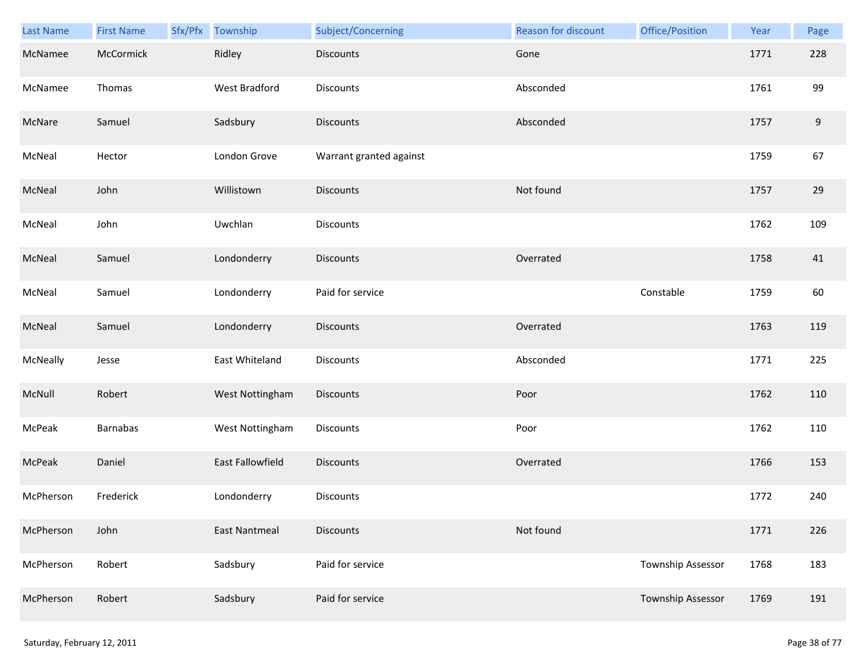| Last Name | <b>First Name</b> | Sfx/Pfx Township     | Subject/Concerning      | Reason for discount | Office/Position   | Year | Page  |
|-----------|-------------------|----------------------|-------------------------|---------------------|-------------------|------|-------|
| McNamee   | McCormick         | Ridley               | <b>Discounts</b>        | Gone                |                   | 1771 | 228   |
| McNamee   | Thomas            | West Bradford        | Discounts               | Absconded           |                   | 1761 | 99    |
| McNare    | Samuel            | Sadsbury             | <b>Discounts</b>        | Absconded           |                   | 1757 | $9\,$ |
| McNeal    | Hector            | London Grove         | Warrant granted against |                     |                   | 1759 | 67    |
| McNeal    | John              | Willistown           | <b>Discounts</b>        | Not found           |                   | 1757 | 29    |
| McNeal    | John              | Uwchlan              | Discounts               |                     |                   | 1762 | 109   |
| McNeal    | Samuel            | Londonderry          | <b>Discounts</b>        | Overrated           |                   | 1758 | 41    |
| McNeal    | Samuel            | Londonderry          | Paid for service        |                     | Constable         | 1759 | 60    |
| McNeal    | Samuel            | Londonderry          | <b>Discounts</b>        | Overrated           |                   | 1763 | 119   |
| McNeally  | Jesse             | East Whiteland       | Discounts               | Absconded           |                   | 1771 | 225   |
| McNull    | Robert            | West Nottingham      | <b>Discounts</b>        | Poor                |                   | 1762 | 110   |
| McPeak    | Barnabas          | West Nottingham      | Discounts               | Poor                |                   | 1762 | 110   |
| McPeak    | Daniel            | East Fallowfield     | <b>Discounts</b>        | Overrated           |                   | 1766 | 153   |
| McPherson | Frederick         | Londonderry          | Discounts               |                     |                   | 1772 | 240   |
| McPherson | John              | <b>East Nantmeal</b> | <b>Discounts</b>        | Not found           |                   | 1771 | 226   |
| McPherson | Robert            | Sadsbury             | Paid for service        |                     | Township Assessor | 1768 | 183   |
| McPherson | Robert            | Sadsbury             | Paid for service        |                     | Township Assessor | 1769 | 191   |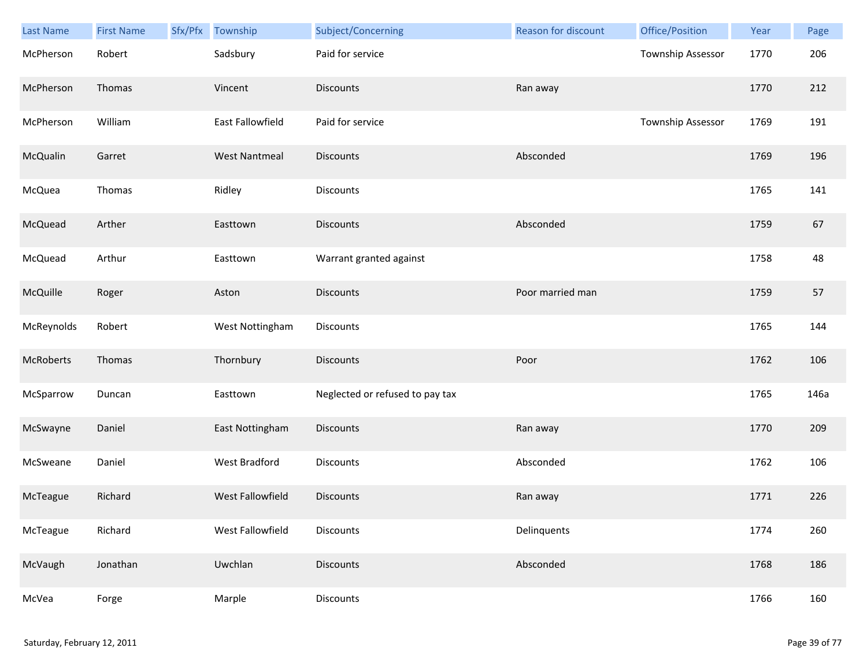| <b>Last Name</b> | <b>First Name</b> | Sfx/Pfx | Township             | Subject/Concerning              | Reason for discount | Office/Position   | Year | Page |
|------------------|-------------------|---------|----------------------|---------------------------------|---------------------|-------------------|------|------|
| McPherson        | Robert            |         | Sadsbury             | Paid for service                |                     | Township Assessor | 1770 | 206  |
| McPherson        | Thomas            |         | Vincent              | Discounts                       | Ran away            |                   | 1770 | 212  |
| McPherson        | William           |         | East Fallowfield     | Paid for service                |                     | Township Assessor | 1769 | 191  |
| McQualin         | Garret            |         | <b>West Nantmeal</b> | Discounts                       | Absconded           |                   | 1769 | 196  |
| McQuea           | Thomas            |         | Ridley               | Discounts                       |                     |                   | 1765 | 141  |
| McQuead          | Arther            |         | Easttown             | <b>Discounts</b>                | Absconded           |                   | 1759 | 67   |
| McQuead          | Arthur            |         | Easttown             | Warrant granted against         |                     |                   | 1758 | 48   |
| McQuille         | Roger             |         | Aston                | <b>Discounts</b>                | Poor married man    |                   | 1759 | 57   |
| McReynolds       | Robert            |         | West Nottingham      | Discounts                       |                     |                   | 1765 | 144  |
| McRoberts        | Thomas            |         | Thornbury            | Discounts                       | Poor                |                   | 1762 | 106  |
| McSparrow        | Duncan            |         | Easttown             | Neglected or refused to pay tax |                     |                   | 1765 | 146a |
| McSwayne         | Daniel            |         | East Nottingham      | Discounts                       | Ran away            |                   | 1770 | 209  |
| McSweane         | Daniel            |         | <b>West Bradford</b> | Discounts                       | Absconded           |                   | 1762 | 106  |
| McTeague         | Richard           |         | West Fallowfield     | Discounts                       | Ran away            |                   | 1771 | 226  |
| McTeague         | Richard           |         | West Fallowfield     | Discounts                       | Delinquents         |                   | 1774 | 260  |
| McVaugh          | Jonathan          |         | Uwchlan              | Discounts                       | Absconded           |                   | 1768 | 186  |
| McVea            | Forge             |         | Marple               | Discounts                       |                     |                   | 1766 | 160  |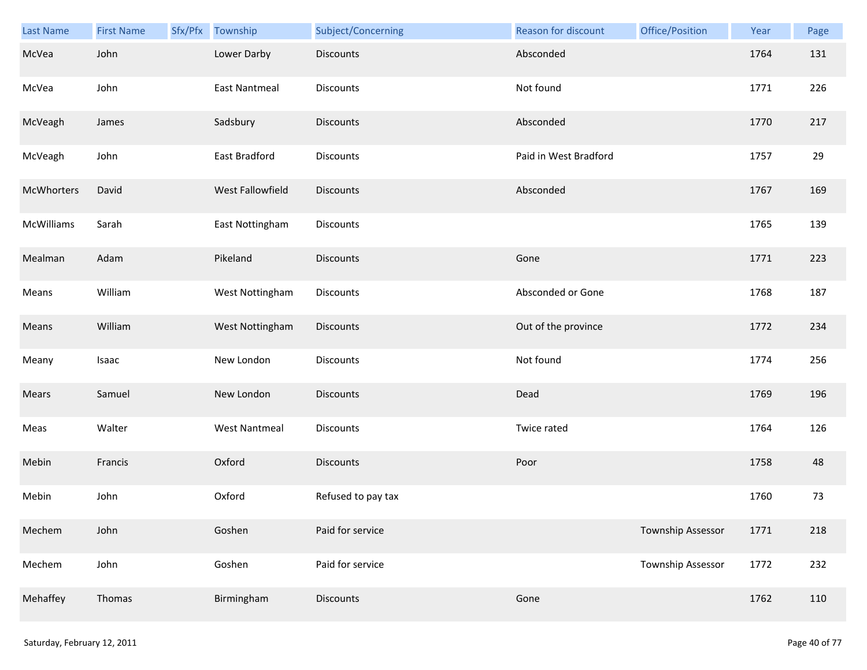| Last Name  | <b>First Name</b> | Sfx/Pfx | Township             | Subject/Concerning | Reason for discount   | Office/Position          | Year | Page |
|------------|-------------------|---------|----------------------|--------------------|-----------------------|--------------------------|------|------|
| McVea      | John              |         | Lower Darby          | <b>Discounts</b>   | Absconded             |                          | 1764 | 131  |
| McVea      | John              |         | <b>East Nantmeal</b> | Discounts          | Not found             |                          | 1771 | 226  |
| McVeagh    | James             |         | Sadsbury             | Discounts          | Absconded             |                          | 1770 | 217  |
| McVeagh    | John              |         | East Bradford        | Discounts          | Paid in West Bradford |                          | 1757 | 29   |
| McWhorters | David             |         | West Fallowfield     | <b>Discounts</b>   | Absconded             |                          | 1767 | 169  |
| McWilliams | Sarah             |         | East Nottingham      | Discounts          |                       |                          | 1765 | 139  |
| Mealman    | Adam              |         | Pikeland             | Discounts          | Gone                  |                          | 1771 | 223  |
| Means      | William           |         | West Nottingham      | Discounts          | Absconded or Gone     |                          | 1768 | 187  |
| Means      | William           |         | West Nottingham      | <b>Discounts</b>   | Out of the province   |                          | 1772 | 234  |
| Meany      | Isaac             |         | New London           | Discounts          | Not found             |                          | 1774 | 256  |
| Mears      | Samuel            |         | New London           | <b>Discounts</b>   | Dead                  |                          | 1769 | 196  |
| Meas       | Walter            |         | <b>West Nantmeal</b> | Discounts          | Twice rated           |                          | 1764 | 126  |
| Mebin      | Francis           |         | Oxford               | <b>Discounts</b>   | Poor                  |                          | 1758 | 48   |
| Mebin      | John              |         | Oxford               | Refused to pay tax |                       |                          | 1760 | 73   |
| Mechem     | John              |         | Goshen               | Paid for service   |                       | <b>Township Assessor</b> | 1771 | 218  |
| Mechem     | John              |         | Goshen               | Paid for service   |                       | <b>Township Assessor</b> | 1772 | 232  |
| Mehaffey   | Thomas            |         | Birmingham           | <b>Discounts</b>   | Gone                  |                          | 1762 | 110  |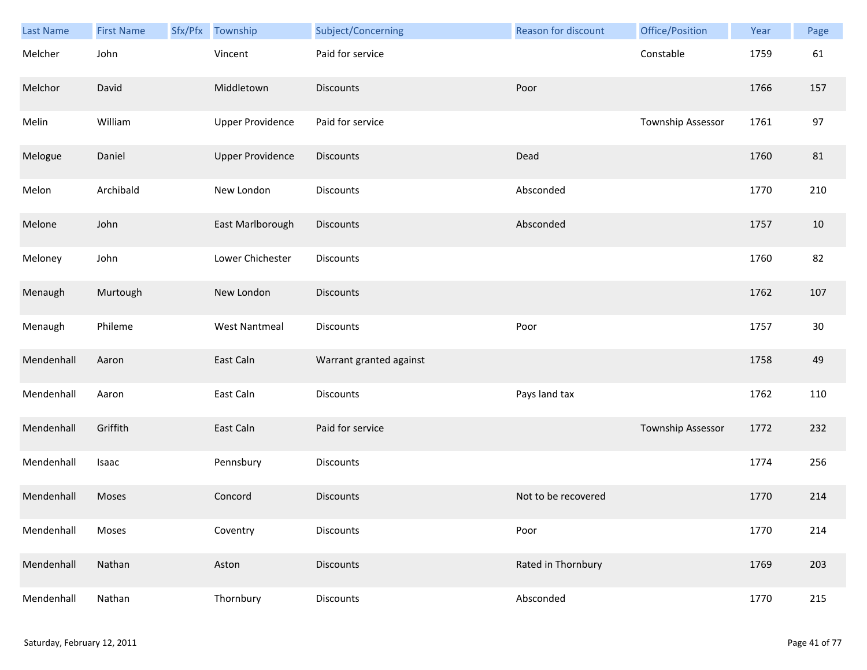| Last Name  | <b>First Name</b> | Sfx/Pfx | Township                | Subject/Concerning      | Reason for discount | Office/Position   | Year | Page   |
|------------|-------------------|---------|-------------------------|-------------------------|---------------------|-------------------|------|--------|
| Melcher    | John              |         | Vincent                 | Paid for service        |                     | Constable         | 1759 | 61     |
| Melchor    | David             |         | Middletown              | <b>Discounts</b>        | Poor                |                   | 1766 | 157    |
| Melin      | William           |         | <b>Upper Providence</b> | Paid for service        |                     | Township Assessor | 1761 | 97     |
| Melogue    | Daniel            |         | <b>Upper Providence</b> | <b>Discounts</b>        | Dead                |                   | 1760 | 81     |
| Melon      | Archibald         |         | New London              | Discounts               | Absconded           |                   | 1770 | 210    |
| Melone     | John              |         | East Marlborough        | <b>Discounts</b>        | Absconded           |                   | 1757 | 10     |
| Meloney    | John              |         | Lower Chichester        | Discounts               |                     |                   | 1760 | 82     |
| Menaugh    | Murtough          |         | New London              | <b>Discounts</b>        |                     |                   | 1762 | 107    |
| Menaugh    | Phileme           |         | <b>West Nantmeal</b>    | Discounts               | Poor                |                   | 1757 | $30\,$ |
| Mendenhall | Aaron             |         | East Caln               | Warrant granted against |                     |                   | 1758 | 49     |
| Mendenhall | Aaron             |         | East Caln               | Discounts               | Pays land tax       |                   | 1762 | 110    |
| Mendenhall | Griffith          |         | East Caln               | Paid for service        |                     | Township Assessor | 1772 | 232    |
| Mendenhall | Isaac             |         | Pennsbury               | Discounts               |                     |                   | 1774 | 256    |
| Mendenhall | Moses             |         | Concord                 | <b>Discounts</b>        | Not to be recovered |                   | 1770 | 214    |
| Mendenhall | Moses             |         | Coventry                | Discounts               | Poor                |                   | 1770 | 214    |
| Mendenhall | Nathan            |         | Aston                   | <b>Discounts</b>        | Rated in Thornbury  |                   | 1769 | 203    |
| Mendenhall | Nathan            |         | Thornbury               | Discounts               | Absconded           |                   | 1770 | 215    |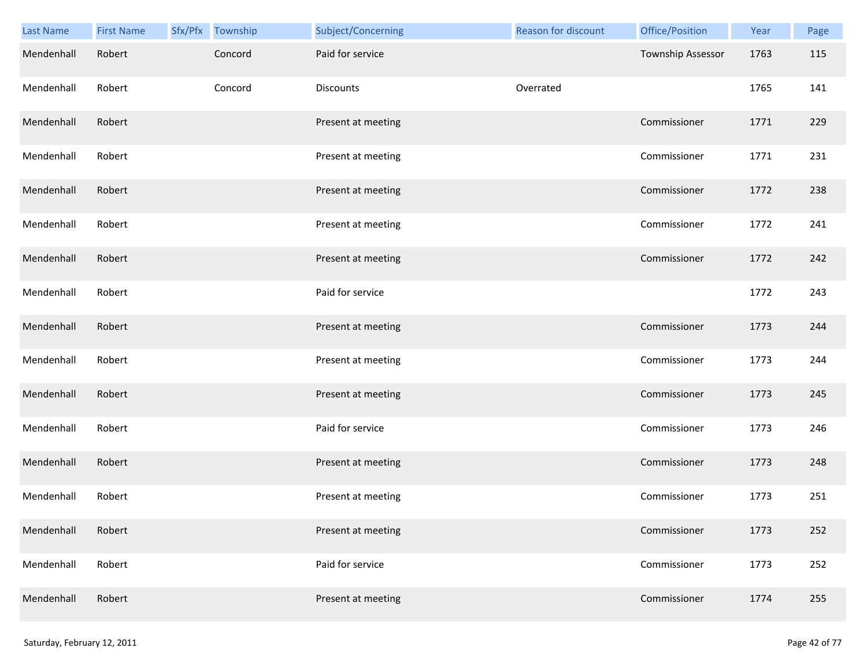| <b>Last Name</b> | <b>First Name</b> | Sfx/Pfx Township | Subject/Concerning | Reason for discount | Office/Position   | Year | Page |
|------------------|-------------------|------------------|--------------------|---------------------|-------------------|------|------|
| Mendenhall       | Robert            | Concord          | Paid for service   |                     | Township Assessor | 1763 | 115  |
| Mendenhall       | Robert            | Concord          | Discounts          | Overrated           |                   | 1765 | 141  |
| Mendenhall       | Robert            |                  | Present at meeting |                     | Commissioner      | 1771 | 229  |
| Mendenhall       | Robert            |                  | Present at meeting |                     | Commissioner      | 1771 | 231  |
| Mendenhall       | Robert            |                  | Present at meeting |                     | Commissioner      | 1772 | 238  |
| Mendenhall       | Robert            |                  | Present at meeting |                     | Commissioner      | 1772 | 241  |
| Mendenhall       | Robert            |                  | Present at meeting |                     | Commissioner      | 1772 | 242  |
| Mendenhall       | Robert            |                  | Paid for service   |                     |                   | 1772 | 243  |
| Mendenhall       | Robert            |                  | Present at meeting |                     | Commissioner      | 1773 | 244  |
| Mendenhall       | Robert            |                  | Present at meeting |                     | Commissioner      | 1773 | 244  |
| Mendenhall       | Robert            |                  | Present at meeting |                     | Commissioner      | 1773 | 245  |
| Mendenhall       | Robert            |                  | Paid for service   |                     | Commissioner      | 1773 | 246  |
| Mendenhall       | Robert            |                  | Present at meeting |                     | Commissioner      | 1773 | 248  |
| Mendenhall       | Robert            |                  | Present at meeting |                     | Commissioner      | 1773 | 251  |
| Mendenhall       | Robert            |                  | Present at meeting |                     | Commissioner      | 1773 | 252  |
| Mendenhall       | Robert            |                  | Paid for service   |                     | Commissioner      | 1773 | 252  |
| Mendenhall       | Robert            |                  | Present at meeting |                     | Commissioner      | 1774 | 255  |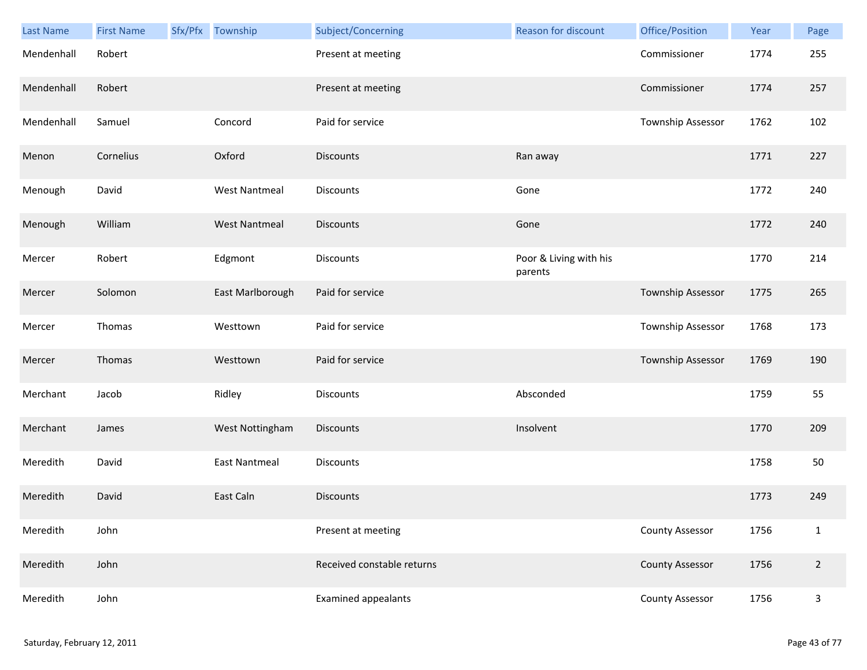| <b>Last Name</b> | <b>First Name</b> | Sfx/Pfx Township     | Subject/Concerning         |           | Reason for discount    | Office/Position        | Year | Page           |
|------------------|-------------------|----------------------|----------------------------|-----------|------------------------|------------------------|------|----------------|
| Mendenhall       | Robert            |                      | Present at meeting         |           |                        | Commissioner           | 1774 | 255            |
| Mendenhall       | Robert            |                      | Present at meeting         |           |                        | Commissioner           | 1774 | 257            |
| Mendenhall       | Samuel            | Concord              | Paid for service           |           |                        | Township Assessor      | 1762 | 102            |
| Menon            | Cornelius         | Oxford               | <b>Discounts</b>           | Ran away  |                        |                        | 1771 | 227            |
| Menough          | David             | <b>West Nantmeal</b> | Discounts                  | Gone      |                        |                        | 1772 | 240            |
| Menough          | William           | <b>West Nantmeal</b> | <b>Discounts</b>           | Gone      |                        |                        | 1772 | 240            |
| Mercer           | Robert            | Edgmont              | <b>Discounts</b>           | parents   | Poor & Living with his |                        | 1770 | 214            |
| Mercer           | Solomon           | East Marlborough     | Paid for service           |           |                        | Township Assessor      | 1775 | 265            |
| Mercer           | Thomas            | Westtown             | Paid for service           |           |                        | Township Assessor      | 1768 | 173            |
| Mercer           | Thomas            | Westtown             | Paid for service           |           |                        | Township Assessor      | 1769 | 190            |
| Merchant         | Jacob             | Ridley               | Discounts                  |           | Absconded              |                        | 1759 | 55             |
| Merchant         | James             | West Nottingham      | <b>Discounts</b>           | Insolvent |                        |                        | 1770 | 209            |
| Meredith         | David             | <b>East Nantmeal</b> | Discounts                  |           |                        |                        | 1758 | 50             |
| Meredith         | David             | East Caln            | <b>Discounts</b>           |           |                        |                        | 1773 | 249            |
| Meredith         | John              |                      | Present at meeting         |           |                        | <b>County Assessor</b> | 1756 | $\mathbf{1}$   |
| Meredith         | John              |                      | Received constable returns |           |                        | <b>County Assessor</b> | 1756 | $\overline{2}$ |
| Meredith         | John              |                      | <b>Examined appealants</b> |           |                        | <b>County Assessor</b> | 1756 | $\mathsf{3}$   |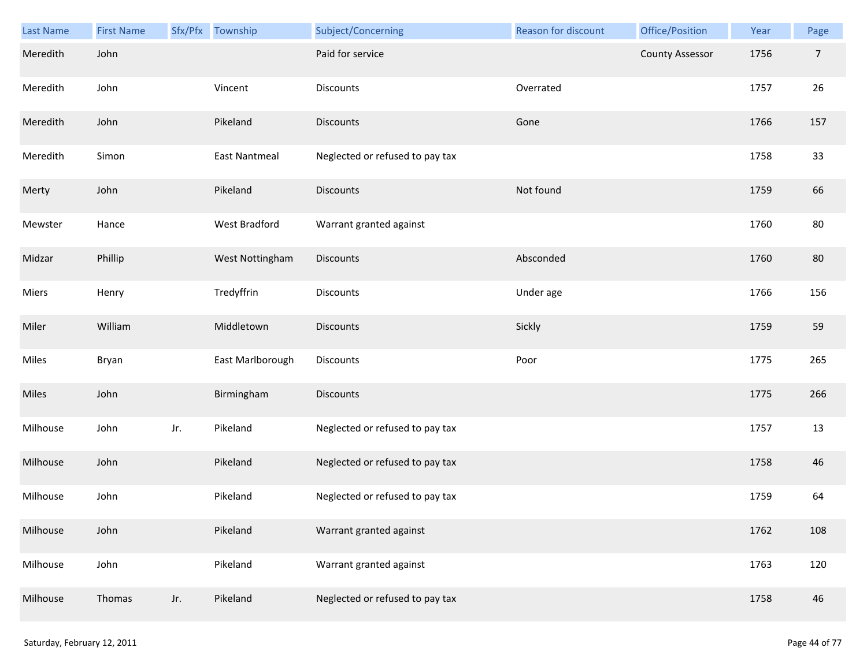| <b>Last Name</b> | <b>First Name</b> |     | Sfx/Pfx Township     | Subject/Concerning              | Reason for discount | Office/Position        | Year | Page           |
|------------------|-------------------|-----|----------------------|---------------------------------|---------------------|------------------------|------|----------------|
| Meredith         | John              |     |                      | Paid for service                |                     | <b>County Assessor</b> | 1756 | $\overline{7}$ |
| Meredith         | John              |     | Vincent              | Discounts                       | Overrated           |                        | 1757 | 26             |
| Meredith         | John              |     | Pikeland             | Discounts                       | Gone                |                        | 1766 | 157            |
| Meredith         | Simon             |     | <b>East Nantmeal</b> | Neglected or refused to pay tax |                     |                        | 1758 | 33             |
| Merty            | John              |     | Pikeland             | <b>Discounts</b>                | Not found           |                        | 1759 | 66             |
| Mewster          | Hance             |     | West Bradford        | Warrant granted against         |                     |                        | 1760 | 80             |
| Midzar           | Phillip           |     | West Nottingham      | Discounts                       | Absconded           |                        | 1760 | 80             |
| Miers            | Henry             |     | Tredyffrin           | Discounts                       | Under age           |                        | 1766 | 156            |
| Miler            | William           |     | Middletown           | Discounts                       | Sickly              |                        | 1759 | 59             |
| Miles            | Bryan             |     | East Marlborough     | Discounts                       | Poor                |                        | 1775 | 265            |
| Miles            | John              |     | Birmingham           | Discounts                       |                     |                        | 1775 | 266            |
| Milhouse         | John              | Jr. | Pikeland             | Neglected or refused to pay tax |                     |                        | 1757 | 13             |
| Milhouse         | John              |     | Pikeland             | Neglected or refused to pay tax |                     |                        | 1758 | 46             |
| Milhouse         | John              |     | Pikeland             | Neglected or refused to pay tax |                     |                        | 1759 | 64             |
| Milhouse         | John              |     | Pikeland             | Warrant granted against         |                     |                        | 1762 | 108            |
| Milhouse         | John              |     | Pikeland             | Warrant granted against         |                     |                        | 1763 | 120            |
| Milhouse         | Thomas            | Jr. | Pikeland             | Neglected or refused to pay tax |                     |                        | 1758 | 46             |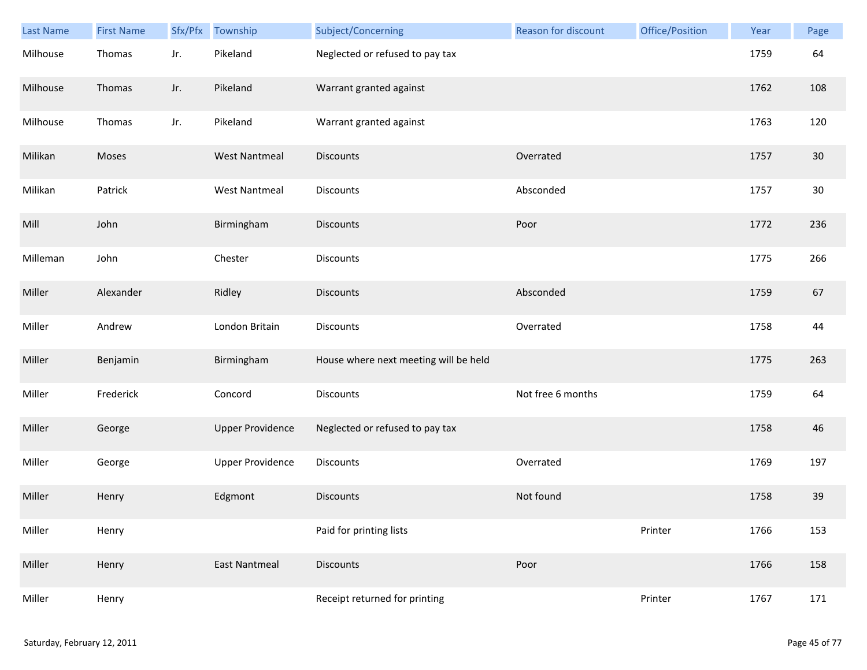| <b>Last Name</b> | <b>First Name</b> | Sfx/Pfx | Township                | Subject/Concerning                    | Reason for discount | Office/Position | Year | Page |
|------------------|-------------------|---------|-------------------------|---------------------------------------|---------------------|-----------------|------|------|
| Milhouse         | Thomas            | Jr.     | Pikeland                | Neglected or refused to pay tax       |                     |                 | 1759 | 64   |
| Milhouse         | Thomas            | Jr.     | Pikeland                | Warrant granted against               |                     |                 | 1762 | 108  |
| Milhouse         | Thomas            | Jr.     | Pikeland                | Warrant granted against               |                     |                 | 1763 | 120  |
| Milikan          | Moses             |         | <b>West Nantmeal</b>    | <b>Discounts</b>                      | Overrated           |                 | 1757 | 30   |
| Milikan          | Patrick           |         | <b>West Nantmeal</b>    | <b>Discounts</b>                      | Absconded           |                 | 1757 | 30   |
| Mill             | John              |         | Birmingham              | <b>Discounts</b>                      | Poor                |                 | 1772 | 236  |
| Milleman         | John              |         | Chester                 | <b>Discounts</b>                      |                     |                 | 1775 | 266  |
| Miller           | Alexander         |         | Ridley                  | <b>Discounts</b>                      | Absconded           |                 | 1759 | 67   |
| Miller           | Andrew            |         | London Britain          | <b>Discounts</b>                      | Overrated           |                 | 1758 | 44   |
| Miller           | Benjamin          |         | Birmingham              | House where next meeting will be held |                     |                 | 1775 | 263  |
| Miller           | Frederick         |         | Concord                 | Discounts                             | Not free 6 months   |                 | 1759 | 64   |
| Miller           | George            |         | <b>Upper Providence</b> | Neglected or refused to pay tax       |                     |                 | 1758 | 46   |
| Miller           | George            |         | <b>Upper Providence</b> | Discounts                             | Overrated           |                 | 1769 | 197  |
| Miller           | Henry             |         | Edgmont                 | <b>Discounts</b>                      | Not found           |                 | 1758 | 39   |
| Miller           | Henry             |         |                         | Paid for printing lists               |                     | Printer         | 1766 | 153  |
| Miller           | Henry             |         | <b>East Nantmeal</b>    | <b>Discounts</b>                      | Poor                |                 | 1766 | 158  |
| Miller           | Henry             |         |                         | Receipt returned for printing         |                     | Printer         | 1767 | 171  |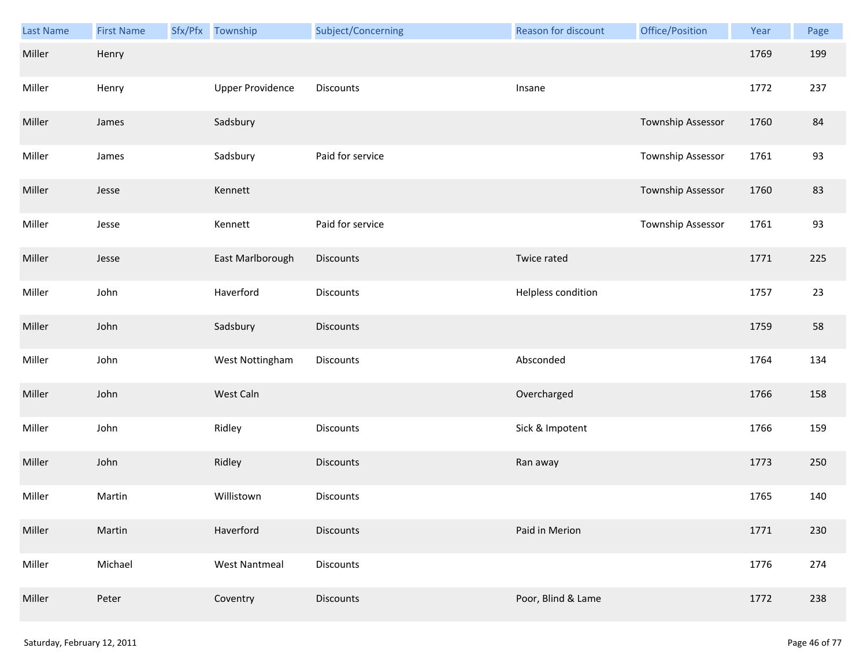| Last Name | <b>First Name</b> | Sfx/Pfx Township        | Subject/Concerning | Reason for discount | Office/Position   | Year | Page |
|-----------|-------------------|-------------------------|--------------------|---------------------|-------------------|------|------|
| Miller    | Henry             |                         |                    |                     |                   | 1769 | 199  |
| Miller    | Henry             | <b>Upper Providence</b> | Discounts          | Insane              |                   | 1772 | 237  |
| Miller    | James             | Sadsbury                |                    |                     | Township Assessor | 1760 | 84   |
| Miller    | James             | Sadsbury                | Paid for service   |                     | Township Assessor | 1761 | 93   |
| Miller    | Jesse             | Kennett                 |                    |                     | Township Assessor | 1760 | 83   |
| Miller    | Jesse             | Kennett                 | Paid for service   |                     | Township Assessor | 1761 | 93   |
| Miller    | Jesse             | East Marlborough        | <b>Discounts</b>   | Twice rated         |                   | 1771 | 225  |
| Miller    | John              | Haverford               | Discounts          | Helpless condition  |                   | 1757 | 23   |
| Miller    | John              | Sadsbury                | <b>Discounts</b>   |                     |                   | 1759 | 58   |
| Miller    | John              | West Nottingham         | Discounts          | Absconded           |                   | 1764 | 134  |
| Miller    | John              | West Caln               |                    | Overcharged         |                   | 1766 | 158  |
| Miller    | John              | Ridley                  | Discounts          | Sick & Impotent     |                   | 1766 | 159  |
| Miller    | John              | Ridley                  | Discounts          | Ran away            |                   | 1773 | 250  |
| Miller    | Martin            | Willistown              | Discounts          |                     |                   | 1765 | 140  |
| Miller    | Martin            | Haverford               | <b>Discounts</b>   | Paid in Merion      |                   | 1771 | 230  |
| Miller    | Michael           | <b>West Nantmeal</b>    | Discounts          |                     |                   | 1776 | 274  |
| Miller    | Peter             | Coventry                | Discounts          | Poor, Blind & Lame  |                   | 1772 | 238  |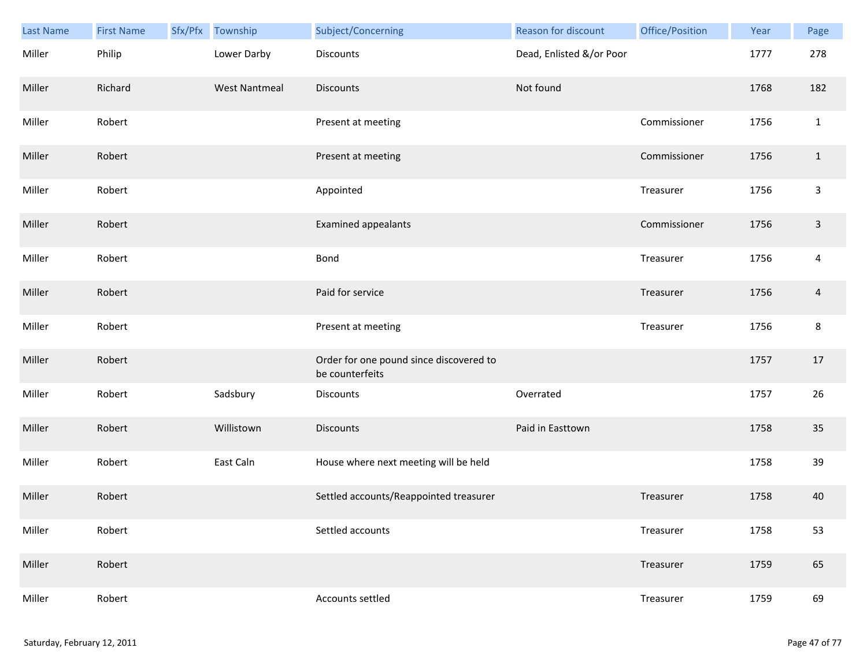| Last Name | <b>First Name</b> | Sfx/Pfx Township     | Subject/Concerning                                         | Reason for discount      | Office/Position | Year | Page           |
|-----------|-------------------|----------------------|------------------------------------------------------------|--------------------------|-----------------|------|----------------|
| Miller    | Philip            | Lower Darby          | <b>Discounts</b>                                           | Dead, Enlisted &/or Poor |                 | 1777 | 278            |
| Miller    | Richard           | <b>West Nantmeal</b> | <b>Discounts</b>                                           | Not found                |                 | 1768 | 182            |
| Miller    | Robert            |                      | Present at meeting                                         |                          | Commissioner    | 1756 | $\mathbf 1$    |
| Miller    | Robert            |                      | Present at meeting                                         |                          | Commissioner    | 1756 | $\mathbf{1}$   |
| Miller    | Robert            |                      | Appointed                                                  |                          | Treasurer       | 1756 | $\mathbf{3}$   |
| Miller    | Robert            |                      | Examined appealants                                        |                          | Commissioner    | 1756 | $\mathsf 3$    |
| Miller    | Robert            |                      | Bond                                                       |                          | Treasurer       | 1756 | $\overline{4}$ |
| Miller    | Robert            |                      | Paid for service                                           |                          | Treasurer       | 1756 | 4              |
| Miller    | Robert            |                      | Present at meeting                                         |                          | Treasurer       | 1756 | 8              |
| Miller    | Robert            |                      | Order for one pound since discovered to<br>be counterfeits |                          |                 | 1757 | 17             |
| Miller    | Robert            | Sadsbury             | Discounts                                                  | Overrated                |                 | 1757 | 26             |
| Miller    | Robert            | Willistown           | <b>Discounts</b>                                           | Paid in Easttown         |                 | 1758 | 35             |
| Miller    | Robert            | East Caln            | House where next meeting will be held                      |                          |                 | 1758 | 39             |
| Miller    | Robert            |                      | Settled accounts/Reappointed treasurer                     |                          | Treasurer       | 1758 | 40             |
| Miller    | Robert            |                      | Settled accounts                                           |                          | Treasurer       | 1758 | 53             |
| Miller    | Robert            |                      |                                                            |                          | Treasurer       | 1759 | 65             |
| Miller    | Robert            |                      | Accounts settled                                           |                          | Treasurer       | 1759 | 69             |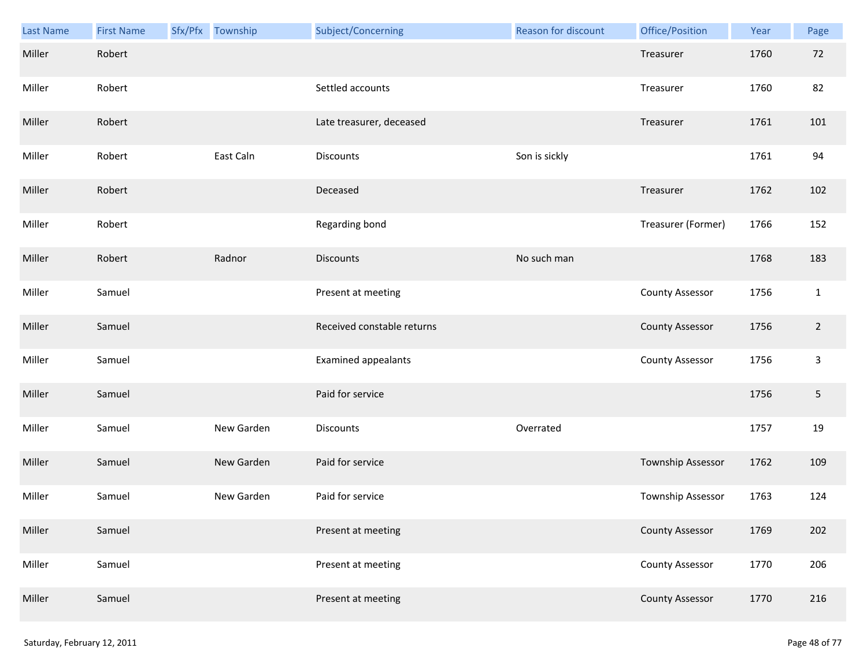| <b>Last Name</b> | <b>First Name</b> | Sfx/Pfx Township | Subject/Concerning         | Reason for discount | Office/Position        | Year | Page           |
|------------------|-------------------|------------------|----------------------------|---------------------|------------------------|------|----------------|
| Miller           | Robert            |                  |                            |                     | Treasurer              | 1760 | 72             |
| Miller           | Robert            |                  | Settled accounts           |                     | Treasurer              | 1760 | 82             |
| Miller           | Robert            |                  | Late treasurer, deceased   |                     | Treasurer              | 1761 | 101            |
| Miller           | Robert            | East Caln        | <b>Discounts</b>           | Son is sickly       |                        | 1761 | 94             |
| Miller           | Robert            |                  | Deceased                   |                     | Treasurer              | 1762 | 102            |
| Miller           | Robert            |                  | Regarding bond             |                     | Treasurer (Former)     | 1766 | 152            |
| Miller           | Robert            | Radnor           | <b>Discounts</b>           | No such man         |                        | 1768 | 183            |
| Miller           | Samuel            |                  | Present at meeting         |                     | <b>County Assessor</b> | 1756 | $\mathbf{1}$   |
| Miller           | Samuel            |                  | Received constable returns |                     | <b>County Assessor</b> | 1756 | $\overline{2}$ |
| Miller           | Samuel            |                  | Examined appealants        |                     | <b>County Assessor</b> | 1756 | 3              |
| Miller           | Samuel            |                  | Paid for service           |                     |                        | 1756 | 5              |
| Miller           | Samuel            | New Garden       | Discounts                  | Overrated           |                        | 1757 | 19             |
| Miller           | Samuel            | New Garden       | Paid for service           |                     | Township Assessor      | 1762 | 109            |
| Miller           | Samuel            | New Garden       | Paid for service           |                     | Township Assessor      | 1763 | 124            |
| Miller           | Samuel            |                  | Present at meeting         |                     | <b>County Assessor</b> | 1769 | 202            |
| Miller           | Samuel            |                  | Present at meeting         |                     | <b>County Assessor</b> | 1770 | 206            |
| Miller           | Samuel            |                  | Present at meeting         |                     | <b>County Assessor</b> | 1770 | 216            |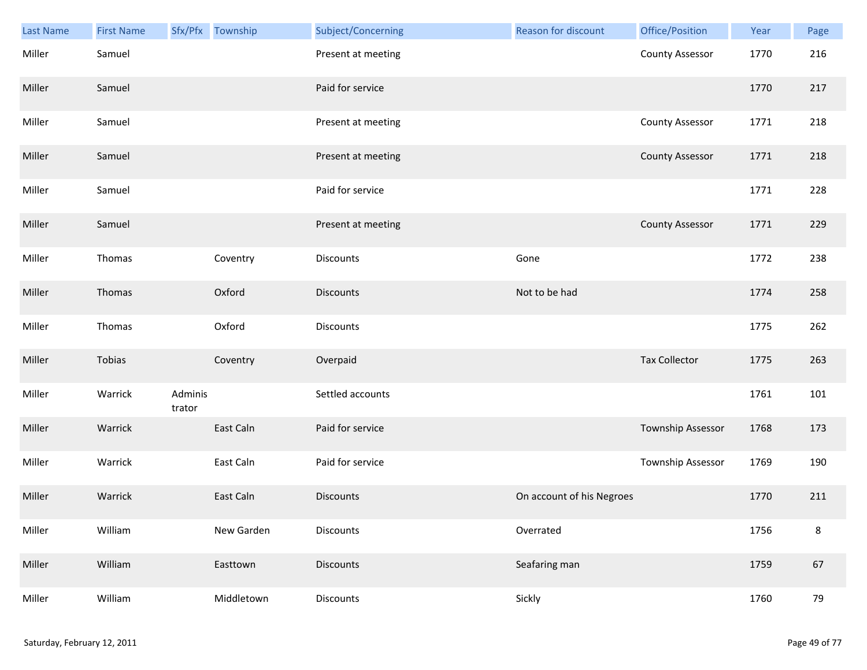| Last Name | <b>First Name</b> |                   | Sfx/Pfx Township | Subject/Concerning | <b>Reason for discount</b> | Office/Position          | Year | Page    |
|-----------|-------------------|-------------------|------------------|--------------------|----------------------------|--------------------------|------|---------|
| Miller    | Samuel            |                   |                  | Present at meeting |                            | <b>County Assessor</b>   | 1770 | 216     |
| Miller    | Samuel            |                   |                  | Paid for service   |                            |                          | 1770 | 217     |
| Miller    | Samuel            |                   |                  | Present at meeting |                            | <b>County Assessor</b>   | 1771 | 218     |
| Miller    | Samuel            |                   |                  | Present at meeting |                            | <b>County Assessor</b>   | 1771 | 218     |
| Miller    | Samuel            |                   |                  | Paid for service   |                            |                          | 1771 | 228     |
| Miller    | Samuel            |                   |                  | Present at meeting |                            | <b>County Assessor</b>   | 1771 | 229     |
| Miller    | Thomas            |                   | Coventry         | <b>Discounts</b>   | Gone                       |                          | 1772 | 238     |
| Miller    | Thomas            |                   | Oxford           | <b>Discounts</b>   | Not to be had              |                          | 1774 | 258     |
| Miller    | Thomas            |                   | Oxford           | <b>Discounts</b>   |                            |                          | 1775 | 262     |
| Miller    | Tobias            |                   | Coventry         | Overpaid           |                            | <b>Tax Collector</b>     | 1775 | 263     |
| Miller    | Warrick           | Adminis<br>trator |                  | Settled accounts   |                            |                          | 1761 | 101     |
| Miller    | Warrick           |                   | East Caln        | Paid for service   |                            | <b>Township Assessor</b> | 1768 | 173     |
| Miller    | Warrick           |                   | East Caln        | Paid for service   |                            | Township Assessor        | 1769 | 190     |
| Miller    | Warrick           |                   | East Caln        | <b>Discounts</b>   | On account of his Negroes  |                          | 1770 | 211     |
| Miller    | William           |                   | New Garden       | <b>Discounts</b>   | Overrated                  |                          | 1756 | $\bf 8$ |
| Miller    | William           |                   | Easttown         | <b>Discounts</b>   | Seafaring man              |                          | 1759 | 67      |
| Miller    | William           |                   | Middletown       | Discounts          | Sickly                     |                          | 1760 | 79      |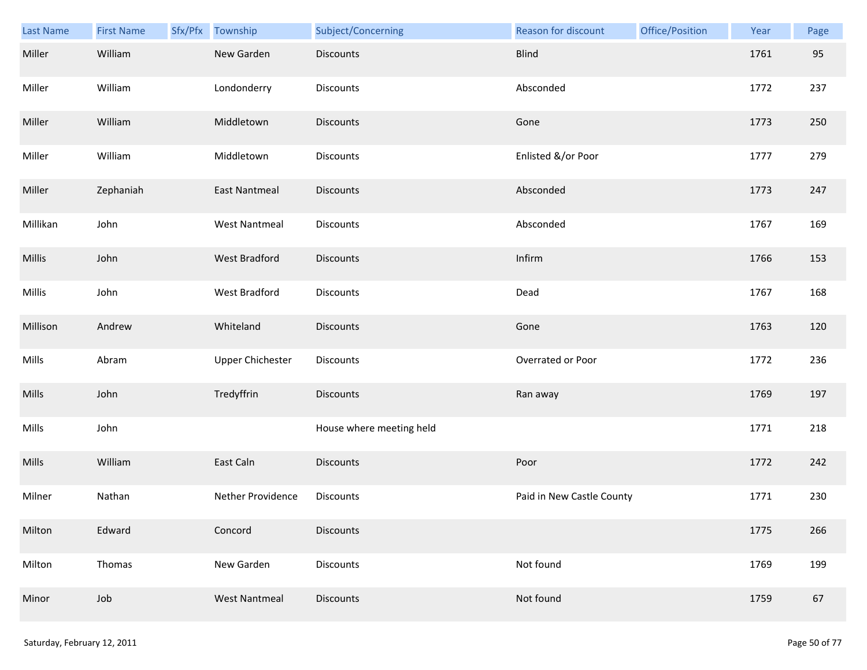| <b>Last Name</b> | <b>First Name</b> | Sfx/Pfx | Township                | Subject/Concerning       | Reason for discount       | Office/Position | Year | Page |
|------------------|-------------------|---------|-------------------------|--------------------------|---------------------------|-----------------|------|------|
| Miller           | William           |         | New Garden              | <b>Discounts</b>         | <b>Blind</b>              |                 | 1761 | 95   |
| Miller           | William           |         | Londonderry             | <b>Discounts</b>         | Absconded                 |                 | 1772 | 237  |
| Miller           | William           |         | Middletown              | <b>Discounts</b>         | Gone                      |                 | 1773 | 250  |
| Miller           | William           |         | Middletown              | <b>Discounts</b>         | Enlisted &/or Poor        |                 | 1777 | 279  |
| Miller           | Zephaniah         |         | <b>East Nantmeal</b>    | <b>Discounts</b>         | Absconded                 |                 | 1773 | 247  |
| Millikan         | John              |         | <b>West Nantmeal</b>    | <b>Discounts</b>         | Absconded                 |                 | 1767 | 169  |
| <b>Millis</b>    | John              |         | <b>West Bradford</b>    | <b>Discounts</b>         | Infirm                    |                 | 1766 | 153  |
| Millis           | John              |         | West Bradford           | Discounts                | Dead                      |                 | 1767 | 168  |
| Millison         | Andrew            |         | Whiteland               | <b>Discounts</b>         | Gone                      |                 | 1763 | 120  |
| Mills            | Abram             |         | <b>Upper Chichester</b> | Discounts                | Overrated or Poor         |                 | 1772 | 236  |
| Mills            | John              |         | Tredyffrin              | <b>Discounts</b>         | Ran away                  |                 | 1769 | 197  |
| Mills            | John              |         |                         | House where meeting held |                           |                 | 1771 | 218  |
| Mills            | William           |         | East Caln               | Discounts                | Poor                      |                 | 1772 | 242  |
| Milner           | Nathan            |         | Nether Providence       | <b>Discounts</b>         | Paid in New Castle County |                 | 1771 | 230  |
| Milton           | Edward            |         | Concord                 | <b>Discounts</b>         |                           |                 | 1775 | 266  |
| Milton           | Thomas            |         | New Garden              | Discounts                | Not found                 |                 | 1769 | 199  |
| Minor            | Job               |         | <b>West Nantmeal</b>    | Discounts                | Not found                 |                 | 1759 | 67   |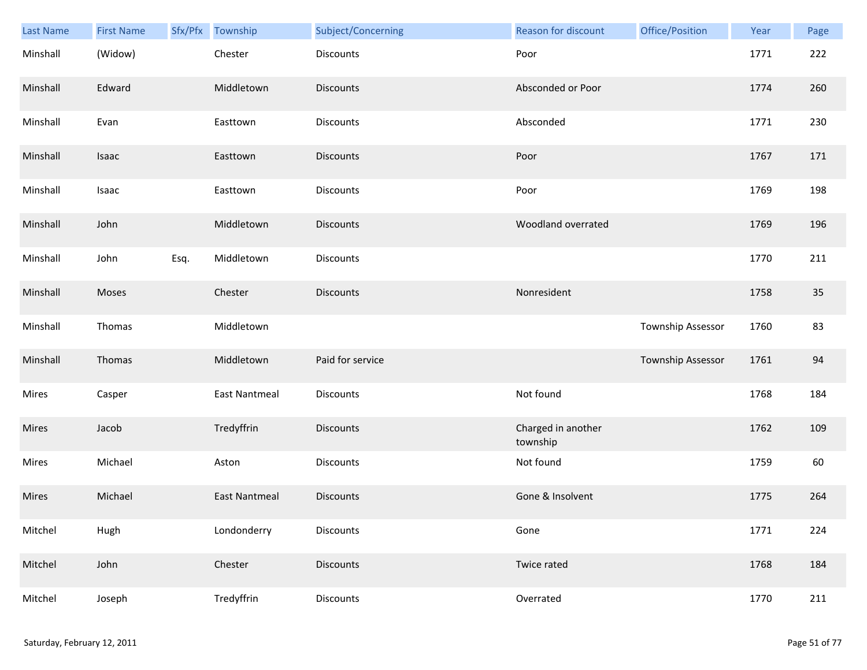| Last Name    | <b>First Name</b> |      | Sfx/Pfx Township     | Subject/Concerning | Reason for discount            | Office/Position   | Year | Page |
|--------------|-------------------|------|----------------------|--------------------|--------------------------------|-------------------|------|------|
| Minshall     | (Widow)           |      | Chester              | Discounts          | Poor                           |                   | 1771 | 222  |
| Minshall     | Edward            |      | Middletown           | <b>Discounts</b>   | Absconded or Poor              |                   | 1774 | 260  |
| Minshall     | Evan              |      | Easttown             | Discounts          | Absconded                      |                   | 1771 | 230  |
| Minshall     | Isaac             |      | Easttown             | <b>Discounts</b>   | Poor                           |                   | 1767 | 171  |
| Minshall     | Isaac             |      | Easttown             | Discounts          | Poor                           |                   | 1769 | 198  |
| Minshall     | John              |      | Middletown           | <b>Discounts</b>   | Woodland overrated             |                   | 1769 | 196  |
| Minshall     | John              | Esq. | Middletown           | Discounts          |                                |                   | 1770 | 211  |
| Minshall     | Moses             |      | Chester              | <b>Discounts</b>   | Nonresident                    |                   | 1758 | 35   |
| Minshall     | Thomas            |      | Middletown           |                    |                                | Township Assessor | 1760 | 83   |
| Minshall     | Thomas            |      | Middletown           | Paid for service   |                                | Township Assessor | 1761 | 94   |
| Mires        | Casper            |      | <b>East Nantmeal</b> | Discounts          | Not found                      |                   | 1768 | 184  |
| Mires        | Jacob             |      | Tredyffrin           | Discounts          | Charged in another<br>township |                   | 1762 | 109  |
| Mires        | Michael           |      | Aston                | Discounts          | Not found                      |                   | 1759 | 60   |
| <b>Mires</b> | Michael           |      | <b>East Nantmeal</b> | <b>Discounts</b>   | Gone & Insolvent               |                   | 1775 | 264  |
| Mitchel      | Hugh              |      | Londonderry          | Discounts          | Gone                           |                   | 1771 | 224  |
| Mitchel      | John              |      | Chester              | <b>Discounts</b>   | Twice rated                    |                   | 1768 | 184  |
| Mitchel      | Joseph            |      | Tredyffrin           | Discounts          | Overrated                      |                   | 1770 | 211  |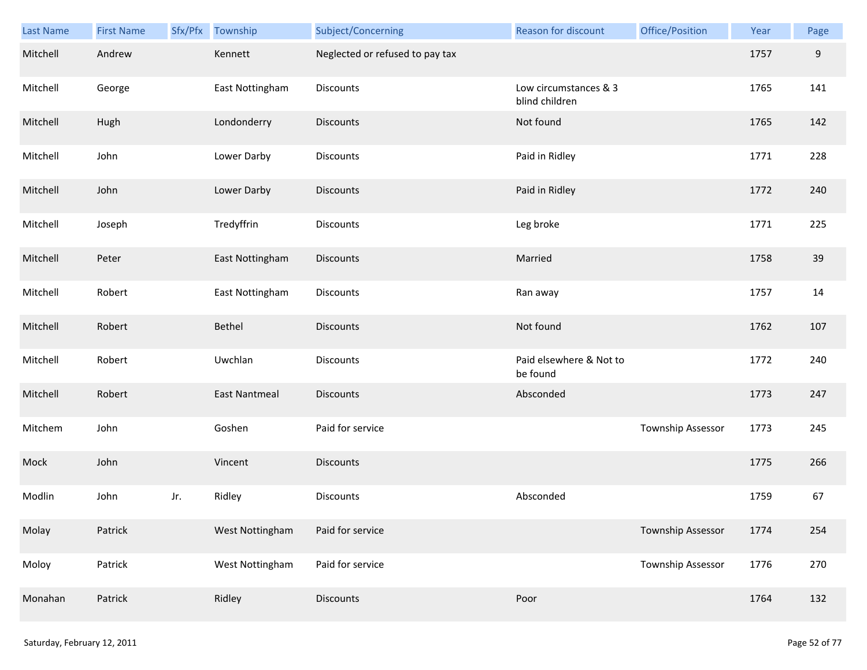| Last Name | <b>First Name</b> |     | Sfx/Pfx Township     | Subject/Concerning              | Reason for discount                     | Office/Position          | Year | Page  |
|-----------|-------------------|-----|----------------------|---------------------------------|-----------------------------------------|--------------------------|------|-------|
| Mitchell  | Andrew            |     | Kennett              | Neglected or refused to pay tax |                                         |                          | 1757 | $9\,$ |
| Mitchell  | George            |     | East Nottingham      | Discounts                       | Low circumstances & 3<br>blind children |                          | 1765 | 141   |
| Mitchell  | Hugh              |     | Londonderry          | <b>Discounts</b>                | Not found                               |                          | 1765 | 142   |
| Mitchell  | John              |     | Lower Darby          | Discounts                       | Paid in Ridley                          |                          | 1771 | 228   |
| Mitchell  | John              |     | Lower Darby          | <b>Discounts</b>                | Paid in Ridley                          |                          | 1772 | 240   |
| Mitchell  | Joseph            |     | Tredyffrin           | <b>Discounts</b>                | Leg broke                               |                          | 1771 | 225   |
| Mitchell  | Peter             |     | East Nottingham      | <b>Discounts</b>                | Married                                 |                          | 1758 | 39    |
| Mitchell  | Robert            |     | East Nottingham      | <b>Discounts</b>                | Ran away                                |                          | 1757 | 14    |
| Mitchell  | Robert            |     | Bethel               | <b>Discounts</b>                | Not found                               |                          | 1762 | 107   |
| Mitchell  | Robert            |     | Uwchlan              | <b>Discounts</b>                | Paid elsewhere & Not to<br>be found     |                          | 1772 | 240   |
| Mitchell  | Robert            |     | <b>East Nantmeal</b> | <b>Discounts</b>                | Absconded                               |                          | 1773 | 247   |
| Mitchem   | John              |     | Goshen               | Paid for service                |                                         | Township Assessor        | 1773 | 245   |
| Mock      | John              |     | Vincent              | <b>Discounts</b>                |                                         |                          | 1775 | 266   |
| Modlin    | John              | Jr. | Ridley               | Discounts                       | Absconded                               |                          | 1759 | 67    |
| Molay     | Patrick           |     | West Nottingham      | Paid for service                |                                         | Township Assessor        | 1774 | 254   |
| Moloy     | Patrick           |     | West Nottingham      | Paid for service                |                                         | <b>Township Assessor</b> | 1776 | 270   |
| Monahan   | Patrick           |     | Ridley               | <b>Discounts</b>                | Poor                                    |                          | 1764 | 132   |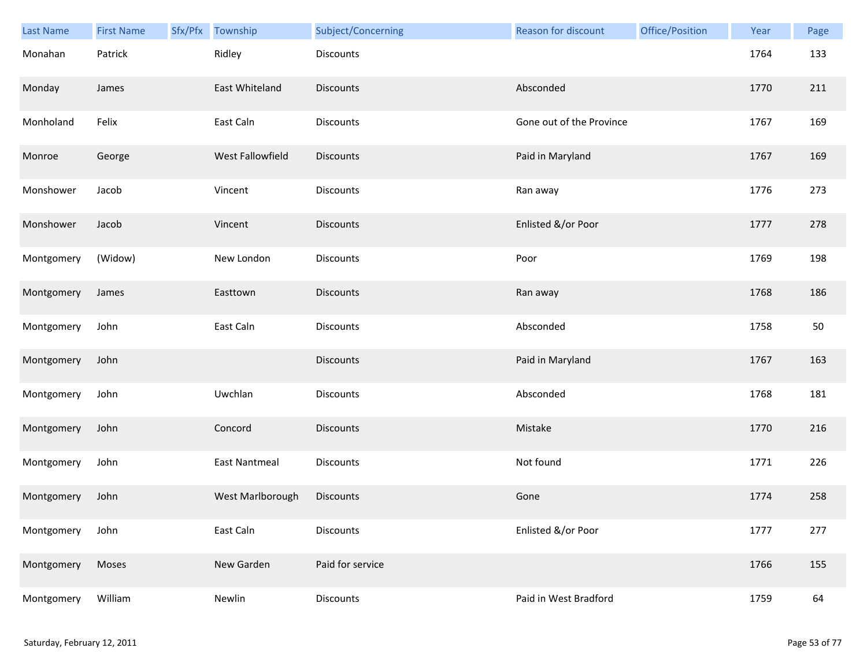| Last Name  | <b>First Name</b> | Sfx/Pfx | Township             | Subject/Concerning | Reason for discount      | Office/Position | Year | Page |
|------------|-------------------|---------|----------------------|--------------------|--------------------------|-----------------|------|------|
| Monahan    | Patrick           |         | Ridley               | <b>Discounts</b>   |                          |                 | 1764 | 133  |
| Monday     | James             |         | East Whiteland       | <b>Discounts</b>   | Absconded                |                 | 1770 | 211  |
| Monholand  | Felix             |         | East Caln            | Discounts          | Gone out of the Province |                 | 1767 | 169  |
| Monroe     | George            |         | West Fallowfield     | <b>Discounts</b>   | Paid in Maryland         |                 | 1767 | 169  |
| Monshower  | Jacob             |         | Vincent              | Discounts          | Ran away                 |                 | 1776 | 273  |
| Monshower  | Jacob             |         | Vincent              | <b>Discounts</b>   | Enlisted &/or Poor       |                 | 1777 | 278  |
| Montgomery | (Widow)           |         | New London           | Discounts          | Poor                     |                 | 1769 | 198  |
| Montgomery | James             |         | Easttown             | Discounts          | Ran away                 |                 | 1768 | 186  |
| Montgomery | John              |         | East Caln            | Discounts          | Absconded                |                 | 1758 | 50   |
| Montgomery | John              |         |                      | <b>Discounts</b>   | Paid in Maryland         |                 | 1767 | 163  |
| Montgomery | John              |         | Uwchlan              | Discounts          | Absconded                |                 | 1768 | 181  |
| Montgomery | John              |         | Concord              | <b>Discounts</b>   | Mistake                  |                 | 1770 | 216  |
| Montgomery | John              |         | <b>East Nantmeal</b> | Discounts          | Not found                |                 | 1771 | 226  |
| Montgomery | John              |         | West Marlborough     | <b>Discounts</b>   | Gone                     |                 | 1774 | 258  |
| Montgomery | John              |         | East Caln            | Discounts          | Enlisted &/or Poor       |                 | 1777 | 277  |
| Montgomery | Moses             |         | New Garden           | Paid for service   |                          |                 | 1766 | 155  |
| Montgomery | William           |         | Newlin               | Discounts          | Paid in West Bradford    |                 | 1759 | 64   |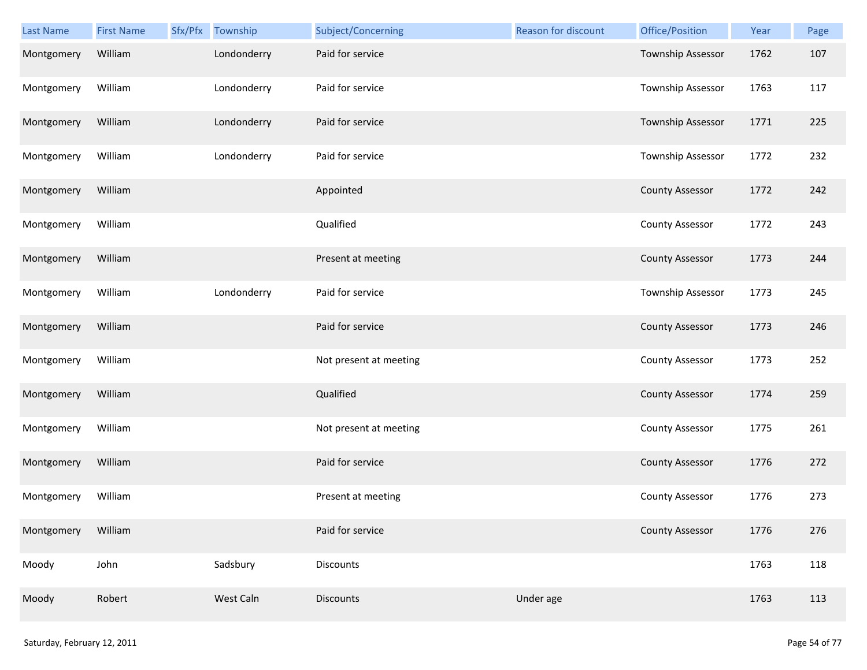| <b>Last Name</b> | <b>First Name</b> | Sfx/Pfx Township | Subject/Concerning     | Reason for discount | Office/Position        | Year | Page |
|------------------|-------------------|------------------|------------------------|---------------------|------------------------|------|------|
| Montgomery       | William           | Londonderry      | Paid for service       |                     | Township Assessor      | 1762 | 107  |
| Montgomery       | William           | Londonderry      | Paid for service       |                     | Township Assessor      | 1763 | 117  |
| Montgomery       | William           | Londonderry      | Paid for service       |                     | Township Assessor      | 1771 | 225  |
| Montgomery       | William           | Londonderry      | Paid for service       |                     | Township Assessor      | 1772 | 232  |
| Montgomery       | William           |                  | Appointed              |                     | <b>County Assessor</b> | 1772 | 242  |
| Montgomery       | William           |                  | Qualified              |                     | <b>County Assessor</b> | 1772 | 243  |
| Montgomery       | William           |                  | Present at meeting     |                     | <b>County Assessor</b> | 1773 | 244  |
| Montgomery       | William           | Londonderry      | Paid for service       |                     | Township Assessor      | 1773 | 245  |
| Montgomery       | William           |                  | Paid for service       |                     | <b>County Assessor</b> | 1773 | 246  |
| Montgomery       | William           |                  | Not present at meeting |                     | <b>County Assessor</b> | 1773 | 252  |
| Montgomery       | William           |                  | Qualified              |                     | <b>County Assessor</b> | 1774 | 259  |
| Montgomery       | William           |                  | Not present at meeting |                     | <b>County Assessor</b> | 1775 | 261  |
| Montgomery       | William           |                  | Paid for service       |                     | <b>County Assessor</b> | 1776 | 272  |
| Montgomery       | William           |                  | Present at meeting     |                     | <b>County Assessor</b> | 1776 | 273  |
| Montgomery       | William           |                  | Paid for service       |                     | <b>County Assessor</b> | 1776 | 276  |
| Moody            | John              | Sadsbury         | Discounts              |                     |                        | 1763 | 118  |
| Moody            | Robert            | West Caln        | Discounts              | Under age           |                        | 1763 | 113  |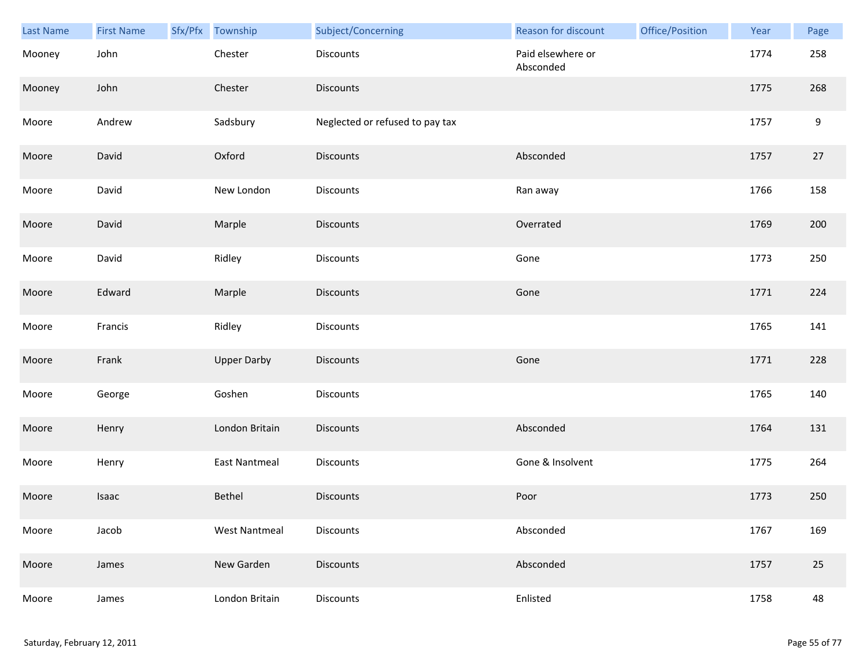| Last Name | <b>First Name</b> | Sfx/Pfx Township     | Subject/Concerning              | Reason for discount            | Office/Position | Year | Page |
|-----------|-------------------|----------------------|---------------------------------|--------------------------------|-----------------|------|------|
| Mooney    | John              | Chester              | Discounts                       | Paid elsewhere or<br>Absconded |                 | 1774 | 258  |
| Mooney    | John              | Chester              | <b>Discounts</b>                |                                |                 | 1775 | 268  |
| Moore     | Andrew            | Sadsbury             | Neglected or refused to pay tax |                                |                 | 1757 | 9    |
| Moore     | David             | Oxford               | <b>Discounts</b>                | Absconded                      |                 | 1757 | 27   |
| Moore     | David             | New London           | Discounts                       | Ran away                       |                 | 1766 | 158  |
| Moore     | David             | Marple               | <b>Discounts</b>                | Overrated                      |                 | 1769 | 200  |
| Moore     | David             | Ridley               | Discounts                       | Gone                           |                 | 1773 | 250  |
| Moore     | Edward            | Marple               | Discounts                       | Gone                           |                 | 1771 | 224  |
| Moore     | Francis           | Ridley               | <b>Discounts</b>                |                                |                 | 1765 | 141  |
| Moore     | Frank             | <b>Upper Darby</b>   | <b>Discounts</b>                | Gone                           |                 | 1771 | 228  |
| Moore     | George            | Goshen               | <b>Discounts</b>                |                                |                 | 1765 | 140  |
| Moore     | Henry             | London Britain       | Discounts                       | Absconded                      |                 | 1764 | 131  |
| Moore     | Henry             | East Nantmeal        | Discounts                       | Gone & Insolvent               |                 | 1775 | 264  |
| Moore     | Isaac             | Bethel               | <b>Discounts</b>                | Poor                           |                 | 1773 | 250  |
| Moore     | Jacob             | <b>West Nantmeal</b> | Discounts                       | Absconded                      |                 | 1767 | 169  |
| Moore     | James             | New Garden           | <b>Discounts</b>                | Absconded                      |                 | 1757 | 25   |
| Moore     | James             | London Britain       | Discounts                       | Enlisted                       |                 | 1758 | 48   |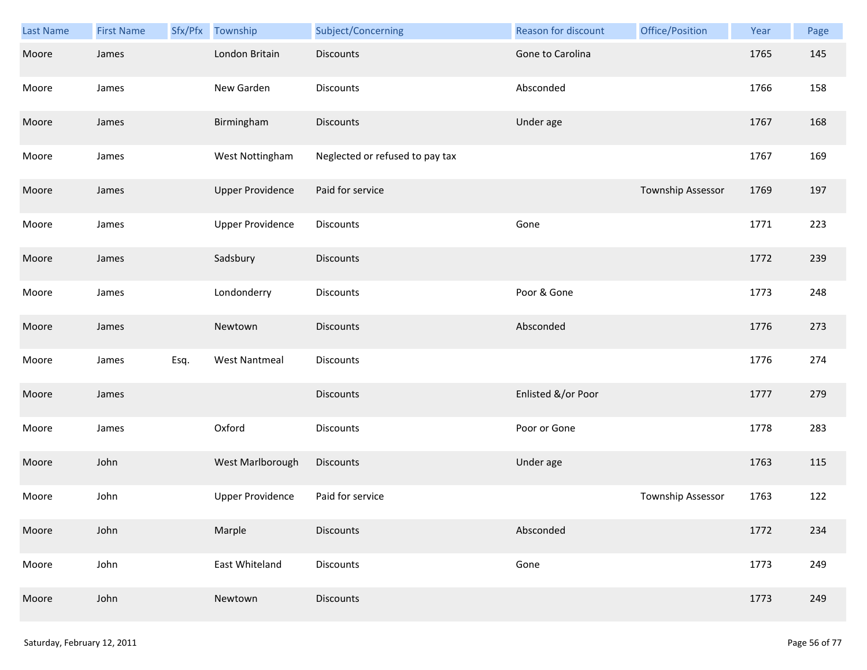| Last Name | <b>First Name</b> | Sfx/Pfx | Township                | Subject/Concerning              | Reason for discount | Office/Position   | Year | Page |
|-----------|-------------------|---------|-------------------------|---------------------------------|---------------------|-------------------|------|------|
| Moore     | James             |         | London Britain          | <b>Discounts</b>                | Gone to Carolina    |                   | 1765 | 145  |
| Moore     | James             |         | New Garden              | <b>Discounts</b>                | Absconded           |                   | 1766 | 158  |
| Moore     | James             |         | Birmingham              | <b>Discounts</b>                | Under age           |                   | 1767 | 168  |
| Moore     | James             |         | West Nottingham         | Neglected or refused to pay tax |                     |                   | 1767 | 169  |
| Moore     | James             |         | <b>Upper Providence</b> | Paid for service                |                     | Township Assessor | 1769 | 197  |
| Moore     | James             |         | <b>Upper Providence</b> | <b>Discounts</b>                | Gone                |                   | 1771 | 223  |
| Moore     | James             |         | Sadsbury                | Discounts                       |                     |                   | 1772 | 239  |
| Moore     | James             |         | Londonderry             | Discounts                       | Poor & Gone         |                   | 1773 | 248  |
| Moore     | James             |         | Newtown                 | <b>Discounts</b>                | Absconded           |                   | 1776 | 273  |
| Moore     | James             | Esq.    | <b>West Nantmeal</b>    | <b>Discounts</b>                |                     |                   | 1776 | 274  |
| Moore     | James             |         |                         | <b>Discounts</b>                | Enlisted &/or Poor  |                   | 1777 | 279  |
| Moore     | James             |         | Oxford                  | Discounts                       | Poor or Gone        |                   | 1778 | 283  |
| Moore     | John              |         | West Marlborough        | <b>Discounts</b>                | Under age           |                   | 1763 | 115  |
| Moore     | John              |         | <b>Upper Providence</b> | Paid for service                |                     | Township Assessor | 1763 | 122  |
| Moore     | John              |         | Marple                  | <b>Discounts</b>                | Absconded           |                   | 1772 | 234  |
| Moore     | John              |         | East Whiteland          | Discounts                       | Gone                |                   | 1773 | 249  |
| Moore     | John              |         | Newtown                 | <b>Discounts</b>                |                     |                   | 1773 | 249  |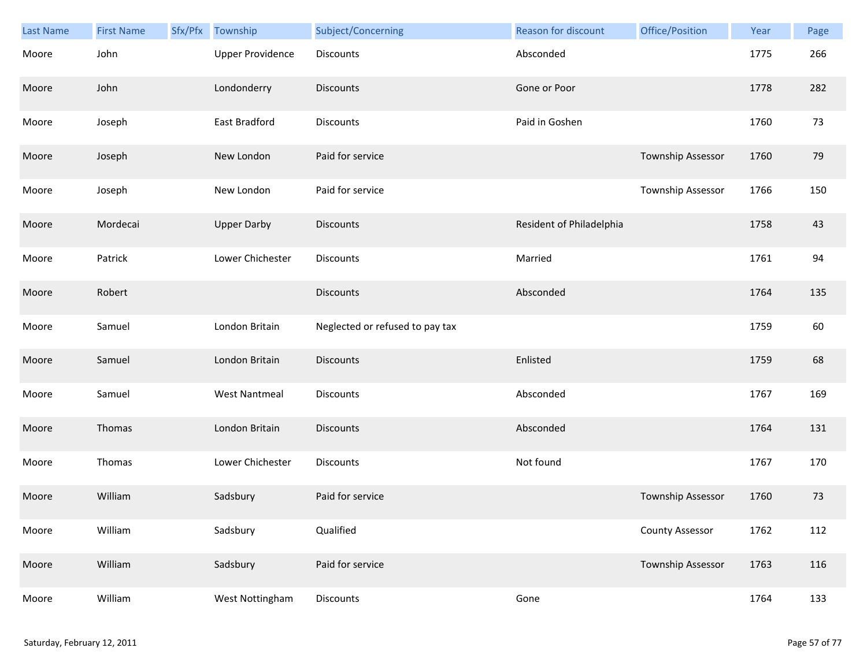| Last Name | <b>First Name</b> | Sfx/Pfx | Township                | Subject/Concerning              | Reason for discount      | Office/Position        | Year | Page |
|-----------|-------------------|---------|-------------------------|---------------------------------|--------------------------|------------------------|------|------|
| Moore     | John              |         | <b>Upper Providence</b> | <b>Discounts</b>                | Absconded                |                        | 1775 | 266  |
| Moore     | John              |         | Londonderry             | <b>Discounts</b>                | Gone or Poor             |                        | 1778 | 282  |
| Moore     | Joseph            |         | East Bradford           | <b>Discounts</b>                | Paid in Goshen           |                        | 1760 | 73   |
| Moore     | Joseph            |         | New London              | Paid for service                |                          | Township Assessor      | 1760 | 79   |
| Moore     | Joseph            |         | New London              | Paid for service                |                          | Township Assessor      | 1766 | 150  |
| Moore     | Mordecai          |         | <b>Upper Darby</b>      | <b>Discounts</b>                | Resident of Philadelphia |                        | 1758 | 43   |
| Moore     | Patrick           |         | Lower Chichester        | <b>Discounts</b>                | Married                  |                        | 1761 | 94   |
| Moore     | Robert            |         |                         | <b>Discounts</b>                | Absconded                |                        | 1764 | 135  |
| Moore     | Samuel            |         | London Britain          | Neglected or refused to pay tax |                          |                        | 1759 | 60   |
| Moore     | Samuel            |         | London Britain          | <b>Discounts</b>                | Enlisted                 |                        | 1759 | 68   |
| Moore     | Samuel            |         | <b>West Nantmeal</b>    | Discounts                       | Absconded                |                        | 1767 | 169  |
| Moore     | Thomas            |         | London Britain          | <b>Discounts</b>                | Absconded                |                        | 1764 | 131  |
| Moore     | Thomas            |         | Lower Chichester        | Discounts                       | Not found                |                        | 1767 | 170  |
| Moore     | William           |         | Sadsbury                | Paid for service                |                          | Township Assessor      | 1760 | 73   |
| Moore     | William           |         | Sadsbury                | Qualified                       |                          | <b>County Assessor</b> | 1762 | 112  |
| Moore     | William           |         | Sadsbury                | Paid for service                |                          | Township Assessor      | 1763 | 116  |
| Moore     | William           |         | West Nottingham         | Discounts                       | Gone                     |                        | 1764 | 133  |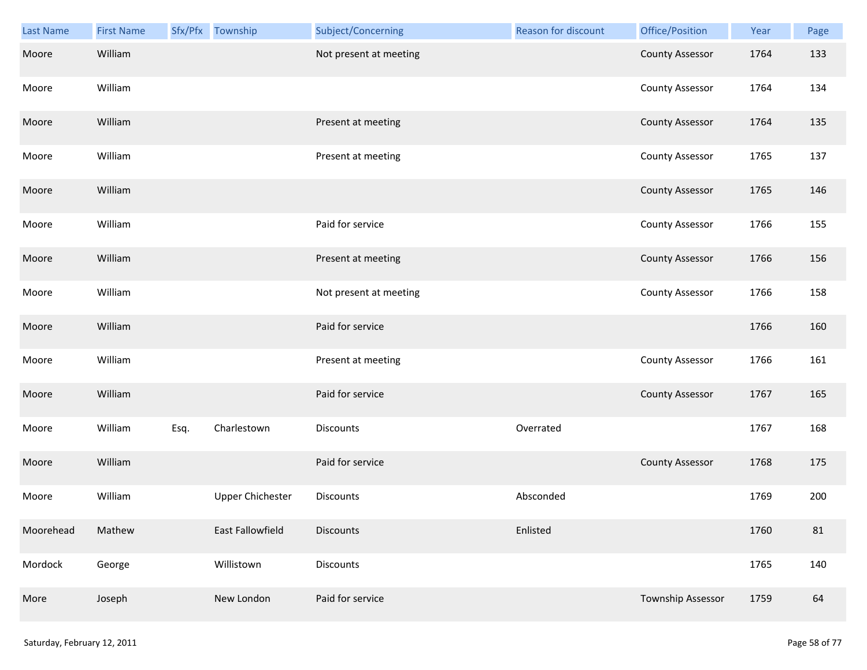| Last Name | <b>First Name</b> |      | Sfx/Pfx Township        | Subject/Concerning     | Reason for discount | Office/Position          | Year | Page |
|-----------|-------------------|------|-------------------------|------------------------|---------------------|--------------------------|------|------|
| Moore     | William           |      |                         | Not present at meeting |                     | <b>County Assessor</b>   | 1764 | 133  |
| Moore     | William           |      |                         |                        |                     | <b>County Assessor</b>   | 1764 | 134  |
| Moore     | William           |      |                         | Present at meeting     |                     | <b>County Assessor</b>   | 1764 | 135  |
| Moore     | William           |      |                         | Present at meeting     |                     | <b>County Assessor</b>   | 1765 | 137  |
| Moore     | William           |      |                         |                        |                     | <b>County Assessor</b>   | 1765 | 146  |
| Moore     | William           |      |                         | Paid for service       |                     | <b>County Assessor</b>   | 1766 | 155  |
| Moore     | William           |      |                         | Present at meeting     |                     | <b>County Assessor</b>   | 1766 | 156  |
| Moore     | William           |      |                         | Not present at meeting |                     | <b>County Assessor</b>   | 1766 | 158  |
| Moore     | William           |      |                         | Paid for service       |                     |                          | 1766 | 160  |
| Moore     | William           |      |                         | Present at meeting     |                     | <b>County Assessor</b>   | 1766 | 161  |
| Moore     | William           |      |                         | Paid for service       |                     | <b>County Assessor</b>   | 1767 | 165  |
| Moore     | William           | Esq. | Charlestown             | Discounts              | Overrated           |                          | 1767 | 168  |
| Moore     | William           |      |                         | Paid for service       |                     | <b>County Assessor</b>   | 1768 | 175  |
| Moore     | William           |      | <b>Upper Chichester</b> | <b>Discounts</b>       | Absconded           |                          | 1769 | 200  |
| Moorehead | Mathew            |      | East Fallowfield        | <b>Discounts</b>       | Enlisted            |                          | 1760 | 81   |
| Mordock   | George            |      | Willistown              | Discounts              |                     |                          | 1765 | 140  |
| More      | Joseph            |      | New London              | Paid for service       |                     | <b>Township Assessor</b> | 1759 | 64   |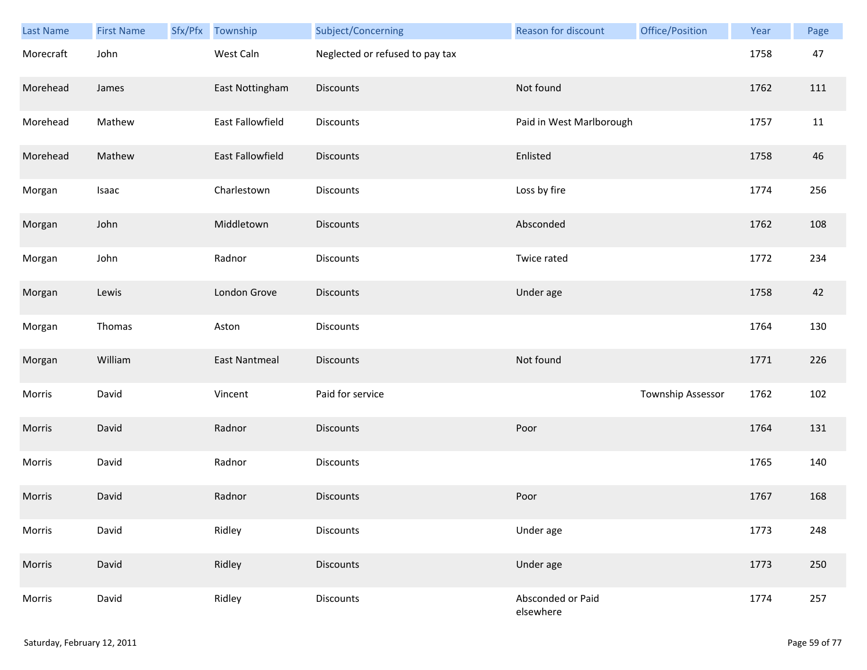| Last Name | <b>First Name</b> | Sfx/Pfx | Township             | Subject/Concerning              | Reason for discount            | Office/Position   | Year | Page |
|-----------|-------------------|---------|----------------------|---------------------------------|--------------------------------|-------------------|------|------|
| Morecraft | John              |         | West Caln            | Neglected or refused to pay tax |                                |                   | 1758 | 47   |
| Morehead  | James             |         | East Nottingham      | Discounts                       | Not found                      |                   | 1762 | 111  |
| Morehead  | Mathew            |         | East Fallowfield     | Discounts                       | Paid in West Marlborough       |                   | 1757 | 11   |
| Morehead  | Mathew            |         | East Fallowfield     | <b>Discounts</b>                | Enlisted                       |                   | 1758 | 46   |
| Morgan    | Isaac             |         | Charlestown          | Discounts                       | Loss by fire                   |                   | 1774 | 256  |
| Morgan    | John              |         | Middletown           | Discounts                       | Absconded                      |                   | 1762 | 108  |
| Morgan    | John              |         | Radnor               | Discounts                       | Twice rated                    |                   | 1772 | 234  |
| Morgan    | Lewis             |         | London Grove         | Discounts                       | Under age                      |                   | 1758 | 42   |
| Morgan    | Thomas            |         | Aston                | Discounts                       |                                |                   | 1764 | 130  |
| Morgan    | William           |         | <b>East Nantmeal</b> | <b>Discounts</b>                | Not found                      |                   | 1771 | 226  |
| Morris    | David             |         | Vincent              | Paid for service                |                                | Township Assessor | 1762 | 102  |
| Morris    | David             |         | Radnor               | <b>Discounts</b>                | Poor                           |                   | 1764 | 131  |
| Morris    | David             |         | Radnor               | Discounts                       |                                |                   | 1765 | 140  |
| Morris    | David             |         | Radnor               | <b>Discounts</b>                | Poor                           |                   | 1767 | 168  |
| Morris    | David             |         | Ridley               | Discounts                       | Under age                      |                   | 1773 | 248  |
| Morris    | David             |         | Ridley               | <b>Discounts</b>                | Under age                      |                   | 1773 | 250  |
| Morris    | David             |         | Ridley               | Discounts                       | Absconded or Paid<br>elsewhere |                   | 1774 | 257  |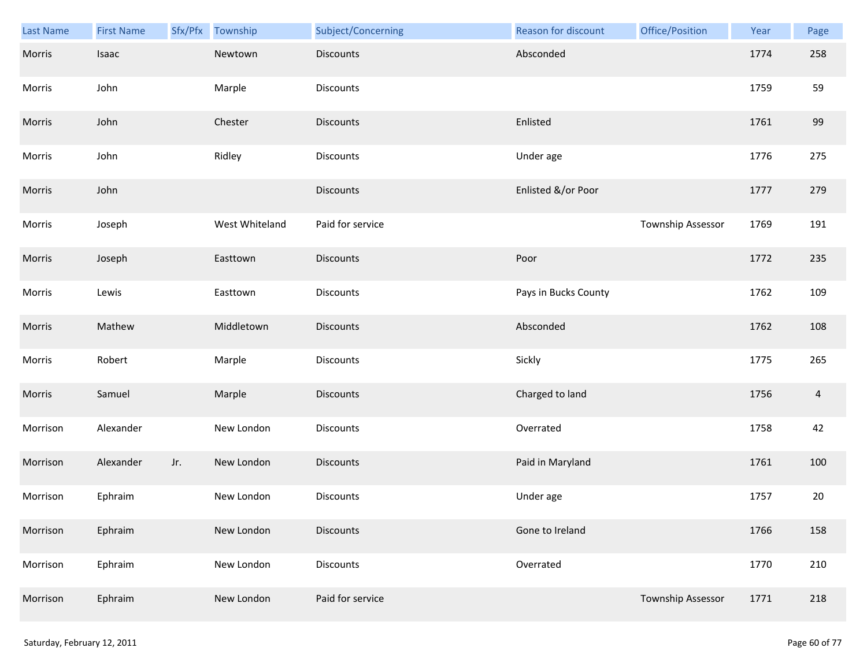| Last Name | <b>First Name</b> | Sfx/Pfx | Township       | Subject/Concerning | Reason for discount  | Office/Position          | Year | Page           |
|-----------|-------------------|---------|----------------|--------------------|----------------------|--------------------------|------|----------------|
| Morris    | Isaac             |         | Newtown        | <b>Discounts</b>   | Absconded            |                          | 1774 | 258            |
| Morris    | John              |         | Marple         | Discounts          |                      |                          | 1759 | 59             |
| Morris    | John              |         | Chester        | <b>Discounts</b>   | Enlisted             |                          | 1761 | 99             |
| Morris    | John              |         | Ridley         | <b>Discounts</b>   | Under age            |                          | 1776 | 275            |
| Morris    | John              |         |                | <b>Discounts</b>   | Enlisted &/or Poor   |                          | 1777 | 279            |
| Morris    | Joseph            |         | West Whiteland | Paid for service   |                      | Township Assessor        | 1769 | 191            |
| Morris    | Joseph            |         | Easttown       | Discounts          | Poor                 |                          | 1772 | 235            |
| Morris    | Lewis             |         | Easttown       | Discounts          | Pays in Bucks County |                          | 1762 | 109            |
| Morris    | Mathew            |         | Middletown     | <b>Discounts</b>   | Absconded            |                          | 1762 | 108            |
| Morris    | Robert            |         | Marple         | Discounts          | Sickly               |                          | 1775 | 265            |
| Morris    | Samuel            |         | Marple         | <b>Discounts</b>   | Charged to land      |                          | 1756 | $\overline{4}$ |
| Morrison  | Alexander         |         | New London     | Discounts          | Overrated            |                          | 1758 | 42             |
| Morrison  | Alexander         | Jr.     | New London     | <b>Discounts</b>   | Paid in Maryland     |                          | 1761 | 100            |
| Morrison  | Ephraim           |         | New London     | Discounts          | Under age            |                          | 1757 | 20             |
| Morrison  | Ephraim           |         | New London     | <b>Discounts</b>   | Gone to Ireland      |                          | 1766 | 158            |
| Morrison  | Ephraim           |         | New London     | Discounts          | Overrated            |                          | 1770 | 210            |
| Morrison  | Ephraim           |         | New London     | Paid for service   |                      | <b>Township Assessor</b> | 1771 | 218            |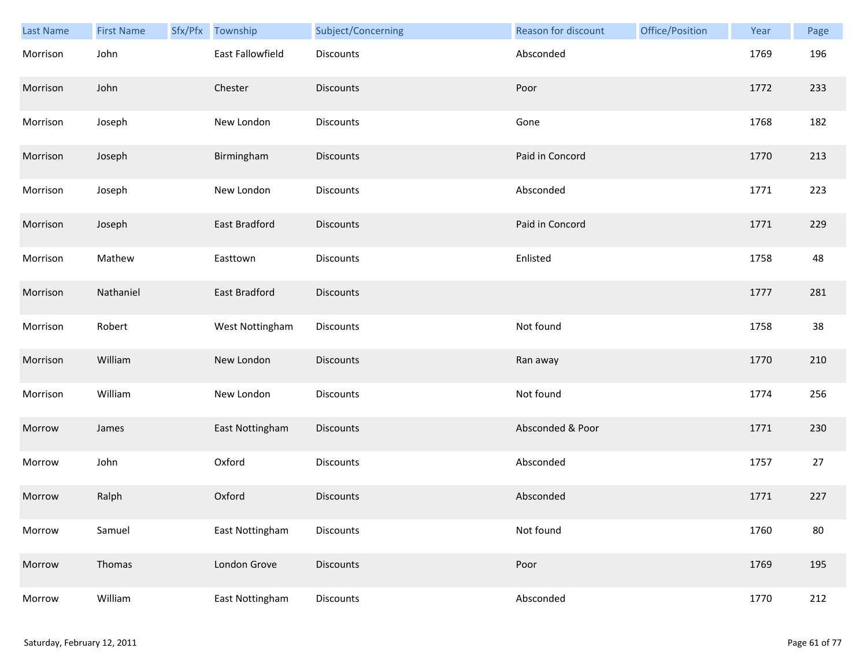| Last Name | <b>First Name</b> | Sfx/Pfx | Township         | Subject/Concerning | Reason for discount | Office/Position | Year | Page |
|-----------|-------------------|---------|------------------|--------------------|---------------------|-----------------|------|------|
| Morrison  | John              |         | East Fallowfield | <b>Discounts</b>   | Absconded           |                 | 1769 | 196  |
| Morrison  | John              |         | Chester          | <b>Discounts</b>   | Poor                |                 | 1772 | 233  |
| Morrison  | Joseph            |         | New London       | Discounts          | Gone                |                 | 1768 | 182  |
| Morrison  | Joseph            |         | Birmingham       | <b>Discounts</b>   | Paid in Concord     |                 | 1770 | 213  |
| Morrison  | Joseph            |         | New London       | Discounts          | Absconded           |                 | 1771 | 223  |
| Morrison  | Joseph            |         | East Bradford    | Discounts          | Paid in Concord     |                 | 1771 | 229  |
| Morrison  | Mathew            |         | Easttown         | Discounts          | Enlisted            |                 | 1758 | 48   |
| Morrison  | Nathaniel         |         | East Bradford    | <b>Discounts</b>   |                     |                 | 1777 | 281  |
| Morrison  | Robert            |         | West Nottingham  | <b>Discounts</b>   | Not found           |                 | 1758 | 38   |
| Morrison  | William           |         | New London       | <b>Discounts</b>   | Ran away            |                 | 1770 | 210  |
| Morrison  | William           |         | New London       | Discounts          | Not found           |                 | 1774 | 256  |
| Morrow    | James             |         | East Nottingham  | Discounts          | Absconded & Poor    |                 | 1771 | 230  |
| Morrow    | John              |         | Oxford           | Discounts          | Absconded           |                 | 1757 | 27   |
| Morrow    | Ralph             |         | Oxford           | <b>Discounts</b>   | Absconded           |                 | 1771 | 227  |
| Morrow    | Samuel            |         | East Nottingham  | Discounts          | Not found           |                 | 1760 | 80   |
| Morrow    | Thomas            |         | London Grove     | Discounts          | Poor                |                 | 1769 | 195  |
| Morrow    | William           |         | East Nottingham  | Discounts          | Absconded           |                 | 1770 | 212  |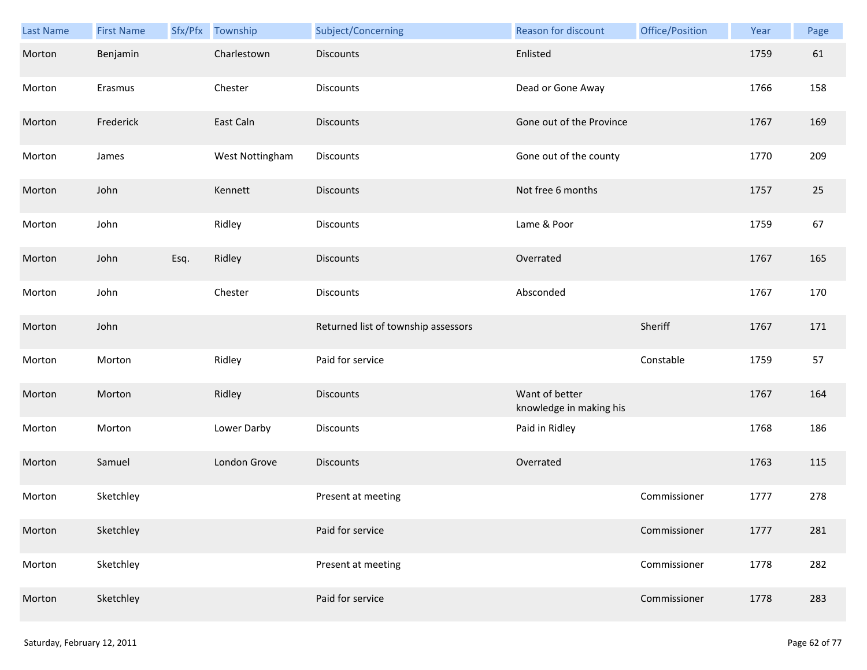| Last Name | <b>First Name</b> | Sfx/Pfx | Township        | Subject/Concerning                  | Reason for discount                       | Office/Position | Year | Page |
|-----------|-------------------|---------|-----------------|-------------------------------------|-------------------------------------------|-----------------|------|------|
| Morton    | Benjamin          |         | Charlestown     | <b>Discounts</b>                    | Enlisted                                  |                 | 1759 | 61   |
| Morton    | Erasmus           |         | Chester         | Discounts                           | Dead or Gone Away                         |                 | 1766 | 158  |
| Morton    | Frederick         |         | East Caln       | <b>Discounts</b>                    | Gone out of the Province                  |                 | 1767 | 169  |
| Morton    | James             |         | West Nottingham | Discounts                           | Gone out of the county                    |                 | 1770 | 209  |
| Morton    | John              |         | Kennett         | <b>Discounts</b>                    | Not free 6 months                         |                 | 1757 | 25   |
| Morton    | John              |         | Ridley          | Discounts                           | Lame & Poor                               |                 | 1759 | 67   |
| Morton    | John              | Esq.    | Ridley          | <b>Discounts</b>                    | Overrated                                 |                 | 1767 | 165  |
| Morton    | John              |         | Chester         | Discounts                           | Absconded                                 |                 | 1767 | 170  |
| Morton    | John              |         |                 | Returned list of township assessors |                                           | Sheriff         | 1767 | 171  |
| Morton    | Morton            |         | Ridley          | Paid for service                    |                                           | Constable       | 1759 | 57   |
| Morton    | Morton            |         | Ridley          | Discounts                           | Want of better<br>knowledge in making his |                 | 1767 | 164  |
| Morton    | Morton            |         | Lower Darby     | <b>Discounts</b>                    | Paid in Ridley                            |                 | 1768 | 186  |
| Morton    | Samuel            |         | London Grove    | <b>Discounts</b>                    | Overrated                                 |                 | 1763 | 115  |
| Morton    | Sketchley         |         |                 | Present at meeting                  |                                           | Commissioner    | 1777 | 278  |
| Morton    | Sketchley         |         |                 | Paid for service                    |                                           | Commissioner    | 1777 | 281  |
| Morton    | Sketchley         |         |                 | Present at meeting                  |                                           | Commissioner    | 1778 | 282  |
| Morton    | Sketchley         |         |                 | Paid for service                    |                                           | Commissioner    | 1778 | 283  |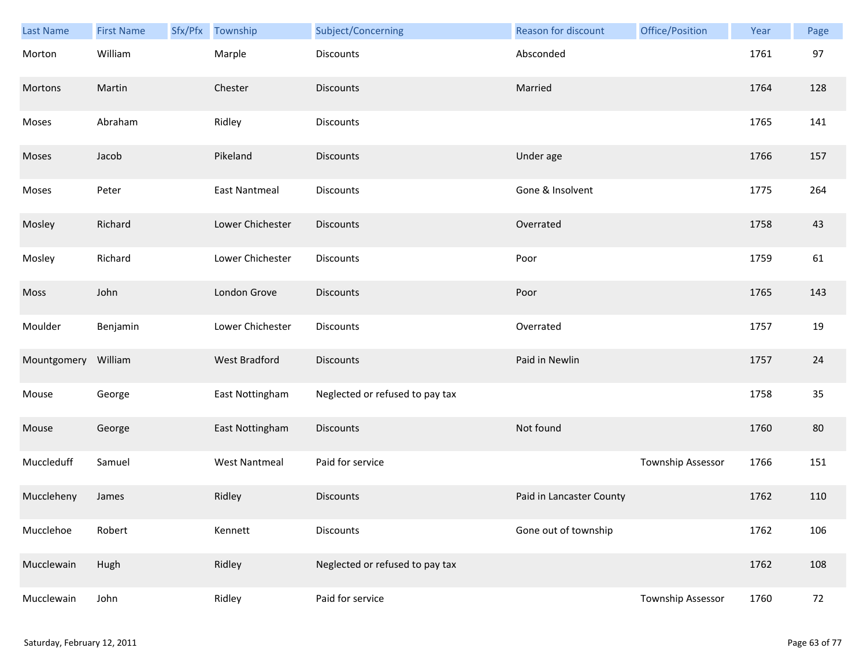| Last Name   | <b>First Name</b> | Sfx/Pfx | Township             | Subject/Concerning              | Reason for discount      | Office/Position   | Year | Page |
|-------------|-------------------|---------|----------------------|---------------------------------|--------------------------|-------------------|------|------|
| Morton      | William           |         | Marple               | <b>Discounts</b>                | Absconded                |                   | 1761 | 97   |
| Mortons     | Martin            |         | Chester              | <b>Discounts</b>                | Married                  |                   | 1764 | 128  |
| Moses       | Abraham           |         | Ridley               | <b>Discounts</b>                |                          |                   | 1765 | 141  |
| Moses       | Jacob             |         | Pikeland             | <b>Discounts</b>                | Under age                |                   | 1766 | 157  |
| Moses       | Peter             |         | <b>East Nantmeal</b> | <b>Discounts</b>                | Gone & Insolvent         |                   | 1775 | 264  |
| Mosley      | Richard           |         | Lower Chichester     | <b>Discounts</b>                | Overrated                |                   | 1758 | 43   |
| Mosley      | Richard           |         | Lower Chichester     | Discounts                       | Poor                     |                   | 1759 | 61   |
| Moss        | John              |         | London Grove         | <b>Discounts</b>                | Poor                     |                   | 1765 | 143  |
| Moulder     | Benjamin          |         | Lower Chichester     | <b>Discounts</b>                | Overrated                |                   | 1757 | 19   |
| Mountgomery | William           |         | West Bradford        | <b>Discounts</b>                | Paid in Newlin           |                   | 1757 | 24   |
| Mouse       | George            |         | East Nottingham      | Neglected or refused to pay tax |                          |                   | 1758 | 35   |
| Mouse       | George            |         | East Nottingham      | Discounts                       | Not found                |                   | 1760 | 80   |
| Muccleduff  | Samuel            |         | <b>West Nantmeal</b> | Paid for service                |                          | Township Assessor | 1766 | 151  |
| Muccleheny  | James             |         | Ridley               | <b>Discounts</b>                | Paid in Lancaster County |                   | 1762 | 110  |
| Mucclehoe   | Robert            |         | Kennett              | Discounts                       | Gone out of township     |                   | 1762 | 106  |
| Mucclewain  | Hugh              |         | Ridley               | Neglected or refused to pay tax |                          |                   | 1762 | 108  |
| Mucclewain  | John              |         | Ridley               | Paid for service                |                          | Township Assessor | 1760 | 72   |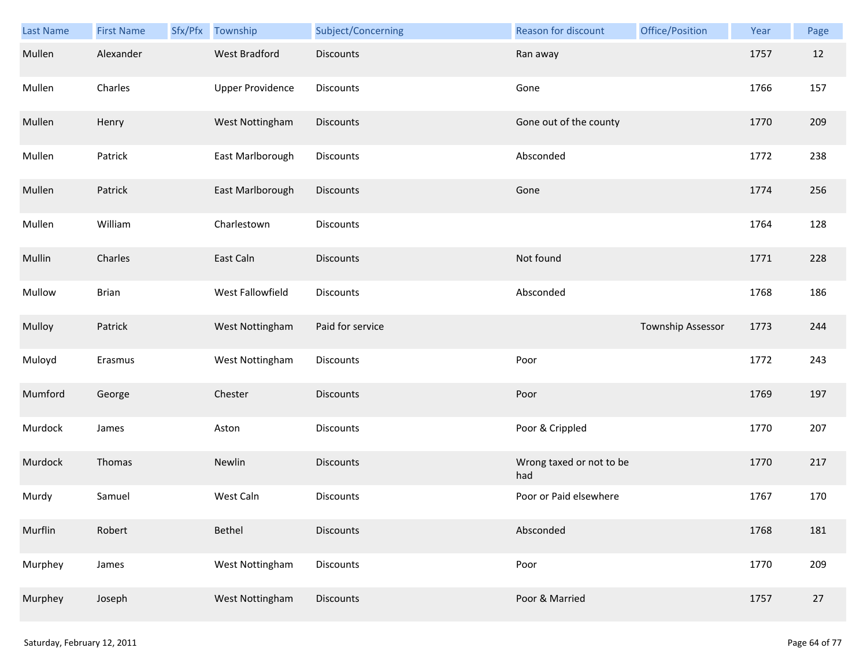| Last Name | <b>First Name</b> | Sfx/Pfx | Township                | Subject/Concerning | Reason for discount             | Office/Position   | Year | Page |
|-----------|-------------------|---------|-------------------------|--------------------|---------------------------------|-------------------|------|------|
| Mullen    | Alexander         |         | <b>West Bradford</b>    | <b>Discounts</b>   | Ran away                        |                   | 1757 | 12   |
| Mullen    | Charles           |         | <b>Upper Providence</b> | Discounts          | Gone                            |                   | 1766 | 157  |
| Mullen    | Henry             |         | West Nottingham         | Discounts          | Gone out of the county          |                   | 1770 | 209  |
| Mullen    | Patrick           |         | East Marlborough        | Discounts          | Absconded                       |                   | 1772 | 238  |
| Mullen    | Patrick           |         | East Marlborough        | <b>Discounts</b>   | Gone                            |                   | 1774 | 256  |
| Mullen    | William           |         | Charlestown             | Discounts          |                                 |                   | 1764 | 128  |
| Mullin    | Charles           |         | East Caln               | <b>Discounts</b>   | Not found                       |                   | 1771 | 228  |
| Mullow    | <b>Brian</b>      |         | West Fallowfield        | Discounts          | Absconded                       |                   | 1768 | 186  |
| Mulloy    | Patrick           |         | West Nottingham         | Paid for service   |                                 | Township Assessor | 1773 | 244  |
| Muloyd    | Erasmus           |         | West Nottingham         | Discounts          | Poor                            |                   | 1772 | 243  |
| Mumford   | George            |         | Chester                 | Discounts          | Poor                            |                   | 1769 | 197  |
| Murdock   | James             |         | Aston                   | Discounts          | Poor & Crippled                 |                   | 1770 | 207  |
| Murdock   | Thomas            |         | Newlin                  | Discounts          | Wrong taxed or not to be<br>had |                   | 1770 | 217  |
| Murdy     | Samuel            |         | West Caln               | <b>Discounts</b>   | Poor or Paid elsewhere          |                   | 1767 | 170  |
| Murflin   | Robert            |         | Bethel                  | <b>Discounts</b>   | Absconded                       |                   | 1768 | 181  |
| Murphey   | James             |         | West Nottingham         | <b>Discounts</b>   | Poor                            |                   | 1770 | 209  |
| Murphey   | Joseph            |         | West Nottingham         | Discounts          | Poor & Married                  |                   | 1757 | 27   |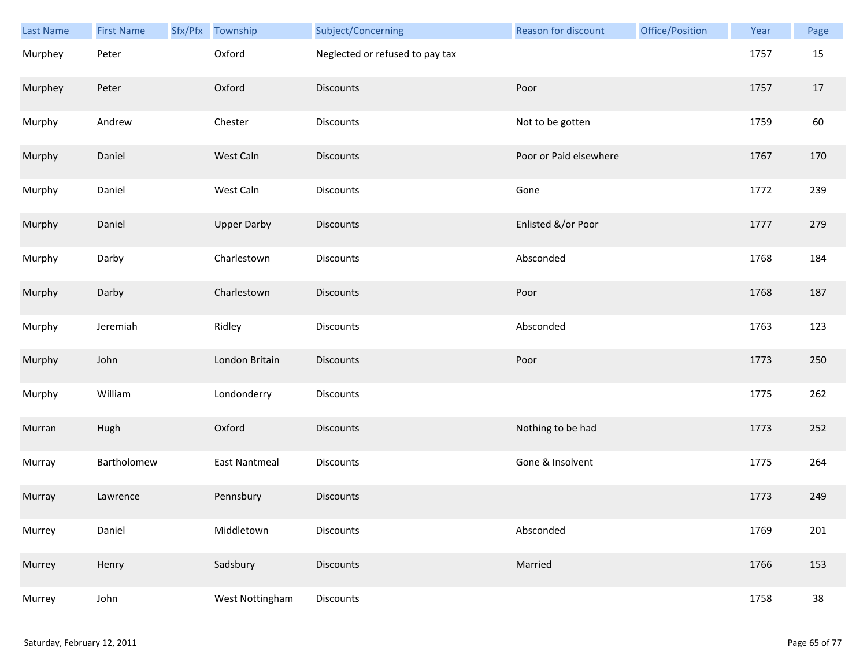| Last Name | <b>First Name</b> | Sfx/Pfx Township     | Subject/Concerning              | <b>Reason for discount</b> | Office/Position | Year | Page |
|-----------|-------------------|----------------------|---------------------------------|----------------------------|-----------------|------|------|
| Murphey   | Peter             | Oxford               | Neglected or refused to pay tax |                            |                 | 1757 | 15   |
| Murphey   | Peter             | Oxford               | Discounts                       | Poor                       |                 | 1757 | 17   |
| Murphy    | Andrew            | Chester              | Discounts                       | Not to be gotten           |                 | 1759 | 60   |
| Murphy    | Daniel            | West Caln            | <b>Discounts</b>                | Poor or Paid elsewhere     |                 | 1767 | 170  |
| Murphy    | Daniel            | West Caln            | Discounts                       | Gone                       |                 | 1772 | 239  |
| Murphy    | Daniel            | <b>Upper Darby</b>   | Discounts                       | Enlisted &/or Poor         |                 | 1777 | 279  |
| Murphy    | Darby             | Charlestown          | Discounts                       | Absconded                  |                 | 1768 | 184  |
| Murphy    | Darby             | Charlestown          | Discounts                       | Poor                       |                 | 1768 | 187  |
| Murphy    | Jeremiah          | Ridley               | Discounts                       | Absconded                  |                 | 1763 | 123  |
| Murphy    | John              | London Britain       | Discounts                       | Poor                       |                 | 1773 | 250  |
| Murphy    | William           | Londonderry          | Discounts                       |                            |                 | 1775 | 262  |
| Murran    | Hugh              | Oxford               | <b>Discounts</b>                | Nothing to be had          |                 | 1773 | 252  |
| Murray    | Bartholomew       | <b>East Nantmeal</b> | Discounts                       | Gone & Insolvent           |                 | 1775 | 264  |
| Murray    | Lawrence          | Pennsbury            | <b>Discounts</b>                |                            |                 | 1773 | 249  |
| Murrey    | Daniel            | Middletown           | Discounts                       | Absconded                  |                 | 1769 | 201  |
| Murrey    | Henry             | Sadsbury             | Discounts                       | Married                    |                 | 1766 | 153  |
| Murrey    | John              | West Nottingham      | Discounts                       |                            |                 | 1758 | 38   |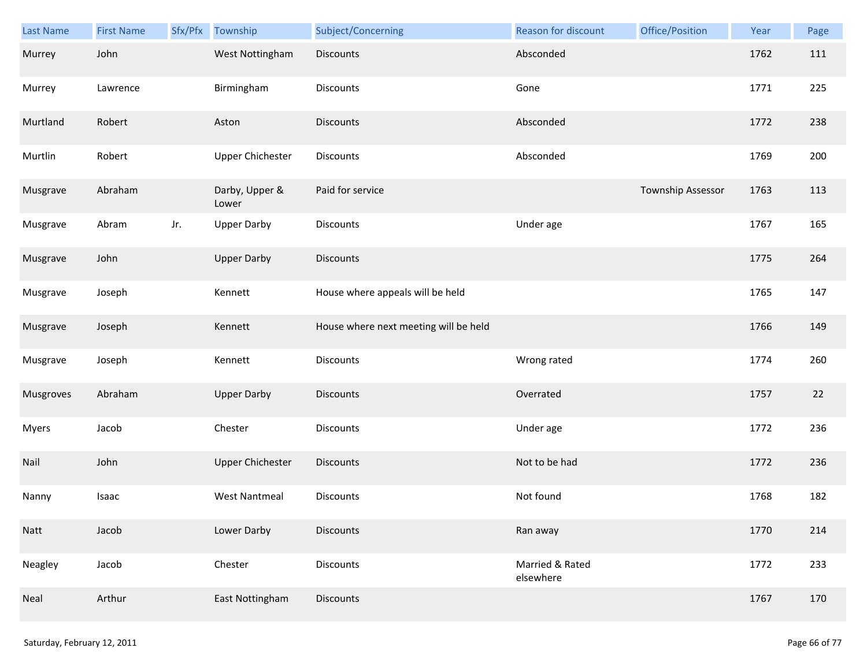| Last Name    | <b>First Name</b> | Sfx/Pfx | Township                | Subject/Concerning                    | Reason for discount          | Office/Position   | Year | Page |
|--------------|-------------------|---------|-------------------------|---------------------------------------|------------------------------|-------------------|------|------|
| Murrey       | John              |         | West Nottingham         | <b>Discounts</b>                      | Absconded                    |                   | 1762 | 111  |
| Murrey       | Lawrence          |         | Birmingham              | Discounts                             | Gone                         |                   | 1771 | 225  |
| Murtland     | Robert            |         | Aston                   | <b>Discounts</b>                      | Absconded                    |                   | 1772 | 238  |
| Murtlin      | Robert            |         | <b>Upper Chichester</b> | Discounts                             | Absconded                    |                   | 1769 | 200  |
| Musgrave     | Abraham           |         | Darby, Upper &<br>Lower | Paid for service                      |                              | Township Assessor | 1763 | 113  |
| Musgrave     | Abram             | Jr.     | <b>Upper Darby</b>      | <b>Discounts</b>                      | Under age                    |                   | 1767 | 165  |
| Musgrave     | John              |         | <b>Upper Darby</b>      | Discounts                             |                              |                   | 1775 | 264  |
| Musgrave     | Joseph            |         | Kennett                 | House where appeals will be held      |                              |                   | 1765 | 147  |
| Musgrave     | Joseph            |         | Kennett                 | House where next meeting will be held |                              |                   | 1766 | 149  |
| Musgrave     | Joseph            |         | Kennett                 | Discounts                             | Wrong rated                  |                   | 1774 | 260  |
| Musgroves    | Abraham           |         | <b>Upper Darby</b>      | <b>Discounts</b>                      | Overrated                    |                   | 1757 | 22   |
| <b>Myers</b> | Jacob             |         | Chester                 | Discounts                             | Under age                    |                   | 1772 | 236  |
| Nail         | John              |         | <b>Upper Chichester</b> | <b>Discounts</b>                      | Not to be had                |                   | 1772 | 236  |
| Nanny        | Isaac             |         | <b>West Nantmeal</b>    | Discounts                             | Not found                    |                   | 1768 | 182  |
| Natt         | Jacob             |         | Lower Darby             | <b>Discounts</b>                      | Ran away                     |                   | 1770 | 214  |
| Neagley      | Jacob             |         | Chester                 | Discounts                             | Married & Rated<br>elsewhere |                   | 1772 | 233  |
| Neal         | Arthur            |         | East Nottingham         | <b>Discounts</b>                      |                              |                   | 1767 | 170  |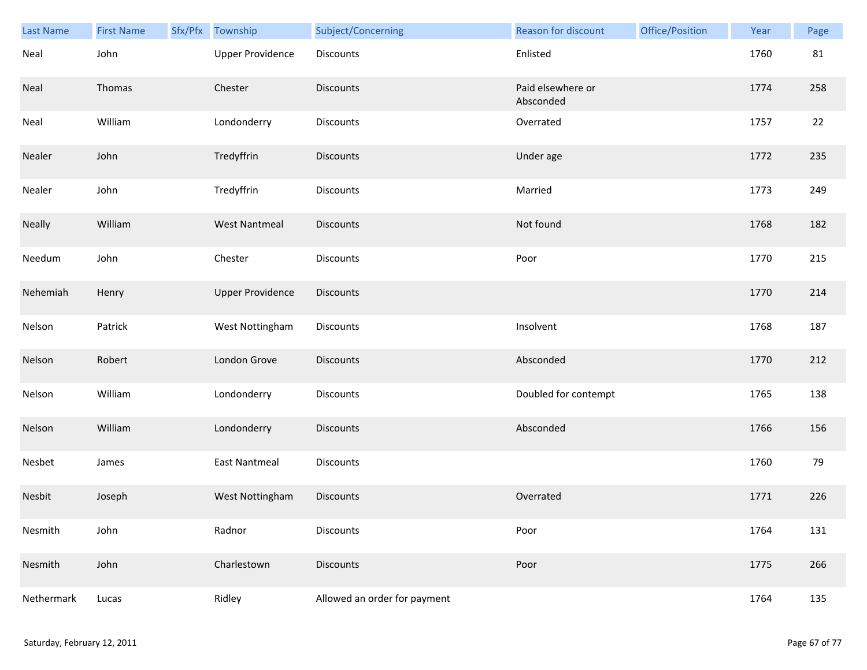| Last Name  | <b>First Name</b> | Sfx/Pfx | Township                | Subject/Concerning           | Reason for discount            | Office/Position | Year | Page |
|------------|-------------------|---------|-------------------------|------------------------------|--------------------------------|-----------------|------|------|
| Neal       | John              |         | <b>Upper Providence</b> | Discounts                    | Enlisted                       |                 | 1760 | 81   |
| Neal       | Thomas            |         | Chester                 | <b>Discounts</b>             | Paid elsewhere or<br>Absconded |                 | 1774 | 258  |
| Neal       | William           |         | Londonderry             | Discounts                    | Overrated                      |                 | 1757 | 22   |
| Nealer     | John              |         | Tredyffrin              | <b>Discounts</b>             | Under age                      |                 | 1772 | 235  |
| Nealer     | John              |         | Tredyffrin              | Discounts                    | Married                        |                 | 1773 | 249  |
| Neally     | William           |         | <b>West Nantmeal</b>    | <b>Discounts</b>             | Not found                      |                 | 1768 | 182  |
| Needum     | John              |         | Chester                 | Discounts                    | Poor                           |                 | 1770 | 215  |
| Nehemiah   | Henry             |         | <b>Upper Providence</b> | Discounts                    |                                |                 | 1770 | 214  |
| Nelson     | Patrick           |         | West Nottingham         | <b>Discounts</b>             | Insolvent                      |                 | 1768 | 187  |
| Nelson     | Robert            |         | London Grove            | <b>Discounts</b>             | Absconded                      |                 | 1770 | 212  |
| Nelson     | William           |         | Londonderry             | <b>Discounts</b>             | Doubled for contempt           |                 | 1765 | 138  |
| Nelson     | William           |         | Londonderry             | Discounts                    | Absconded                      |                 | 1766 | 156  |
| Nesbet     | James             |         | <b>East Nantmeal</b>    | Discounts                    |                                |                 | 1760 | 79   |
| Nesbit     | Joseph            |         | West Nottingham         | <b>Discounts</b>             | Overrated                      |                 | 1771 | 226  |
| Nesmith    | John              |         | Radnor                  | <b>Discounts</b>             | Poor                           |                 | 1764 | 131  |
| Nesmith    | John              |         | Charlestown             | <b>Discounts</b>             | Poor                           |                 | 1775 | 266  |
| Nethermark | Lucas             |         | Ridley                  | Allowed an order for payment |                                |                 | 1764 | 135  |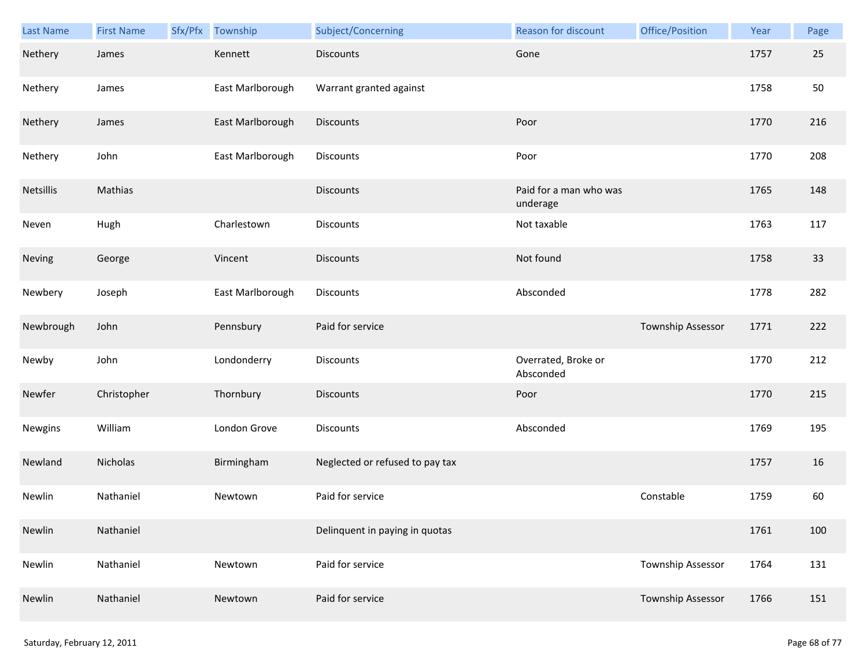| Last Name | <b>First Name</b> | Sfx/Pfx | Township         | Subject/Concerning              | <b>Reason for discount</b>         | Office/Position   | Year | Page |
|-----------|-------------------|---------|------------------|---------------------------------|------------------------------------|-------------------|------|------|
| Nethery   | James             |         | Kennett          | <b>Discounts</b>                | Gone                               |                   | 1757 | 25   |
| Nethery   | James             |         | East Marlborough | Warrant granted against         |                                    |                   | 1758 | 50   |
| Nethery   | James             |         | East Marlborough | Discounts                       | Poor                               |                   | 1770 | 216  |
| Nethery   | John              |         | East Marlborough | Discounts                       | Poor                               |                   | 1770 | 208  |
| Netsillis | Mathias           |         |                  | <b>Discounts</b>                | Paid for a man who was<br>underage |                   | 1765 | 148  |
| Neven     | Hugh              |         | Charlestown      | Discounts                       | Not taxable                        |                   | 1763 | 117  |
| Neving    | George            |         | Vincent          | <b>Discounts</b>                | Not found                          |                   | 1758 | 33   |
| Newbery   | Joseph            |         | East Marlborough | Discounts                       | Absconded                          |                   | 1778 | 282  |
| Newbrough | John              |         | Pennsbury        | Paid for service                |                                    | Township Assessor | 1771 | 222  |
| Newby     | John              |         | Londonderry      | Discounts                       | Overrated, Broke or<br>Absconded   |                   | 1770 | 212  |
| Newfer    | Christopher       |         | Thornbury        | <b>Discounts</b>                | Poor                               |                   | 1770 | 215  |
| Newgins   | William           |         | London Grove     | Discounts                       | Absconded                          |                   | 1769 | 195  |
| Newland   | Nicholas          |         | Birmingham       | Neglected or refused to pay tax |                                    |                   | 1757 | 16   |
| Newlin    | Nathaniel         |         | Newtown          | Paid for service                |                                    | Constable         | 1759 | 60   |
| Newlin    | Nathaniel         |         |                  | Delinquent in paying in quotas  |                                    |                   | 1761 | 100  |
| Newlin    | Nathaniel         |         | Newtown          | Paid for service                |                                    | Township Assessor | 1764 | 131  |
| Newlin    | Nathaniel         |         | Newtown          | Paid for service                |                                    | Township Assessor | 1766 | 151  |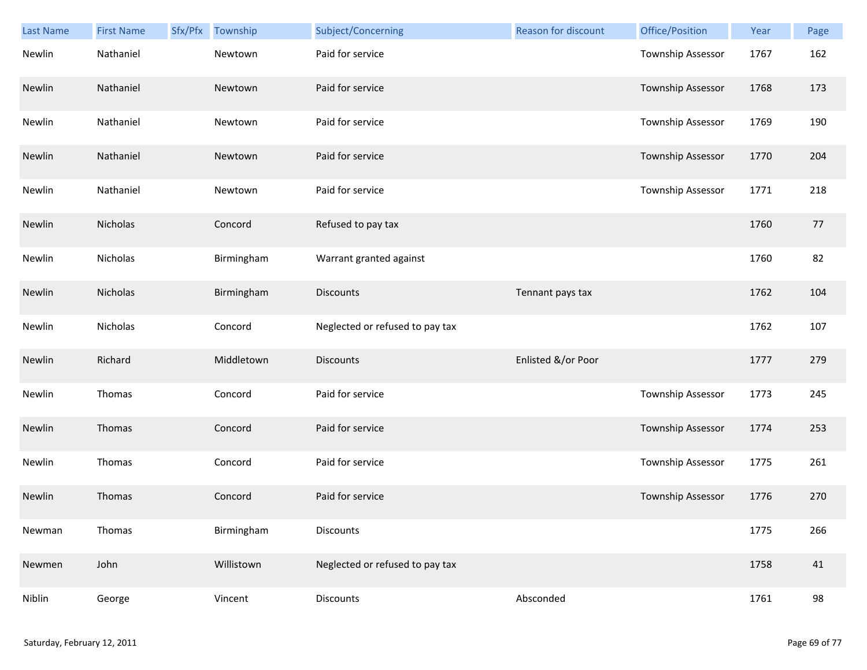| <b>Last Name</b> | <b>First Name</b> | Sfx/Pfx | Township   | Subject/Concerning              | Reason for discount | Office/Position   | Year | Page |
|------------------|-------------------|---------|------------|---------------------------------|---------------------|-------------------|------|------|
| Newlin           | Nathaniel         |         | Newtown    | Paid for service                |                     | Township Assessor | 1767 | 162  |
| Newlin           | Nathaniel         |         | Newtown    | Paid for service                |                     | Township Assessor | 1768 | 173  |
| Newlin           | Nathaniel         |         | Newtown    | Paid for service                |                     | Township Assessor | 1769 | 190  |
| Newlin           | Nathaniel         |         | Newtown    | Paid for service                |                     | Township Assessor | 1770 | 204  |
| Newlin           | Nathaniel         |         | Newtown    | Paid for service                |                     | Township Assessor | 1771 | 218  |
| Newlin           | Nicholas          |         | Concord    | Refused to pay tax              |                     |                   | 1760 | 77   |
| Newlin           | Nicholas          |         | Birmingham | Warrant granted against         |                     |                   | 1760 | 82   |
| Newlin           | Nicholas          |         | Birmingham | <b>Discounts</b>                | Tennant pays tax    |                   | 1762 | 104  |
| Newlin           | Nicholas          |         | Concord    | Neglected or refused to pay tax |                     |                   | 1762 | 107  |
| Newlin           | Richard           |         | Middletown | Discounts                       | Enlisted &/or Poor  |                   | 1777 | 279  |
| Newlin           | Thomas            |         | Concord    | Paid for service                |                     | Township Assessor | 1773 | 245  |
| Newlin           | Thomas            |         | Concord    | Paid for service                |                     | Township Assessor | 1774 | 253  |
| Newlin           | Thomas            |         | Concord    | Paid for service                |                     | Township Assessor | 1775 | 261  |
| Newlin           | Thomas            |         | Concord    | Paid for service                |                     | Township Assessor | 1776 | 270  |
| Newman           | Thomas            |         | Birmingham | <b>Discounts</b>                |                     |                   | 1775 | 266  |
| Newmen           | John              |         | Willistown | Neglected or refused to pay tax |                     |                   | 1758 | 41   |
| Niblin           | George            |         | Vincent    | Discounts                       | Absconded           |                   | 1761 | 98   |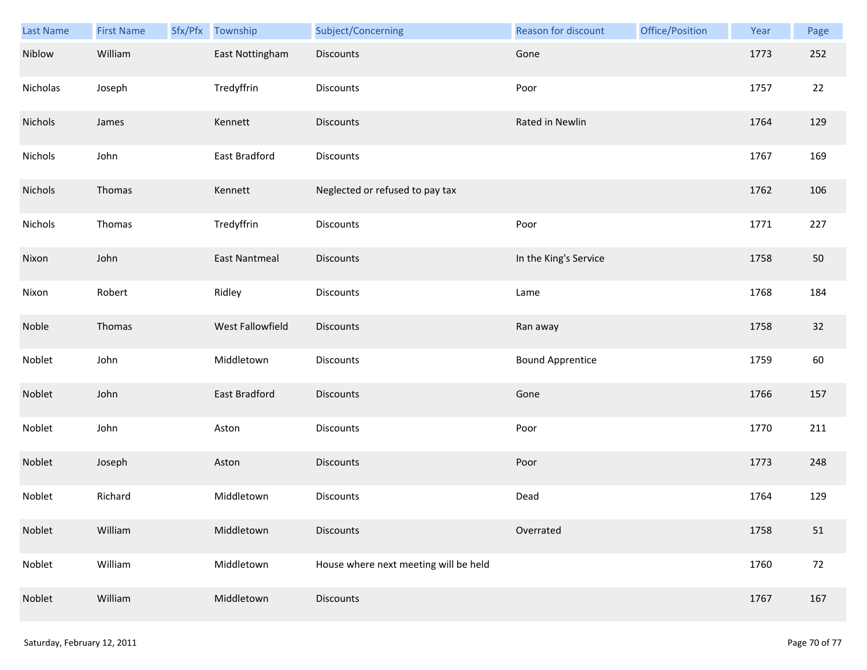| Last Name | <b>First Name</b> | Sfx/Pfx | Township             | Subject/Concerning                    | Reason for discount     | Office/Position | Year | Page |
|-----------|-------------------|---------|----------------------|---------------------------------------|-------------------------|-----------------|------|------|
| Niblow    | William           |         | East Nottingham      | <b>Discounts</b>                      | Gone                    |                 | 1773 | 252  |
| Nicholas  | Joseph            |         | Tredyffrin           | Discounts                             | Poor                    |                 | 1757 | 22   |
| Nichols   | James             |         | Kennett              | <b>Discounts</b>                      | Rated in Newlin         |                 | 1764 | 129  |
| Nichols   | John              |         | East Bradford        | Discounts                             |                         |                 | 1767 | 169  |
| Nichols   | Thomas            |         | Kennett              | Neglected or refused to pay tax       |                         |                 | 1762 | 106  |
| Nichols   | Thomas            |         | Tredyffrin           | <b>Discounts</b>                      | Poor                    |                 | 1771 | 227  |
| Nixon     | John              |         | <b>East Nantmeal</b> | <b>Discounts</b>                      | In the King's Service   |                 | 1758 | 50   |
| Nixon     | Robert            |         | Ridley               | Discounts                             | Lame                    |                 | 1768 | 184  |
| Noble     | Thomas            |         | West Fallowfield     | <b>Discounts</b>                      | Ran away                |                 | 1758 | 32   |
| Noblet    | John              |         | Middletown           | Discounts                             | <b>Bound Apprentice</b> |                 | 1759 | 60   |
| Noblet    | John              |         | East Bradford        | Discounts                             | Gone                    |                 | 1766 | 157  |
| Noblet    | John              |         | Aston                | Discounts                             | Poor                    |                 | 1770 | 211  |
| Noblet    | Joseph            |         | Aston                | Discounts                             | Poor                    |                 | 1773 | 248  |
| Noblet    | Richard           |         | Middletown           | <b>Discounts</b>                      | Dead                    |                 | 1764 | 129  |
| Noblet    | William           |         | Middletown           | <b>Discounts</b>                      | Overrated               |                 | 1758 | 51   |
| Noblet    | William           |         | Middletown           | House where next meeting will be held |                         |                 | 1760 | 72   |
| Noblet    | William           |         | Middletown           | <b>Discounts</b>                      |                         |                 | 1767 | 167  |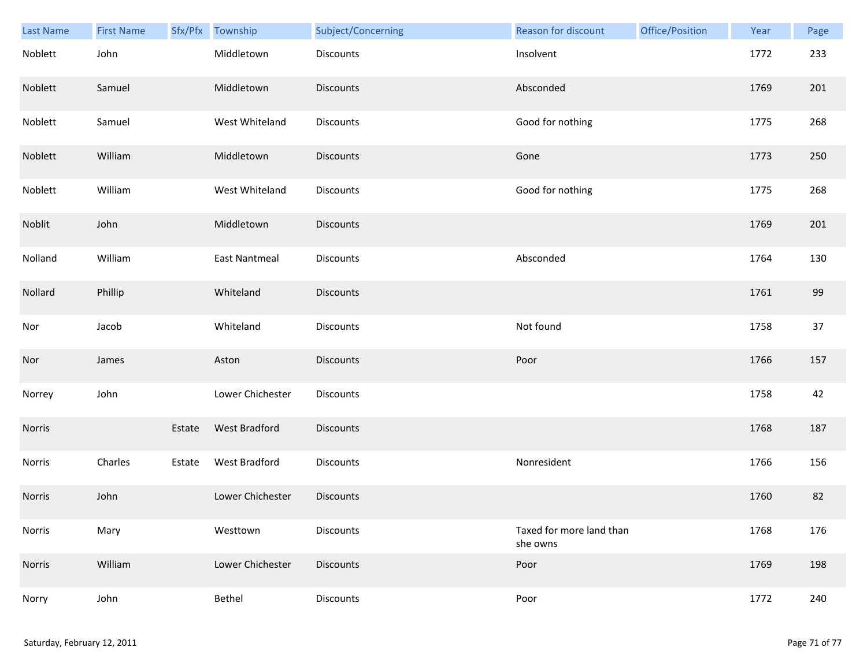| Last Name | <b>First Name</b> | Sfx/Pfx | Township             | Subject/Concerning | <b>Reason for discount</b>           | Office/Position | Year | Page |
|-----------|-------------------|---------|----------------------|--------------------|--------------------------------------|-----------------|------|------|
| Noblett   | John              |         | Middletown           | Discounts          | Insolvent                            |                 | 1772 | 233  |
| Noblett   | Samuel            |         | Middletown           | <b>Discounts</b>   | Absconded                            |                 | 1769 | 201  |
| Noblett   | Samuel            |         | West Whiteland       | Discounts          | Good for nothing                     |                 | 1775 | 268  |
| Noblett   | William           |         | Middletown           | <b>Discounts</b>   | Gone                                 |                 | 1773 | 250  |
| Noblett   | William           |         | West Whiteland       | Discounts          | Good for nothing                     |                 | 1775 | 268  |
| Noblit    | John              |         | Middletown           | <b>Discounts</b>   |                                      |                 | 1769 | 201  |
| Nolland   | William           |         | East Nantmeal        | Discounts          | Absconded                            |                 | 1764 | 130  |
| Nollard   | Phillip           |         | Whiteland            | Discounts          |                                      |                 | 1761 | 99   |
| Nor       | Jacob             |         | Whiteland            | Discounts          | Not found                            |                 | 1758 | 37   |
| Nor       | James             |         | Aston                | <b>Discounts</b>   | Poor                                 |                 | 1766 | 157  |
| Norrey    | John              |         | Lower Chichester     | Discounts          |                                      |                 | 1758 | 42   |
| Norris    |                   | Estate  | <b>West Bradford</b> | <b>Discounts</b>   |                                      |                 | 1768 | 187  |
| Norris    | Charles           | Estate  | West Bradford        | Discounts          | Nonresident                          |                 | 1766 | 156  |
| Norris    | John              |         | Lower Chichester     | <b>Discounts</b>   |                                      |                 | 1760 | 82   |
| Norris    | Mary              |         | Westtown             | Discounts          | Taxed for more land than<br>she owns |                 | 1768 | 176  |
| Norris    | William           |         | Lower Chichester     | Discounts          | Poor                                 |                 | 1769 | 198  |
| Norry     | John              |         | Bethel               | Discounts          | Poor                                 |                 | 1772 | 240  |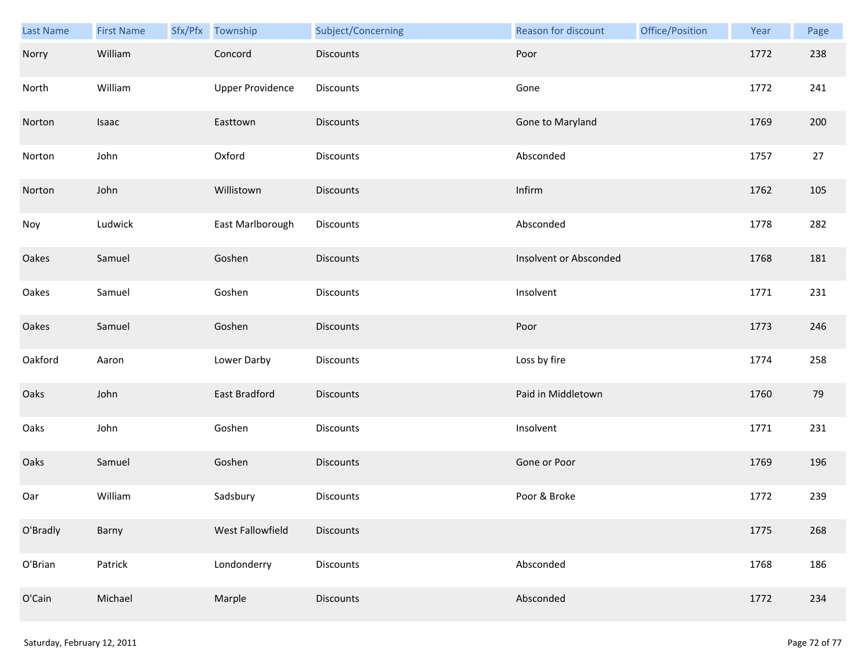| Last Name | <b>First Name</b> | Sfx/Pfx Township        | Subject/Concerning | Reason for discount    | Office/Position | Year | Page |
|-----------|-------------------|-------------------------|--------------------|------------------------|-----------------|------|------|
| Norry     | William           | Concord                 | <b>Discounts</b>   | Poor                   |                 | 1772 | 238  |
| North     | William           | <b>Upper Providence</b> | Discounts          | Gone                   |                 | 1772 | 241  |
| Norton    | Isaac             | Easttown                | Discounts          | Gone to Maryland       |                 | 1769 | 200  |
| Norton    | John              | Oxford                  | Discounts          | Absconded              |                 | 1757 | 27   |
| Norton    | John              | Willistown              | Discounts          | Infirm                 |                 | 1762 | 105  |
| Noy       | Ludwick           | East Marlborough        | Discounts          | Absconded              |                 | 1778 | 282  |
| Oakes     | Samuel            | Goshen                  | <b>Discounts</b>   | Insolvent or Absconded |                 | 1768 | 181  |
| Oakes     | Samuel            | Goshen                  | Discounts          | Insolvent              |                 | 1771 | 231  |
| Oakes     | Samuel            | Goshen                  | <b>Discounts</b>   | Poor                   |                 | 1773 | 246  |
| Oakford   | Aaron             | Lower Darby             | Discounts          | Loss by fire           |                 | 1774 | 258  |
| Oaks      | John              | East Bradford           | <b>Discounts</b>   | Paid in Middletown     |                 | 1760 | 79   |
| Oaks      | John              | Goshen                  | Discounts          | Insolvent              |                 | 1771 | 231  |
| Oaks      | Samuel            | Goshen                  | Discounts          | Gone or Poor           |                 | 1769 | 196  |
| Oar       | William           | Sadsbury                | Discounts          | Poor & Broke           |                 | 1772 | 239  |
| O'Bradly  | Barny             | West Fallowfield        | <b>Discounts</b>   |                        |                 | 1775 | 268  |
| O'Brian   | Patrick           | Londonderry             | Discounts          | Absconded              |                 | 1768 | 186  |
| O'Cain    | Michael           | Marple                  | Discounts          | Absconded              |                 | 1772 | 234  |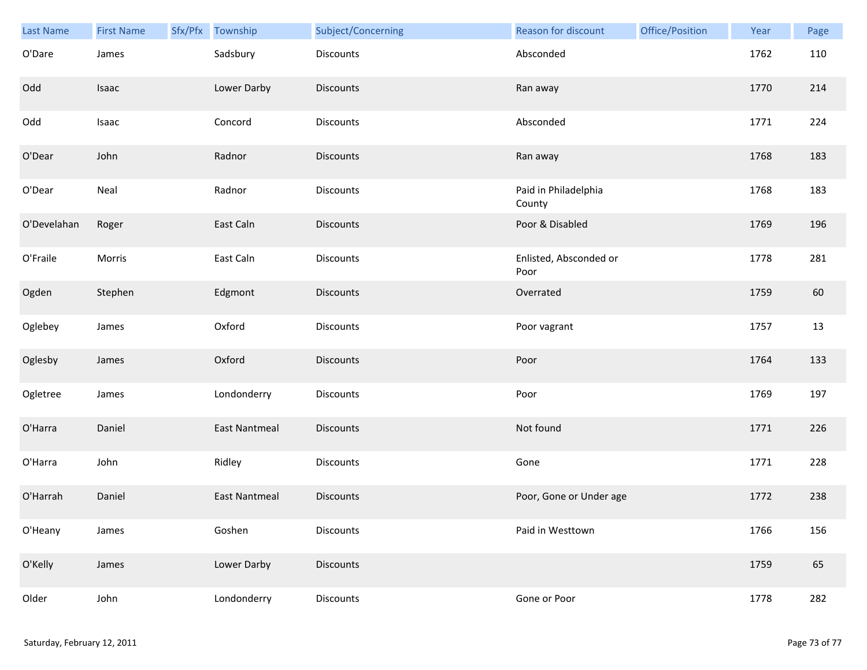| Last Name   | <b>First Name</b> | Sfx/Pfx | Township             | Subject/Concerning | Reason for discount            | Office/Position | Year | Page |
|-------------|-------------------|---------|----------------------|--------------------|--------------------------------|-----------------|------|------|
| O'Dare      | James             |         | Sadsbury             | Discounts          | Absconded                      |                 | 1762 | 110  |
| Odd         | Isaac             |         | Lower Darby          | <b>Discounts</b>   | Ran away                       |                 | 1770 | 214  |
| Odd         | Isaac             |         | Concord              | Discounts          | Absconded                      |                 | 1771 | 224  |
| O'Dear      | John              |         | Radnor               | <b>Discounts</b>   | Ran away                       |                 | 1768 | 183  |
| O'Dear      | Neal              |         | Radnor               | <b>Discounts</b>   | Paid in Philadelphia<br>County |                 | 1768 | 183  |
| O'Develahan | Roger             |         | East Caln            | <b>Discounts</b>   | Poor & Disabled                |                 | 1769 | 196  |
| O'Fraile    | Morris            |         | East Caln            | Discounts          | Enlisted, Absconded or<br>Poor |                 | 1778 | 281  |
| Ogden       | Stephen           |         | Edgmont              | Discounts          | Overrated                      |                 | 1759 | 60   |
| Oglebey     | James             |         | Oxford               | Discounts          | Poor vagrant                   |                 | 1757 | 13   |
| Oglesby     | James             |         | Oxford               | <b>Discounts</b>   | Poor                           |                 | 1764 | 133  |
| Ogletree    | James             |         | Londonderry          | <b>Discounts</b>   | Poor                           |                 | 1769 | 197  |
| O'Harra     | Daniel            |         | <b>East Nantmeal</b> | Discounts          | Not found                      |                 | 1771 | 226  |
| O'Harra     | John              |         | Ridley               | Discounts          | Gone                           |                 | 1771 | 228  |
| O'Harrah    | Daniel            |         | <b>East Nantmeal</b> | <b>Discounts</b>   | Poor, Gone or Under age        |                 | 1772 | 238  |
| O'Heany     | James             |         | Goshen               | Discounts          | Paid in Westtown               |                 | 1766 | 156  |
| O'Kelly     | James             |         | Lower Darby          | <b>Discounts</b>   |                                |                 | 1759 | 65   |
| Older       | John              |         | Londonderry          | Discounts          | Gone or Poor                   |                 | 1778 | 282  |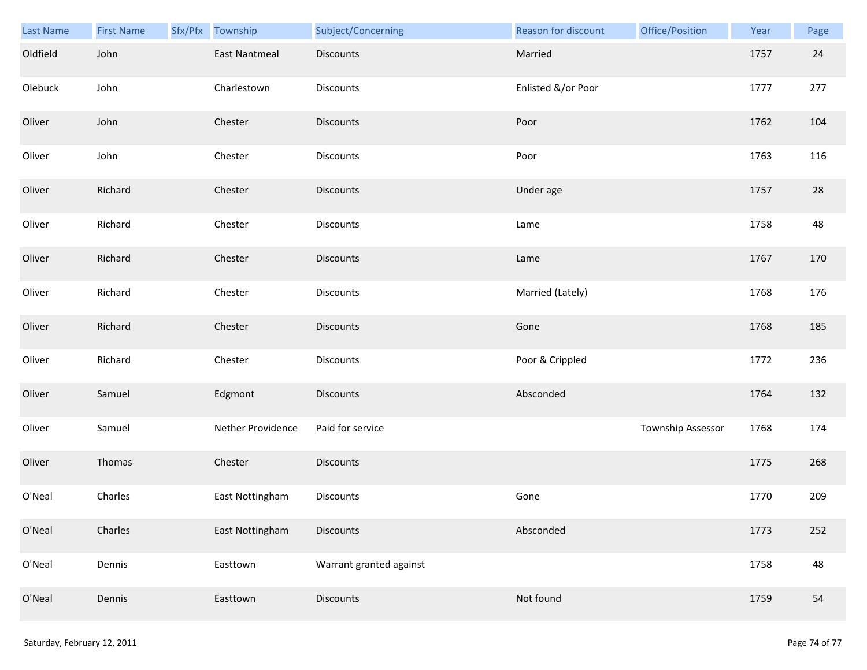| Last Name | <b>First Name</b> | Sfx/Pfx Township  | Subject/Concerning      | Reason for discount | Office/Position   | Year | Page |
|-----------|-------------------|-------------------|-------------------------|---------------------|-------------------|------|------|
| Oldfield  | John              | East Nantmeal     | <b>Discounts</b>        | Married             |                   | 1757 | 24   |
| Olebuck   | John              | Charlestown       | Discounts               | Enlisted &/or Poor  |                   | 1777 | 277  |
| Oliver    | John              | Chester           | Discounts               | Poor                |                   | 1762 | 104  |
| Oliver    | John              | Chester           | <b>Discounts</b>        | Poor                |                   | 1763 | 116  |
| Oliver    | Richard           | Chester           | Discounts               | Under age           |                   | 1757 | 28   |
| Oliver    | Richard           | Chester           | Discounts               | Lame                |                   | 1758 | 48   |
| Oliver    | Richard           | Chester           | Discounts               | Lame                |                   | 1767 | 170  |
| Oliver    | Richard           | Chester           | Discounts               | Married (Lately)    |                   | 1768 | 176  |
| Oliver    | Richard           | Chester           | <b>Discounts</b>        | Gone                |                   | 1768 | 185  |
| Oliver    | Richard           | Chester           | Discounts               | Poor & Crippled     |                   | 1772 | 236  |
| Oliver    | Samuel            | Edgmont           | Discounts               | Absconded           |                   | 1764 | 132  |
| Oliver    | Samuel            | Nether Providence | Paid for service        |                     | Township Assessor | 1768 | 174  |
| Oliver    | Thomas            | Chester           | Discounts               |                     |                   | 1775 | 268  |
| O'Neal    | Charles           | East Nottingham   | Discounts               | Gone                |                   | 1770 | 209  |
| O'Neal    | Charles           | East Nottingham   | Discounts               | Absconded           |                   | 1773 | 252  |
| O'Neal    | Dennis            | Easttown          | Warrant granted against |                     |                   | 1758 | 48   |
| O'Neal    | Dennis            | Easttown          | Discounts               | Not found           |                   | 1759 | 54   |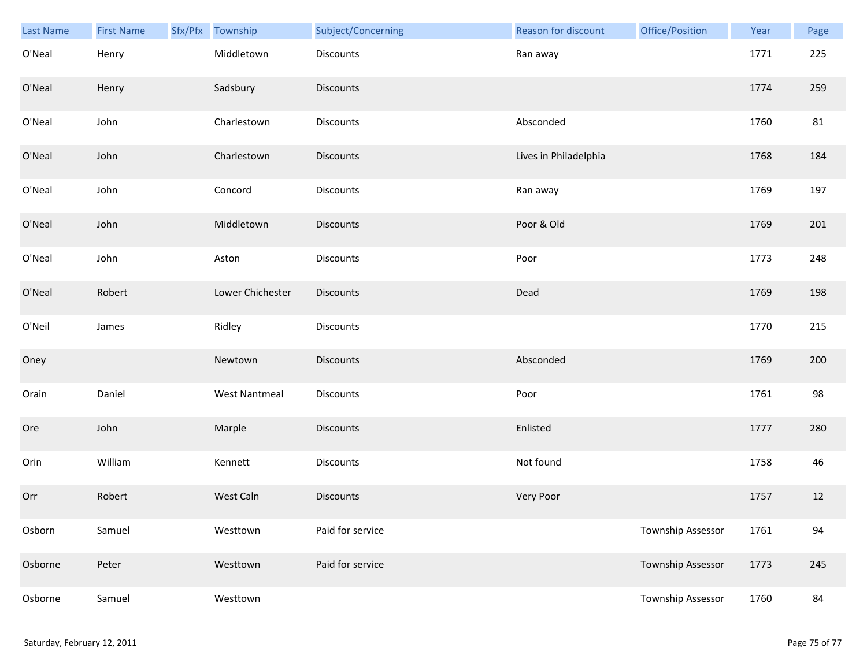| Last Name | <b>First Name</b> | Sfx/Pfx | Township             | Subject/Concerning | Reason for discount   | Office/Position          | Year | Page |
|-----------|-------------------|---------|----------------------|--------------------|-----------------------|--------------------------|------|------|
| O'Neal    | Henry             |         | Middletown           | Discounts          | Ran away              |                          | 1771 | 225  |
| O'Neal    | Henry             |         | Sadsbury             | <b>Discounts</b>   |                       |                          | 1774 | 259  |
| O'Neal    | John              |         | Charlestown          | Discounts          | Absconded             |                          | 1760 | 81   |
| O'Neal    | John              |         | Charlestown          | <b>Discounts</b>   | Lives in Philadelphia |                          | 1768 | 184  |
| O'Neal    | John              |         | Concord              | Discounts          | Ran away              |                          | 1769 | 197  |
| O'Neal    | John              |         | Middletown           | Discounts          | Poor & Old            |                          | 1769 | 201  |
| O'Neal    | John              |         | Aston                | Discounts          | Poor                  |                          | 1773 | 248  |
| O'Neal    | Robert            |         | Lower Chichester     | Discounts          | Dead                  |                          | 1769 | 198  |
| O'Neil    | James             |         | Ridley               | Discounts          |                       |                          | 1770 | 215  |
| Oney      |                   |         | Newtown              | <b>Discounts</b>   | Absconded             |                          | 1769 | 200  |
| Orain     | Daniel            |         | <b>West Nantmeal</b> | Discounts          | Poor                  |                          | 1761 | 98   |
| Ore       | John              |         | Marple               | Discounts          | Enlisted              |                          | 1777 | 280  |
| Orin      | William           |         | Kennett              | Discounts          | Not found             |                          | 1758 | 46   |
| Orr       | Robert            |         | West Caln            | <b>Discounts</b>   | Very Poor             |                          | 1757 | 12   |
| Osborn    | Samuel            |         | Westtown             | Paid for service   |                       | Township Assessor        | 1761 | 94   |
| Osborne   | Peter             |         | Westtown             | Paid for service   |                       | <b>Township Assessor</b> | 1773 | 245  |
| Osborne   | Samuel            |         | Westtown             |                    |                       | Township Assessor        | 1760 | 84   |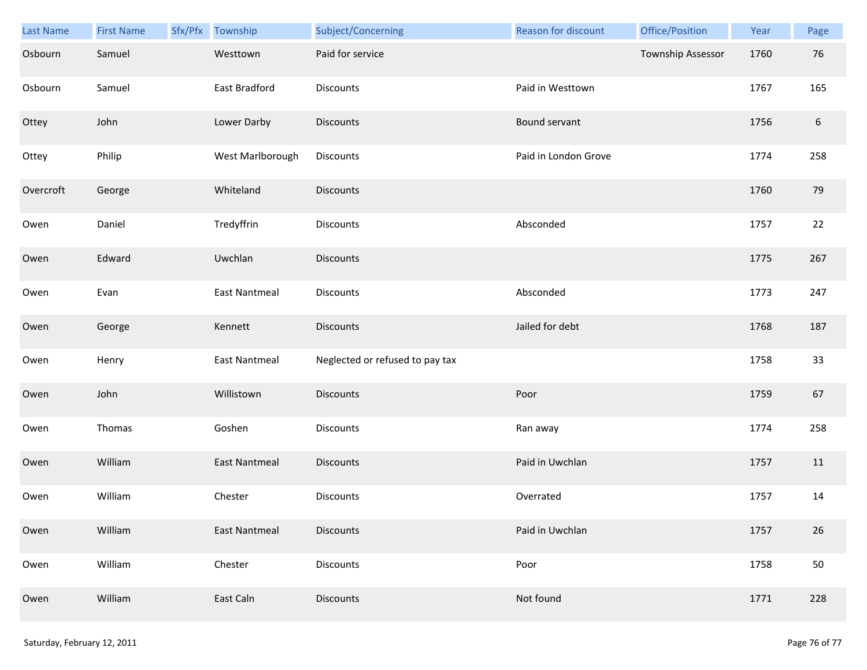| <b>Last Name</b> | <b>First Name</b> | Sfx/Pfx | Township             | Subject/Concerning              | Reason for discount  | Office/Position   | Year | Page             |
|------------------|-------------------|---------|----------------------|---------------------------------|----------------------|-------------------|------|------------------|
| Osbourn          | Samuel            |         | Westtown             | Paid for service                |                      | Township Assessor | 1760 | 76               |
| Osbourn          | Samuel            |         | East Bradford        | Discounts                       | Paid in Westtown     |                   | 1767 | 165              |
| Ottey            | John              |         | Lower Darby          | Discounts                       | Bound servant        |                   | 1756 | $\boldsymbol{6}$ |
| Ottey            | Philip            |         | West Marlborough     | Discounts                       | Paid in London Grove |                   | 1774 | 258              |
| Overcroft        | George            |         | Whiteland            | <b>Discounts</b>                |                      |                   | 1760 | 79               |
| Owen             | Daniel            |         | Tredyffrin           | Discounts                       | Absconded            |                   | 1757 | 22               |
| Owen             | Edward            |         | Uwchlan              | <b>Discounts</b>                |                      |                   | 1775 | 267              |
| Owen             | Evan              |         | East Nantmeal        | Discounts                       | Absconded            |                   | 1773 | 247              |
| Owen             | George            |         | Kennett              | <b>Discounts</b>                | Jailed for debt      |                   | 1768 | 187              |
| Owen             | Henry             |         | <b>East Nantmeal</b> | Neglected or refused to pay tax |                      |                   | 1758 | 33               |
| Owen             | John              |         | Willistown           | <b>Discounts</b>                | Poor                 |                   | 1759 | 67               |
| Owen             | Thomas            |         | Goshen               | Discounts                       | Ran away             |                   | 1774 | 258              |
| Owen             | William           |         | <b>East Nantmeal</b> | <b>Discounts</b>                | Paid in Uwchlan      |                   | 1757 | 11               |
| Owen             | William           |         | Chester              | <b>Discounts</b>                | Overrated            |                   | 1757 | 14               |
| Owen             | William           |         | <b>East Nantmeal</b> | <b>Discounts</b>                | Paid in Uwchlan      |                   | 1757 | 26               |
| Owen             | William           |         | Chester              | Discounts                       | Poor                 |                   | 1758 | 50               |
| Owen             | William           |         | East Caln            | <b>Discounts</b>                | Not found            |                   | 1771 | 228              |